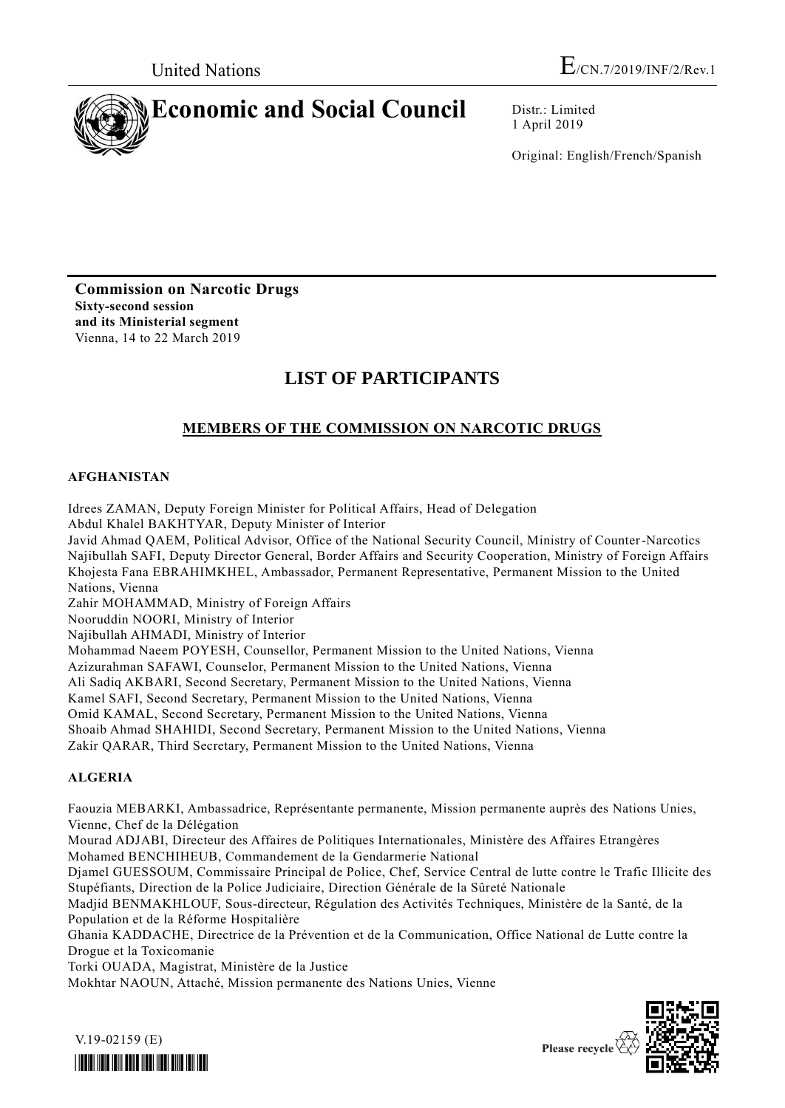

1 April 2019

Original: English/French/Spanish

**Commission on Narcotic Drugs Sixty-second session and its Ministerial segment** Vienna, 14 to 22 March 2019

# **LIST OF PARTICIPANTS**

## **MEMBERS OF THE COMMISSION ON NARCOTIC DRUGS**

## **AFGHANISTAN**

Idrees ZAMAN, Deputy Foreign Minister for Political Affairs, Head of Delegation Abdul Khalel BAKHTYAR, Deputy Minister of Interior

Javid Ahmad QAEM, Political Advisor, Office of the National Security Council, Ministry of Counter-Narcotics Najibullah SAFI, Deputy Director General, Border Affairs and Security Cooperation, Ministry of Foreign Affairs Khojesta Fana EBRAHIMKHEL, Ambassador, Permanent Representative, Permanent Mission to the United Nations, Vienna

Zahir MOHAMMAD, Ministry of Foreign Affairs

Nooruddin NOORI, Ministry of Interior

Najibullah AHMADI, Ministry of Interior

Mohammad Naeem POYESH, Counsellor, Permanent Mission to the United Nations, Vienna

Azizurahman SAFAWI, Counselor, Permanent Mission to the United Nations, Vienna

Ali Sadiq AKBARI, Second Secretary, Permanent Mission to the United Nations, Vienna

Kamel SAFI, Second Secretary, Permanent Mission to the United Nations, Vienna

Omid KAMAL, Second Secretary, Permanent Mission to the United Nations, Vienna

Shoaib Ahmad SHAHIDI, Second Secretary, Permanent Mission to the United Nations, Vienna

Zakir QARAR, Third Secretary, Permanent Mission to the United Nations, Vienna

## **ALGERIA**

Faouzia MEBARKI, Ambassadrice, Représentante permanente, Mission permanente auprès des Nations Unies, Vienne, Chef de la Délégation

Mourad ADJABI, Directeur des Affaires de Politiques Internationales, Ministère des Affaires Etrangères Mohamed BENCHIHEUB, Commandement de la Gendarmerie National

Djamel GUESSOUM, Commissaire Principal de Police, Chef, Service Central de lutte contre le Trafic Illicite des Stupéfiants, Direction de la Police Judiciaire, Direction Générale de la Sûreté Nationale

Madjid BENMAKHLOUF, Sous-directeur, Régulation des Activités Techniques, Ministère de la Santé, de la Population et de la Réforme Hospitalière

Ghania KADDACHE, Directrice de la Prévention et de la Communication, Office National de Lutte contre la Drogue et la Toxicomanie

Torki OUADA, Magistrat, Ministère de la Justice

Mokhtar NAOUN, Attaché, Mission permanente des Nations Unies, Vienne



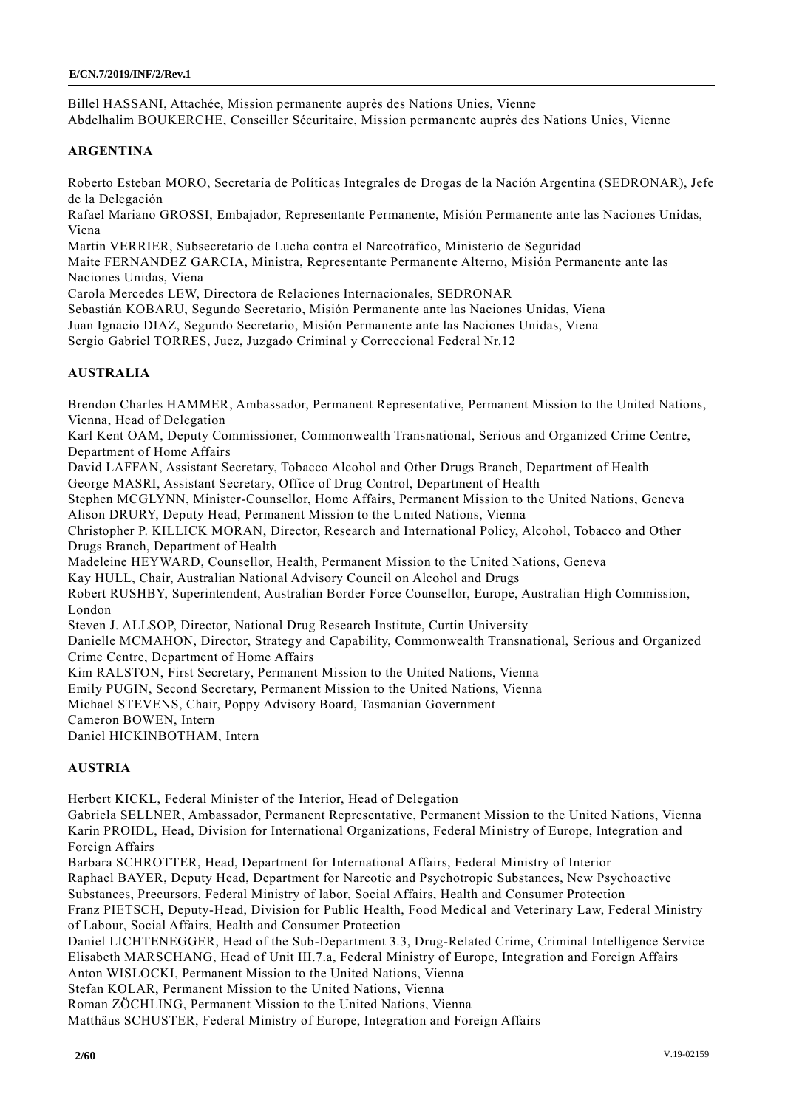Billel HASSANI, Attachée, Mission permanente auprès des Nations Unies, Vienne Abdelhalim BOUKERCHE, Conseiller Sécuritaire, Mission permanente auprès des Nations Unies, Vienne

#### **ARGENTINA**

Roberto Esteban MORO, Secretaría de Políticas Integrales de Drogas de la Nación Argentina (SEDRONAR), Jefe de la Delegación

Rafael Mariano GROSSI, Embajador, Representante Permanente, Misión Permanente ante las Naciones Unidas, Viena

Martin VERRIER, Subsecretario de Lucha contra el Narcotráfico, Ministerio de Seguridad

Maite FERNANDEZ GARCIA, Ministra, Representante Permanente Alterno, Misión Permanente ante las Naciones Unidas, Viena

Carola Mercedes LEW, Directora de Relaciones Internacionales, SEDRONAR

Sebastián KOBARU, Segundo Secretario, Misión Permanente ante las Naciones Unidas, Viena

Juan Ignacio DIAZ, Segundo Secretario, Misión Permanente ante las Naciones Unidas, Viena

Sergio Gabriel TORRES, Juez, Juzgado Criminal y Correccional Federal Nr.12

## **AUSTRALIA**

Brendon Charles HAMMER, Ambassador, Permanent Representative, Permanent Mission to the United Nations, Vienna, Head of Delegation

Karl Kent OAM, Deputy Commissioner, Commonwealth Transnational, Serious and Organized Crime Centre, Department of Home Affairs

David LAFFAN, Assistant Secretary, Tobacco Alcohol and Other Drugs Branch, Department of Health George MASRI, Assistant Secretary, Office of Drug Control, Department of Health

Stephen MCGLYNN, Minister-Counsellor, Home Affairs, Permanent Mission to the United Nations, Geneva Alison DRURY, Deputy Head, Permanent Mission to the United Nations, Vienna

Christopher P. KILLICK MORAN, Director, Research and International Policy, Alcohol, Tobacco and Other Drugs Branch, Department of Health

Madeleine HEYWARD, Counsellor, Health, Permanent Mission to the United Nations, Geneva

Kay HULL, Chair, Australian National Advisory Council on Alcohol and Drugs

Robert RUSHBY, Superintendent, Australian Border Force Counsellor, Europe, Australian High Commission, London

Steven J. ALLSOP, Director, National Drug Research Institute, Curtin University

Danielle MCMAHON, Director, Strategy and Capability, Commonwealth Transnational, Serious and Organized Crime Centre, Department of Home Affairs

Kim RALSTON, First Secretary, Permanent Mission to the United Nations, Vienna

Emily PUGIN, Second Secretary, Permanent Mission to the United Nations, Vienna

Michael STEVENS, Chair, Poppy Advisory Board, Tasmanian Government

Cameron BOWEN, Intern

Daniel HICKINBOTHAM, Intern

## **AUSTRIA**

Herbert KICKL, Federal Minister of the Interior, Head of Delegation

Gabriela SELLNER, Ambassador, Permanent Representative, Permanent Mission to the United Nations, Vienna Karin PROIDL, Head, Division for International Organizations, Federal Ministry of Europe, Integration and Foreign Affairs

Barbara SCHROTTER, Head, Department for International Affairs, Federal Ministry of Interior

Raphael BAYER, Deputy Head, Department for Narcotic and Psychotropic Substances, New Psychoactive

Substances, Precursors, Federal Ministry of labor, Social Affairs, Health and Consumer Protection

Franz PIETSCH, Deputy-Head, Division for Public Health, Food Medical and Veterinary Law, Federal Ministry of Labour, Social Affairs, Health and Consumer Protection

Daniel LICHTENEGGER, Head of the Sub-Department 3.3, Drug-Related Crime, Criminal Intelligence Service Elisabeth MARSCHANG, Head of Unit III.7.a, Federal Ministry of Europe, Integration and Foreign Affairs Anton WISLOCKI, Permanent Mission to the United Nations, Vienna

Stefan KOLAR, Permanent Mission to the United Nations, Vienna

Roman ZÖCHLING, Permanent Mission to the United Nations, Vienna

Matthäus SCHUSTER, Federal Ministry of Europe, Integration and Foreign Affairs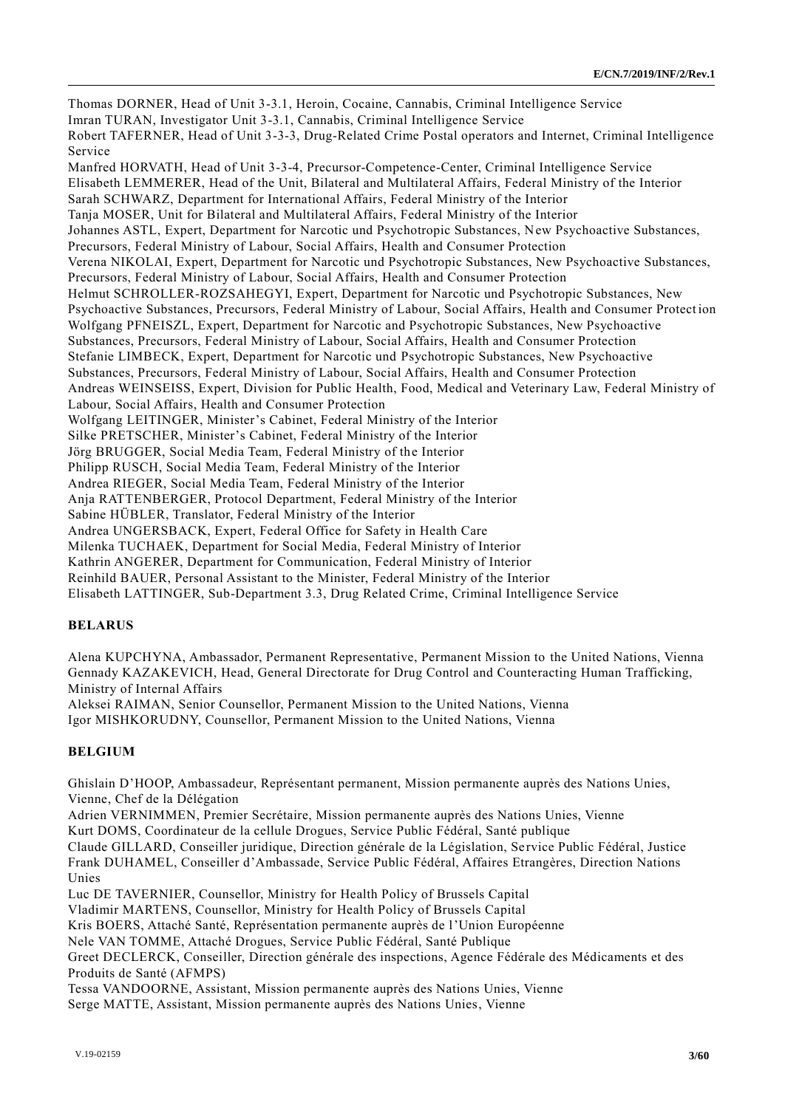Thomas DORNER, Head of Unit 3-3.1, Heroin, Cocaine, Cannabis, Criminal Intelligence Service Imran TURAN, Investigator Unit 3-3.1, Cannabis, Criminal Intelligence Service Robert TAFERNER, Head of Unit 3-3-3, Drug-Related Crime Postal operators and Internet, Criminal Intelligence Service Manfred HORVATH, Head of Unit 3-3-4, Precursor-Competence-Center, Criminal Intelligence Service Elisabeth LEMMERER, Head of the Unit, Bilateral and Multilateral Affairs, Federal Ministry of the Interior Sarah SCHWARZ, Department for International Affairs, Federal Ministry of the Interior Tanja MOSER, Unit for Bilateral and Multilateral Affairs, Federal Ministry of the Interior Johannes ASTL, Expert, Department for Narcotic und Psychotropic Substances, New Psychoactive Substances, Precursors, Federal Ministry of Labour, Social Affairs, Health and Consumer Protection Verena NIKOLAI, Expert, Department for Narcotic und Psychotropic Substances, New Psychoactive Substances, Precursors, Federal Ministry of Labour, Social Affairs, Health and Consumer Protection Helmut SCHROLLER-ROZSAHEGYI, Expert, Department for Narcotic und Psychotropic Substances, New Psychoactive Substances, Precursors, Federal Ministry of Labour, Social Affairs, Health and Consumer Protect ion Wolfgang PFNEISZL, Expert, Department for Narcotic and Psychotropic Substances, New Psychoactive Substances, Precursors, Federal Ministry of Labour, Social Affairs, Health and Consumer Protection Stefanie LIMBECK, Expert, Department for Narcotic und Psychotropic Substances, New Psychoactive Substances, Precursors, Federal Ministry of Labour, Social Affairs, Health and Consumer Protection Andreas WEINSEISS, Expert, Division for Public Health, Food, Medical and Veterinary Law, Federal Ministry of Labour, Social Affairs, Health and Consumer Protection Wolfgang LEITINGER, Minister's Cabinet, Federal Ministry of the Interior Silke PRETSCHER, Minister's Cabinet, Federal Ministry of the Interior Jörg BRUGGER, Social Media Team, Federal Ministry of the Interior Philipp RUSCH, Social Media Team, Federal Ministry of the Interior Andrea RIEGER, Social Media Team, Federal Ministry of the Interior Anja RATTENBERGER, Protocol Department, Federal Ministry of the Interior Sabine HÜBLER, Translator, Federal Ministry of the Interior Andrea UNGERSBACK, Expert, Federal Office for Safety in Health Care Milenka TUCHAEK, Department for Social Media, Federal Ministry of Interior Kathrin ANGERER, Department for Communication, Federal Ministry of Interior Reinhild BAUER, Personal Assistant to the Minister, Federal Ministry of the Interior Elisabeth LATTINGER, Sub-Department 3.3, Drug Related Crime, Criminal Intelligence Service

#### **BELARUS**

Alena KUPCHYNA, Ambassador, Permanent Representative, Permanent Mission to the United Nations, Vienna Gennady KAZAKEVICH, Head, General Directorate for Drug Control and Counteracting Human Trafficking, Ministry of Internal Affairs

Aleksei RAIMAN, Senior Counsellor, Permanent Mission to the United Nations, Vienna Igor MISHKORUDNY, Counsellor, Permanent Mission to the United Nations, Vienna

#### **BELGIUM**

Ghislain D'HOOP, Ambassadeur, Représentant permanent, Mission permanente auprès des Nations Unies, Vienne, Chef de la Délégation

Adrien VERNIMMEN, Premier Secrétaire, Mission permanente auprès des Nations Unies, Vienne Kurt DOMS, Coordinateur de la cellule Drogues, Service Public Fédéral, Santé publique

Claude GILLARD, Conseiller juridique, Direction générale de la Législation, Service Public Fédéral, Justice Frank DUHAMEL, Conseiller d'Ambassade, Service Public Fédéral, Affaires Etrangères, Direction Nations Unies

Luc DE TAVERNIER, Counsellor, Ministry for Health Policy of Brussels Capital

Vladimir MARTENS, Counsellor, Ministry for Health Policy of Brussels Capital

Kris BOERS, Attaché Santé, Représentation permanente auprès de l'Union Européenne

Nele VAN TOMME, Attaché Drogues, Service Public Fédéral, Santé Publique

Greet DECLERCK, Conseiller, Direction générale des inspections, Agence Fédérale des Médicaments et des Produits de Santé (AFMPS)

Tessa VANDOORNE, Assistant, Mission permanente auprès des Nations Unies, Vienne Serge MATTE, Assistant, Mission permanente auprès des Nations Unies, Vienne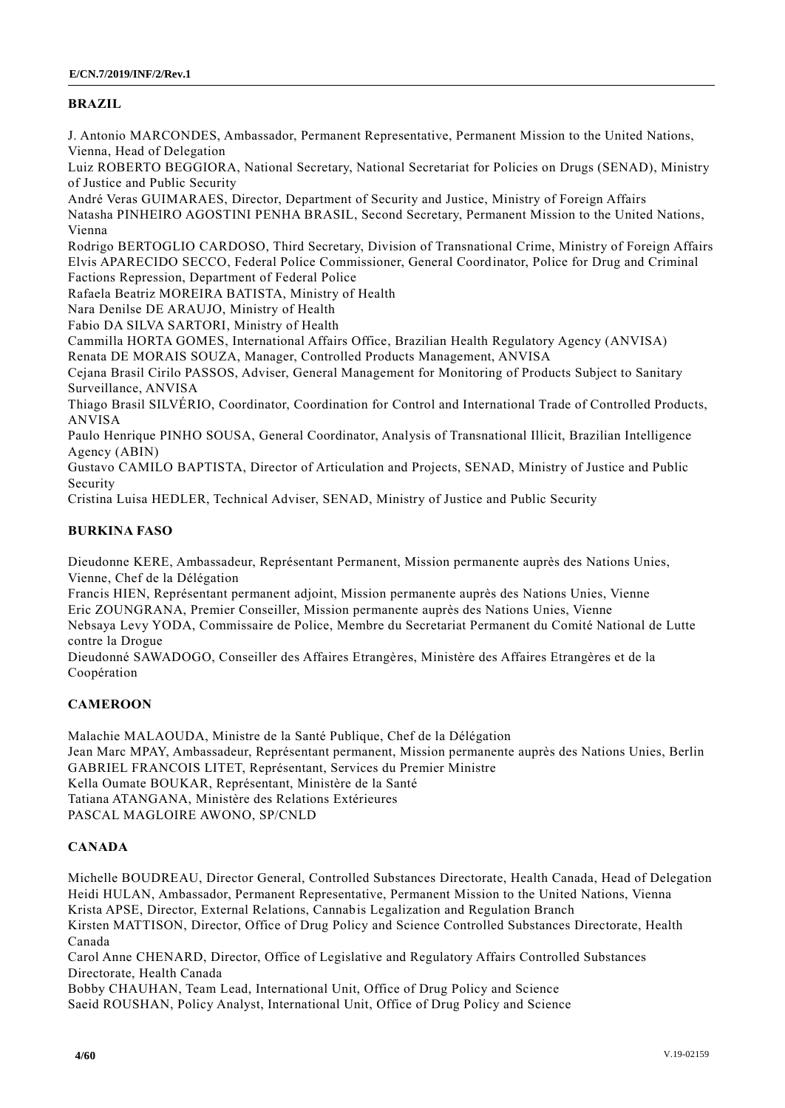## **BRAZIL**

J. Antonio MARCONDES, Ambassador, Permanent Representative, Permanent Mission to the United Nations, Vienna, Head of Delegation

Luiz ROBERTO BEGGIORA, National Secretary, National Secretariat for Policies on Drugs (SENAD), Ministry of Justice and Public Security

André Veras GUIMARAES, Director, Department of Security and Justice, Ministry of Foreign Affairs Natasha PINHEIRO AGOSTINI PENHA BRASIL, Second Secretary, Permanent Mission to the United Nations, Vienna

Rodrigo BERTOGLIO CARDOSO, Third Secretary, Division of Transnational Crime, Ministry of Foreign Affairs Elvis APARECIDO SECCO, Federal Police Commissioner, General Coordinator, Police for Drug and Criminal Factions Repression, Department of Federal Police

Rafaela Beatriz MOREIRA BATISTA, Ministry of Health

Nara Denilse DE ARAUJO, Ministry of Health

Fabio DA SILVA SARTORI, Ministry of Health

Cammilla HORTA GOMES, International Affairs Office, Brazilian Health Regulatory Agency (ANVISA) Renata DE MORAIS SOUZA, Manager, Controlled Products Management, ANVISA

Cejana Brasil Cirilo PASSOS, Adviser, General Management for Monitoring of Products Subject to Sanitary Surveillance, ANVISA

Thiago Brasil SILVÉRIO, Coordinator, Coordination for Control and International Trade of Controlled Products, ANVISA

Paulo Henrique PINHO SOUSA, General Coordinator, Analysis of Transnational Illicit, Brazilian Intelligence Agency (ABIN)

Gustavo CAMILO BAPTISTA, Director of Articulation and Projects, SENAD, Ministry of Justice and Public Security

Cristina Luisa HEDLER, Technical Adviser, SENAD, Ministry of Justice and Public Security

## **BURKINA FASO**

Dieudonne KERE, Ambassadeur, Représentant Permanent, Mission permanente auprès des Nations Unies, Vienne, Chef de la Délégation

Francis HIEN, Représentant permanent adjoint, Mission permanente auprès des Nations Unies, Vienne Eric ZOUNGRANA, Premier Conseiller, Mission permanente auprès des Nations Unies, Vienne

Nebsaya Levy YODA, Commissaire de Police, Membre du Secretariat Permanent du Comité National de Lutte contre la Drogue

Dieudonné SAWADOGO, Conseiller des Affaires Etrangères, Ministère des Affaires Etrangères et de la Coopération

## **CAMEROON**

Malachie MALAOUDA, Ministre de la Santé Publique, Chef de la Délégation Jean Marc MPAY, Ambassadeur, Représentant permanent, Mission permanente auprès des Nations Unies, Berlin GABRIEL FRANCOIS LITET, Représentant, Services du Premier Ministre Kella Oumate BOUKAR, Représentant, Ministère de la Santé Tatiana ATANGANA, Ministère des Relations Extérieures PASCAL MAGLOIRE AWONO, SP/CNLD

## **CANADA**

Michelle BOUDREAU, Director General, Controlled Substances Directorate, Health Canada, Head of Delegation Heidi HULAN, Ambassador, Permanent Representative, Permanent Mission to the United Nations, Vienna Krista APSE, Director, External Relations, Cannabis Legalization and Regulation Branch

Kirsten MATTISON, Director, Office of Drug Policy and Science Controlled Substances Directorate, Health Canada

Carol Anne CHENARD, Director, Office of Legislative and Regulatory Affairs Controlled Substances Directorate, Health Canada

Bobby CHAUHAN, Team Lead, International Unit, Office of Drug Policy and Science Saeid ROUSHAN, Policy Analyst, International Unit, Office of Drug Policy and Science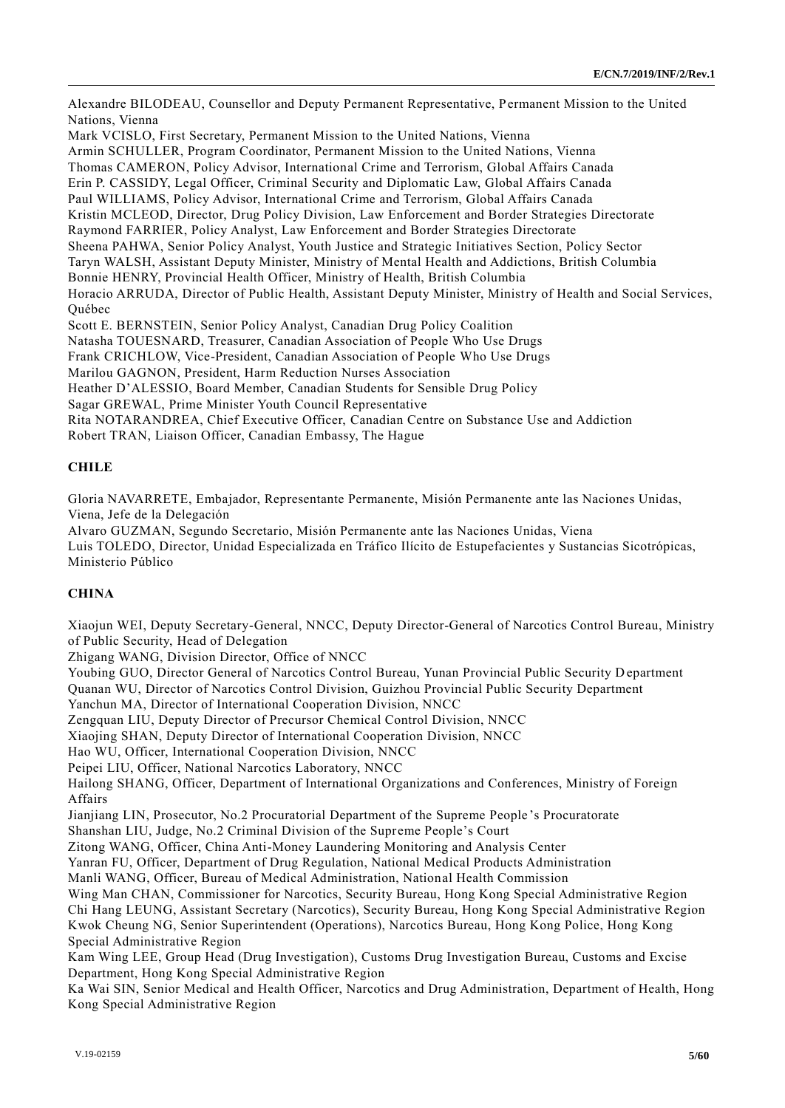Alexandre BILODEAU, Counsellor and Deputy Permanent Representative, Permanent Mission to the United Nations, Vienna Mark VCISLO, First Secretary, Permanent Mission to the United Nations, Vienna Armin SCHULLER, Program Coordinator, Permanent Mission to the United Nations, Vienna Thomas CAMERON, Policy Advisor, International Crime and Terrorism, Global Affairs Canada Erin P. CASSIDY, Legal Officer, Criminal Security and Diplomatic Law, Global Affairs Canada Paul WILLIAMS, Policy Advisor, International Crime and Terrorism, Global Affairs Canada Kristin MCLEOD, Director, Drug Policy Division, Law Enforcement and Border Strategies Directorate Raymond FARRIER, Policy Analyst, Law Enforcement and Border Strategies Directorate Sheena PAHWA, Senior Policy Analyst, Youth Justice and Strategic Initiatives Section, Policy Sector Taryn WALSH, Assistant Deputy Minister, Ministry of Mental Health and Addictions, British Columbia Bonnie HENRY, Provincial Health Officer, Ministry of Health, British Columbia Horacio ARRUDA, Director of Public Health, Assistant Deputy Minister, Ministry of Health and Social Services, Québec Scott E. BERNSTEIN, Senior Policy Analyst, Canadian Drug Policy Coalition Natasha TOUESNARD, Treasurer, Canadian Association of People Who Use Drugs Frank CRICHLOW, Vice-President, Canadian Association of People Who Use Drugs Marilou GAGNON, President, Harm Reduction Nurses Association

Heather D'ALESSIO, Board Member, Canadian Students for Sensible Drug Policy

Sagar GREWAL, Prime Minister Youth Council Representative

Rita NOTARANDREA, Chief Executive Officer, Canadian Centre on Substance Use and Addiction

Robert TRAN, Liaison Officer, Canadian Embassy, The Hague

## **CHILE**

Gloria NAVARRETE, Embajador, Representante Permanente, Misión Permanente ante las Naciones Unidas, Viena, Jefe de la Delegación

Alvaro GUZMAN, Segundo Secretario, Misión Permanente ante las Naciones Unidas, Viena Luis TOLEDO, Director, Unidad Especializada en Tráfico Ilícito de Estupefacientes y Sustancias Sicotrópicas, Ministerio Público

## **CHINA**

Xiaojun WEI, Deputy Secretary-General, NNCC, Deputy Director-General of Narcotics Control Bureau, Ministry of Public Security, Head of Delegation

Zhigang WANG, Division Director, Office of NNCC

Youbing GUO, Director General of Narcotics Control Bureau, Yunan Provincial Public Security D epartment Quanan WU, Director of Narcotics Control Division, Guizhou Provincial Public Security Department

Yanchun MA, Director of International Cooperation Division, NNCC

Zengquan LIU, Deputy Director of Precursor Chemical Control Division, NNCC

Xiaojing SHAN, Deputy Director of International Cooperation Division, NNCC

Hao WU, Officer, International Cooperation Division, NNCC

Peipei LIU, Officer, National Narcotics Laboratory, NNCC

Hailong SHANG, Officer, Department of International Organizations and Conferences, Ministry of Foreign Affairs

Jianjiang LIN, Prosecutor, No.2 Procuratorial Department of the Supreme People 's Procuratorate

Shanshan LIU, Judge, No.2 Criminal Division of the Supreme People's Court

Zitong WANG, Officer, China Anti-Money Laundering Monitoring and Analysis Center

Yanran FU, Officer, Department of Drug Regulation, National Medical Products Administration

Manli WANG, Officer, Bureau of Medical Administration, National Health Commission

Wing Man CHAN, Commissioner for Narcotics, Security Bureau, Hong Kong Special Administrative Region Chi Hang LEUNG, Assistant Secretary (Narcotics), Security Bureau, Hong Kong Special Administrative Region Kwok Cheung NG, Senior Superintendent (Operations), Narcotics Bureau, Hong Kong Police, Hong Kong Special Administrative Region

Kam Wing LEE, Group Head (Drug Investigation), Customs Drug Investigation Bureau, Customs and Excise Department, Hong Kong Special Administrative Region

Ka Wai SIN, Senior Medical and Health Officer, Narcotics and Drug Administration, Department of Health, Hong Kong Special Administrative Region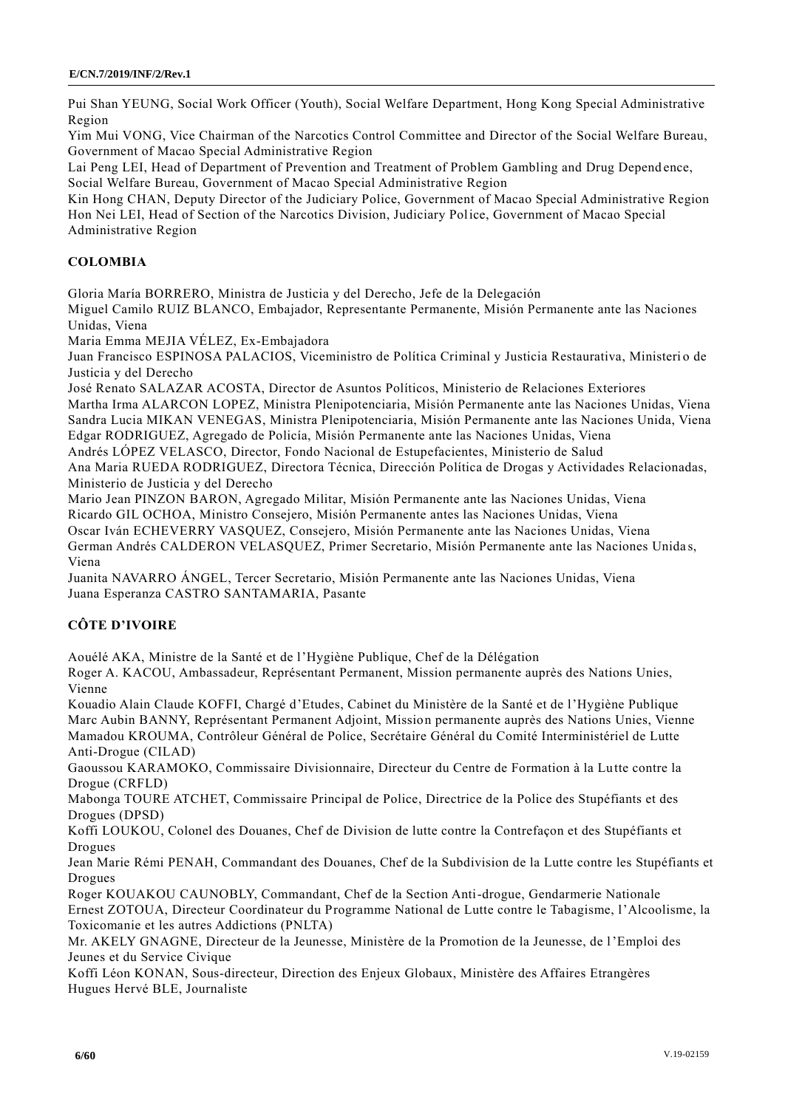Pui Shan YEUNG, Social Work Officer (Youth), Social Welfare Department, Hong Kong Special Administrative Region

Yim Mui VONG, Vice Chairman of the Narcotics Control Committee and Director of the Social Welfare Bureau, Government of Macao Special Administrative Region

Lai Peng LEI, Head of Department of Prevention and Treatment of Problem Gambling and Drug Depend ence, Social Welfare Bureau, Government of Macao Special Administrative Region

Kin Hong CHAN, Deputy Director of the Judiciary Police, Government of Macao Special Administrative Region Hon Nei LEI, Head of Section of the Narcotics Division, Judiciary Police, Government of Macao Special Administrative Region

## **COLOMBIA**

Gloria María BORRERO, Ministra de Justicia y del Derecho, Jefe de la Delegación

Miguel Camilo RUIZ BLANCO, Embajador, Representante Permanente, Misión Permanente ante las Naciones Unidas, Viena

Maria Emma MEJIA VÉLEZ, Ex-Embajadora

Juan Francisco ESPINOSA PALACIOS, Viceministro de Política Criminal y Justicia Restaurativa, Ministeri o de Justicia y del Derecho

José Renato SALAZAR ACOSTA, Director de Asuntos Políticos, Ministerio de Relaciones Exteriores Martha Irma ALARCON LOPEZ, Ministra Plenipotenciaria, Misión Permanente ante las Naciones Unidas, Viena Sandra Lucia MIKAN VENEGAS, Ministra Plenipotenciaria, Misión Permanente ante las Naciones Unida, Viena

Edgar RODRIGUEZ, Agregado de Policía, Misión Permanente ante las Naciones Unidas, Viena

Andrés LÓPEZ VELASCO, Director, Fondo Nacional de Estupefacientes, Ministerio de Salud

Ana Maria RUEDA RODRIGUEZ, Directora Técnica, Dirección Política de Drogas y Actividades Relacionadas, Ministerio de Justicia y del Derecho

Mario Jean PINZON BARON, Agregado Militar, Misión Permanente ante las Naciones Unidas, Viena

Ricardo GIL OCHOA, Ministro Consejero, Misión Permanente antes las Naciones Unidas, Viena

Oscar Iván ECHEVERRY VASQUEZ, Consejero, Misión Permanente ante las Naciones Unidas, Viena German Andrés CALDERON VELASQUEZ, Primer Secretario, Misión Permanente ante las Naciones Unida s, Viena

Juanita NAVARRO ÁNGEL, Tercer Secretario, Misión Permanente ante las Naciones Unidas, Viena Juana Esperanza CASTRO SANTAMARIA, Pasante

## **CÔTE D'IVOIRE**

Aouélé AKA, Ministre de la Santé et de l'Hygiène Publique, Chef de la Délégation

Roger A. KACOU, Ambassadeur, Représentant Permanent, Mission permanente auprès des Nations Unies, Vienne

Kouadio Alain Claude KOFFI, Chargé d'Etudes, Cabinet du Ministère de la Santé et de l'Hygiène Publique Marc Aubin BANNY, Représentant Permanent Adjoint, Mission permanente auprès des Nations Unies, Vienne Mamadou KROUMA, Contrôleur Général de Police, Secrétaire Général du Comité Interministériel de Lutte Anti-Drogue (CILAD)

Gaoussou KARAMOKO, Commissaire Divisionnaire, Directeur du Centre de Formation à la Lutte contre la Drogue (CRFLD)

Mabonga TOURE ATCHET, Commissaire Principal de Police, Directrice de la Police des Stupéfiants et des Drogues (DPSD)

Koffi LOUKOU, Colonel des Douanes, Chef de Division de lutte contre la Contrefaçon et des Stupéfiants et Drogues

Jean Marie Rémi PENAH, Commandant des Douanes, Chef de la Subdivision de la Lutte contre les Stupéfiants et Drogues

Roger KOUAKOU CAUNOBLY, Commandant, Chef de la Section Anti-drogue, Gendarmerie Nationale Ernest ZOTOUA, Directeur Coordinateur du Programme National de Lutte contre le Tabagisme, l'Alcoolisme, la Toxicomanie et les autres Addictions (PNLTA)

Mr. AKELY GNAGNE, Directeur de la Jeunesse, Ministère de la Promotion de la Jeunesse, de l'Emploi des Jeunes et du Service Civique

Koffi Léon KONAN, Sous-directeur, Direction des Enjeux Globaux, Ministère des Affaires Etrangères Hugues Hervé BLE, Journaliste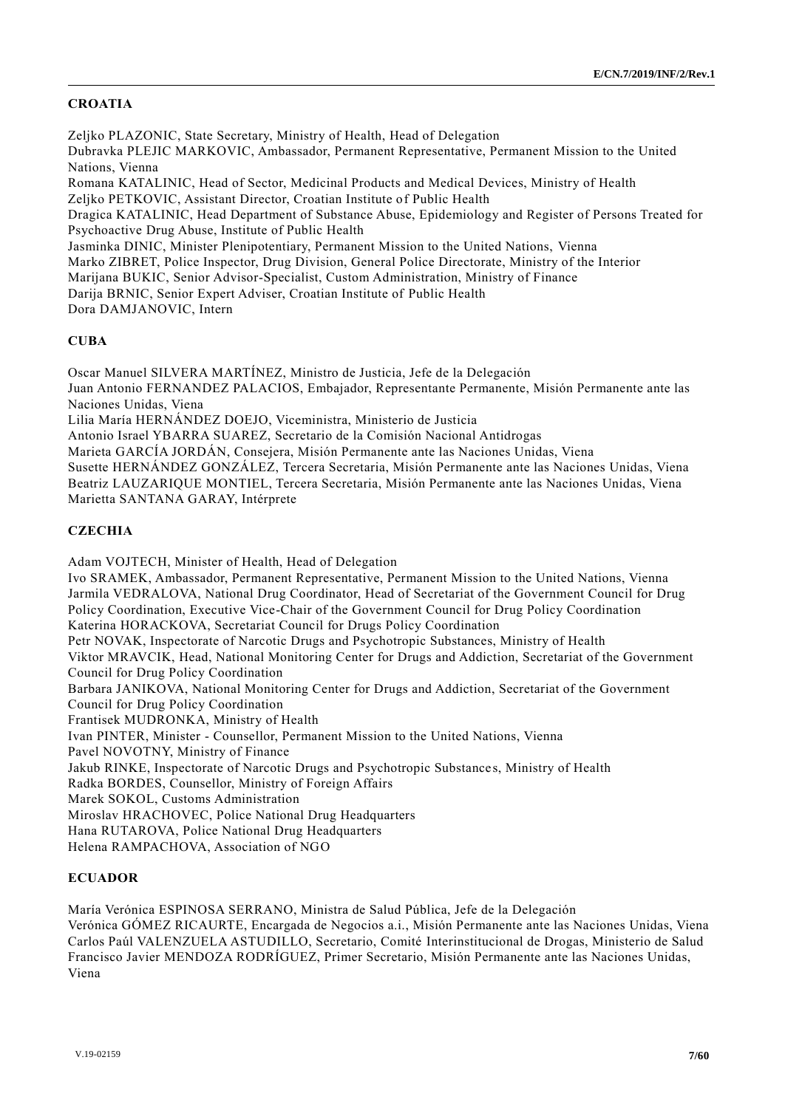## **CROATIA**

Zeljko PLAZONIC, State Secretary, Ministry of Health, Head of Delegation Dubravka PLEJIC MARKOVIC, Ambassador, Permanent Representative, Permanent Mission to the United Nations, Vienna Romana KATALINIC, Head of Sector, Medicinal Products and Medical Devices, Ministry of Health Zeljko PETKOVIC, Assistant Director, Croatian Institute of Public Health Dragica KATALINIC, Head Department of Substance Abuse, Epidemiology and Register of Persons Treated for Psychoactive Drug Abuse, Institute of Public Health Jasminka DINIC, Minister Plenipotentiary, Permanent Mission to the United Nations, Vienna Marko ZIBRET, Police Inspector, Drug Division, General Police Directorate, Ministry of the Interior Marijana BUKIC, Senior Advisor-Specialist, Custom Administration, Ministry of Finance Darija BRNIC, Senior Expert Adviser, Croatian Institute of Public Health Dora DAMJANOVIC, Intern

### **CUBA**

Oscar Manuel SILVERA MARTÍNEZ, Ministro de Justicia, Jefe de la Delegación Juan Antonio FERNANDEZ PALACIOS, Embajador, Representante Permanente, Misión Permanente ante las Naciones Unidas, Viena Lilia María HERNÁNDEZ DOEJO, Viceministra, Ministerio de Justicia Antonio Israel YBARRA SUAREZ, Secretario de la Comisión Nacional Antidrogas Marieta GARCÍA JORDÁN, Consejera, Misión Permanente ante las Naciones Unidas, Viena Susette HERNÁNDEZ GONZÁLEZ, Tercera Secretaria, Misión Permanente ante las Naciones Unidas, Viena

Beatriz LAUZARIQUE MONTIEL, Tercera Secretaria, Misión Permanente ante las Naciones Unidas, Viena Marietta SANTANA GARAY, Intérprete

## **CZECHIA**

Adam VOJTECH, Minister of Health, Head of Delegation Ivo SRAMEK, Ambassador, Permanent Representative, Permanent Mission to the United Nations, Vienna Jarmila VEDRALOVA, National Drug Coordinator, Head of Secretariat of the Government Council for Drug Policy Coordination, Executive Vice-Chair of the Government Council for Drug Policy Coordination Katerina HORACKOVA, Secretariat Council for Drugs Policy Coordination Petr NOVAK, Inspectorate of Narcotic Drugs and Psychotropic Substances, Ministry of Health Viktor MRAVCIK, Head, National Monitoring Center for Drugs and Addiction, Secretariat of the Government Council for Drug Policy Coordination Barbara JANIKOVA, National Monitoring Center for Drugs and Addiction, Secretariat of the Government Council for Drug Policy Coordination Frantisek MUDRONKA, Ministry of Health Ivan PINTER, Minister - Counsellor, Permanent Mission to the United Nations, Vienna Pavel NOVOTNY, Ministry of Finance Jakub RINKE, Inspectorate of Narcotic Drugs and Psychotropic Substance s, Ministry of Health Radka BORDES, Counsellor, Ministry of Foreign Affairs Marek SOKOL, Customs Administration Miroslav HRACHOVEC, Police National Drug Headquarters Hana RUTAROVA, Police National Drug Headquarters Helena RAMPACHOVA, Association of NGO

### **ECUADOR**

María Verónica ESPINOSA SERRANO, Ministra de Salud Pública, Jefe de la Delegación Verónica GÓMEZ RICAURTE, Encargada de Negocios a.i., Misión Permanente ante las Naciones Unidas, Viena Carlos Paúl VALENZUELA ASTUDILLO, Secretario, Comité Interinstitucional de Drogas, Ministerio de Salud Francisco Javier MENDOZA RODRÍGUEZ, Primer Secretario, Misión Permanente ante las Naciones Unidas, Viena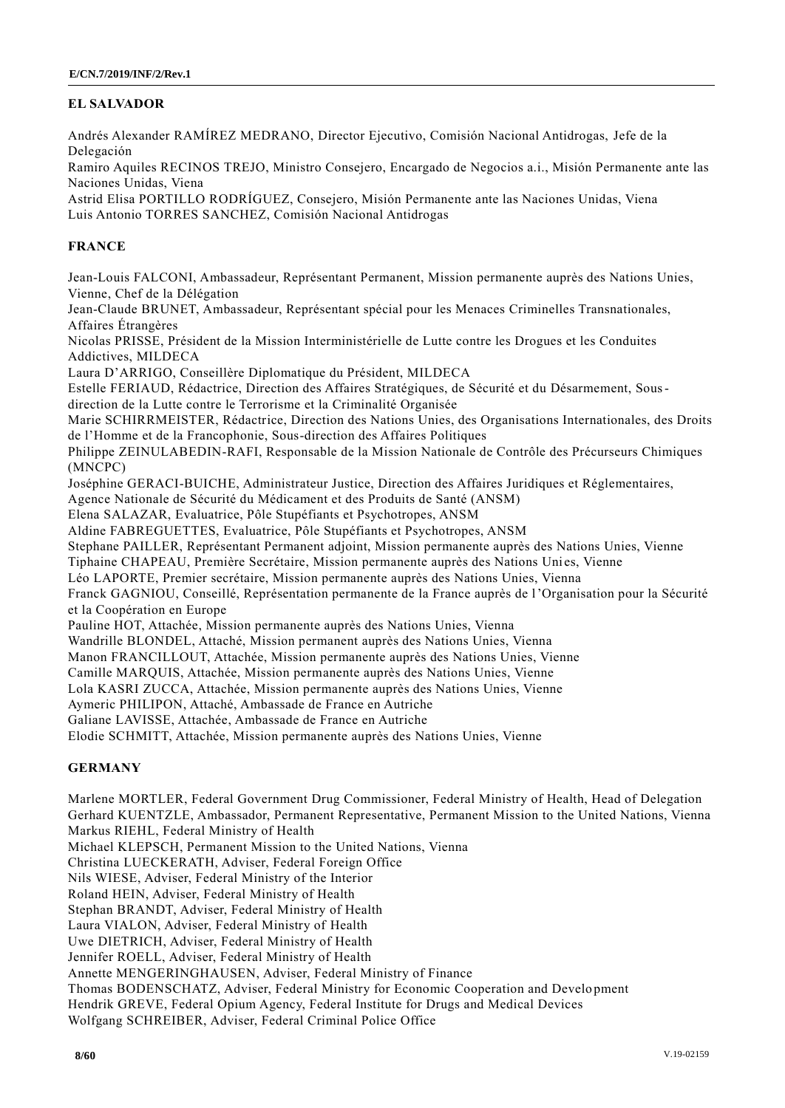## **EL SALVADOR**

Andrés Alexander RAMÍREZ MEDRANO, Director Ejecutivo, Comisión Nacional Antidrogas, Jefe de la Delegación

Ramiro Aquiles RECINOS TREJO, Ministro Consejero, Encargado de Negocios a.i., Misión Permanente ante las Naciones Unidas, Viena

Astrid Elisa PORTILLO RODRÍGUEZ, Consejero, Misión Permanente ante las Naciones Unidas, Viena Luis Antonio TORRES SANCHEZ, Comisión Nacional Antidrogas

## **FRANCE**

Jean-Louis FALCONI, Ambassadeur, Représentant Permanent, Mission permanente auprès des Nations Unies, Vienne, Chef de la Délégation

Jean-Claude BRUNET, Ambassadeur, Représentant spécial pour les Menaces Criminelles Transnationales, Affaires Étrangères

Nicolas PRISSE, Président de la Mission Interministérielle de Lutte contre les Drogues et les Conduites Addictives, MILDECA

Laura D'ARRIGO, Conseillère Diplomatique du Président, MILDECA

Estelle FERIAUD, Rédactrice, Direction des Affaires Stratégiques, de Sécurité et du Désarmement, Sousdirection de la Lutte contre le Terrorisme et la Criminalité Organisée

Marie SCHIRRMEISTER, Rédactrice, Direction des Nations Unies, des Organisations Internationales, des Droits de l'Homme et de la Francophonie, Sous-direction des Affaires Politiques

Philippe ZEINULABEDIN-RAFI, Responsable de la Mission Nationale de Contrôle des Précurseurs Chimiques (MNCPC)

Joséphine GERACI-BUICHE, Administrateur Justice, Direction des Affaires Juridiques et Réglementaires,

Agence Nationale de Sécurité du Médicament et des Produits de Santé (ANSM)

Elena SALAZAR, Evaluatrice, Pôle Stupéfiants et Psychotropes, ANSM

Aldine FABREGUETTES, Evaluatrice, Pôle Stupéfiants et Psychotropes, ANSM

Stephane PAILLER, Représentant Permanent adjoint, Mission permanente auprès des Nations Unies, Vienne

Tiphaine CHAPEAU, Première Secrétaire, Mission permanente auprès des Nations Uni es, Vienne

Léo LAPORTE, Premier secrétaire, Mission permanente auprès des Nations Unies, Vienna

Franck GAGNIOU, Conseillé, Représentation permanente de la France auprès de l'Organisation pour la Sécurité et la Coopération en Europe

Pauline HOT, Attachée, Mission permanente auprès des Nations Unies, Vienna

Wandrille BLONDEL, Attaché, Mission permanent auprès des Nations Unies, Vienna

Manon FRANCILLOUT, Attachée, Mission permanente auprès des Nations Unies, Vienne

Camille MARQUIS, Attachée, Mission permanente auprès des Nations Unies, Vienne

Lola KASRI ZUCCA, Attachée, Mission permanente auprès des Nations Unies, Vienne

Aymeric PHILIPON, Attaché, Ambassade de France en Autriche

Galiane LAVISSE, Attachée, Ambassade de France en Autriche

Elodie SCHMITT, Attachée, Mission permanente auprès des Nations Unies, Vienne

## **GERMANY**

Marlene MORTLER, Federal Government Drug Commissioner, Federal Ministry of Health, Head of Delegation Gerhard KUENTZLE, Ambassador, Permanent Representative, Permanent Mission to the United Nations, Vienna Markus RIEHL, Federal Ministry of Health Michael KLEPSCH, Permanent Mission to the United Nations, Vienna Christina LUECKERATH, Adviser, Federal Foreign Office Nils WIESE, Adviser, Federal Ministry of the Interior Roland HEIN, Adviser, Federal Ministry of Health Stephan BRANDT, Adviser, Federal Ministry of Health Laura VIALON, Adviser, Federal Ministry of Health Uwe DIETRICH, Adviser, Federal Ministry of Health Jennifer ROELL, Adviser, Federal Ministry of Health Annette MENGERINGHAUSEN, Adviser, Federal Ministry of Finance Thomas BODENSCHATZ, Adviser, Federal Ministry for Economic Cooperation and Develo pment Hendrik GREVE, Federal Opium Agency, Federal Institute for Drugs and Medical Devices Wolfgang SCHREIBER, Adviser, Federal Criminal Police Office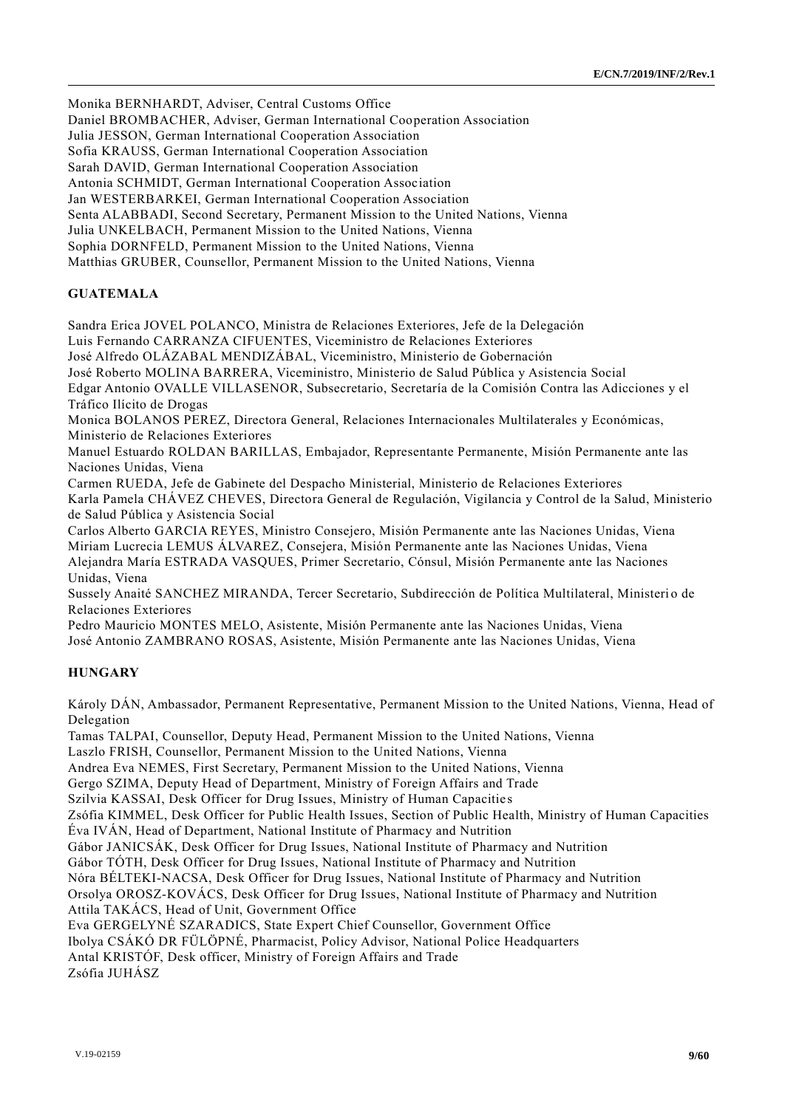Monika BERNHARDT, Adviser, Central Customs Office

Daniel BROMBACHER, Adviser, German International Cooperation Association

Julia JESSON, German International Cooperation Association

Sofia KRAUSS, German International Cooperation Association

Sarah DAVID, German International Cooperation Association

Antonia SCHMIDT, German International Cooperation Association

Jan WESTERBARKEI, German International Cooperation Association

Senta ALABBADI, Second Secretary, Permanent Mission to the United Nations, Vienna

Julia UNKELBACH, Permanent Mission to the United Nations, Vienna

Sophia DORNFELD, Permanent Mission to the United Nations, Vienna

Matthias GRUBER, Counsellor, Permanent Mission to the United Nations, Vienna

## **GUATEMALA**

Sandra Erica JOVEL POLANCO, Ministra de Relaciones Exteriores, Jefe de la Delegación Luis Fernando CARRANZA CIFUENTES, Viceministro de Relaciones Exteriores José Alfredo OLÁZABAL MENDIZÁBAL, Viceministro, Ministerio de Gobernación José Roberto MOLINA BARRERA, Viceministro, Ministerio de Salud Pública y Asistencia Social Edgar Antonio OVALLE VILLASENOR, Subsecretario, Secretaría de la Comisión Contra las Adicciones y el Tráfico Ilícito de Drogas

Monica BOLANOS PEREZ, Directora General, Relaciones Internacionales Multilaterales y Económicas, Ministerio de Relaciones Exteriores

Manuel Estuardo ROLDAN BARILLAS, Embajador, Representante Permanente, Misión Permanente ante las Naciones Unidas, Viena

Carmen RUEDA, Jefe de Gabinete del Despacho Ministerial, Ministerio de Relaciones Exteriores Karla Pamela CHÁVEZ CHEVES, Directora General de Regulación, Vigilancia y Control de la Salud, Ministerio de Salud Pública y Asistencia Social

Carlos Alberto GARCIA REYES, Ministro Consejero, Misión Permanente ante las Naciones Unidas, Viena Miriam Lucrecia LEMUS ÁLVAREZ, Consejera, Misión Permanente ante las Naciones Unidas, Viena Alejandra María ESTRADA VASQUES, Primer Secretario, Cónsul, Misión Permanente ante las Naciones Unidas, Viena

Sussely Anaité SANCHEZ MIRANDA, Tercer Secretario, Subdirección de Política Multilateral, Ministerio de Relaciones Exteriores

Pedro Mauricio MONTES MELO, Asistente, Misión Permanente ante las Naciones Unidas, Viena José Antonio ZAMBRANO ROSAS, Asistente, Misión Permanente ante las Naciones Unidas, Viena

## **HUNGARY**

Károly DÁN, Ambassador, Permanent Representative, Permanent Mission to the United Nations, Vienna, Head of Delegation

Tamas TALPAI, Counsellor, Deputy Head, Permanent Mission to the United Nations, Vienna Laszlo FRISH, Counsellor, Permanent Mission to the United Nations, Vienna Andrea Eva NEMES, First Secretary, Permanent Mission to the United Nations, Vienna Gergo SZIMA, Deputy Head of Department, Ministry of Foreign Affairs and Trade Szilvia KASSAI, Desk Officer for Drug Issues, Ministry of Human Capacitie s Zsófia KIMMEL, Desk Officer for Public Health Issues, Section of Public Health, Ministry of Human Capacities Éva IVÁN, Head of Department, National Institute of Pharmacy and Nutrition Gábor JANICSÁK, Desk Officer for Drug Issues, National Institute of Pharmacy and Nutrition Gábor TÓTH, Desk Officer for Drug Issues, National Institute of Pharmacy and Nutrition Nóra BÉLTEKI-NACSA, Desk Officer for Drug Issues, National Institute of Pharmacy and Nutrition Orsolya OROSZ-KOVÁCS, Desk Officer for Drug Issues, National Institute of Pharmacy and Nutrition Attila TAKÁCS, Head of Unit, Government Office Eva GERGELYNÉ SZARADICS, State Expert Chief Counsellor, Government Office Ibolya CSÁKÓ DR FÜLÖPNÉ, Pharmacist, Policy Advisor, National Police Headquarters Antal KRISTÓF, Desk officer, Ministry of Foreign Affairs and Trade

Zsófia JUHÁSZ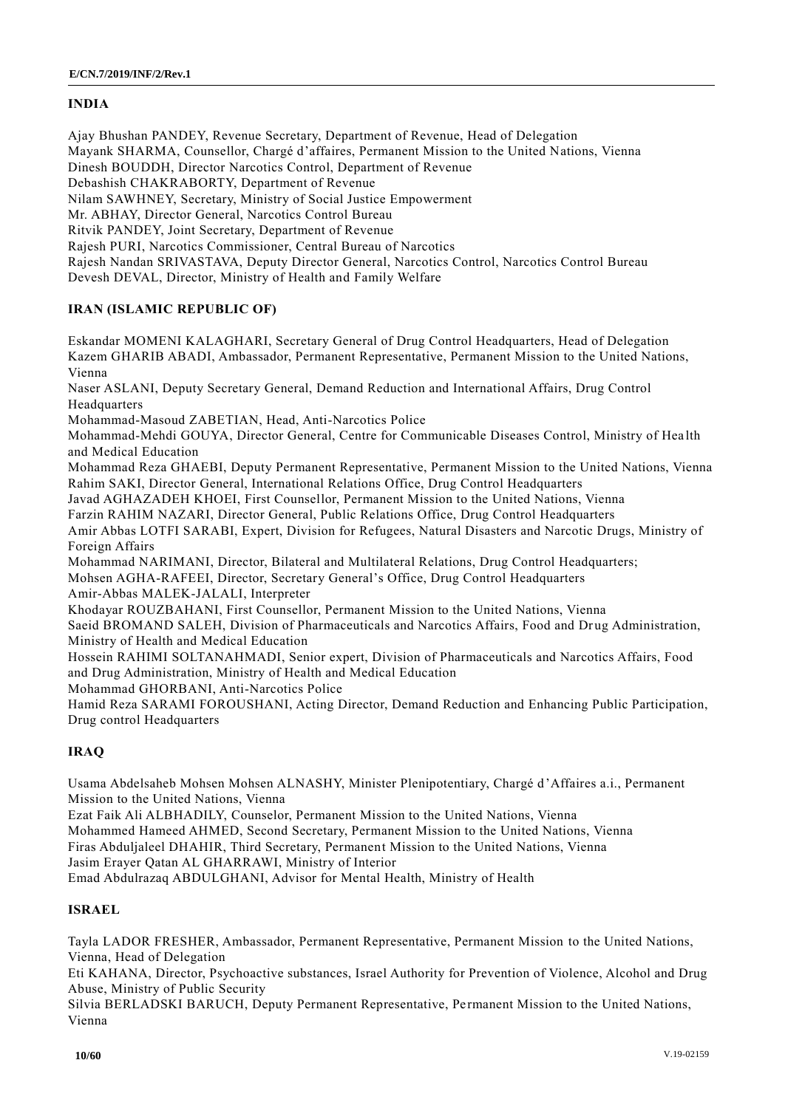## **INDIA**

Ajay Bhushan PANDEY, Revenue Secretary, Department of Revenue, Head of Delegation Mayank SHARMA, Counsellor, Chargé d'affaires, Permanent Mission to the United Nations, Vienna Dinesh BOUDDH, Director Narcotics Control, Department of Revenue Debashish CHAKRABORTY, Department of Revenue Nilam SAWHNEY, Secretary, Ministry of Social Justice Empowerment Mr. ABHAY, Director General, Narcotics Control Bureau Ritvik PANDEY, Joint Secretary, Department of Revenue Rajesh PURI, Narcotics Commissioner, Central Bureau of Narcotics Rajesh Nandan SRIVASTAVA, Deputy Director General, Narcotics Control, Narcotics Control Bureau Devesh DEVAL, Director, Ministry of Health and Family Welfare

## **IRAN (ISLAMIC REPUBLIC OF)**

Eskandar MOMENI KALAGHARI, Secretary General of Drug Control Headquarters, Head of Delegation Kazem GHARIB ABADI, Ambassador, Permanent Representative, Permanent Mission to the United Nations, Vienna

Naser ASLANI, Deputy Secretary General, Demand Reduction and International Affairs, Drug Control Headquarters

Mohammad-Masoud ZABETIAN, Head, Anti-Narcotics Police

Mohammad-Mehdi GOUYA, Director General, Centre for Communicable Diseases Control, Ministry of Hea lth and Medical Education

Mohammad Reza GHAEBI, Deputy Permanent Representative, Permanent Mission to the United Nations, Vienna Rahim SAKI, Director General, International Relations Office, Drug Control Headquarters

Javad AGHAZADEH KHOEI, First Counsellor, Permanent Mission to the United Nations, Vienna

Farzin RAHIM NAZARI, Director General, Public Relations Office, Drug Control Headquarters

Amir Abbas LOTFI SARABI, Expert, Division for Refugees, Natural Disasters and Narcotic Drugs, Ministry of Foreign Affairs

Mohammad NARIMANI, Director, Bilateral and Multilateral Relations, Drug Control Headquarters; Mohsen AGHA-RAFEEI, Director, Secretary General's Office, Drug Control Headquarters

Amir-Abbas MALEK-JALALI, Interpreter

Khodayar ROUZBAHANI, First Counsellor, Permanent Mission to the United Nations, Vienna

Saeid BROMAND SALEH, Division of Pharmaceuticals and Narcotics Affairs, Food and Drug Administration, Ministry of Health and Medical Education

Hossein RAHIMI SOLTANAHMADI, Senior expert, Division of Pharmaceuticals and Narcotics Affairs, Food and Drug Administration, Ministry of Health and Medical Education

Mohammad GHORBANI, Anti-Narcotics Police

Hamid Reza SARAMI FOROUSHANI, Acting Director, Demand Reduction and Enhancing Public Participation, Drug control Headquarters

## **IRAQ**

Usama Abdelsaheb Mohsen Mohsen ALNASHY, Minister Plenipotentiary, Chargé d'Affaires a.i., Permanent Mission to the United Nations, Vienna

Ezat Faik Ali ALBHADILY, Counselor, Permanent Mission to the United Nations, Vienna Mohammed Hameed AHMED, Second Secretary, Permanent Mission to the United Nations, Vienna Firas Abduljaleel DHAHIR, Third Secretary, Permanent Mission to the United Nations, Vienna Jasim Erayer Qatan AL GHARRAWI, Ministry of Interior Emad Abdulrazaq ABDULGHANI, Advisor for Mental Health, Ministry of Health

## **ISRAEL**

Tayla LADOR FRESHER, Ambassador, Permanent Representative, Permanent Mission to the United Nations, Vienna, Head of Delegation

Eti KAHANA, Director, Psychoactive substances, Israel Authority for Prevention of Violence, Alcohol and Drug Abuse, Ministry of Public Security

Silvia BERLADSKI BARUCH, Deputy Permanent Representative, Permanent Mission to the United Nations, Vienna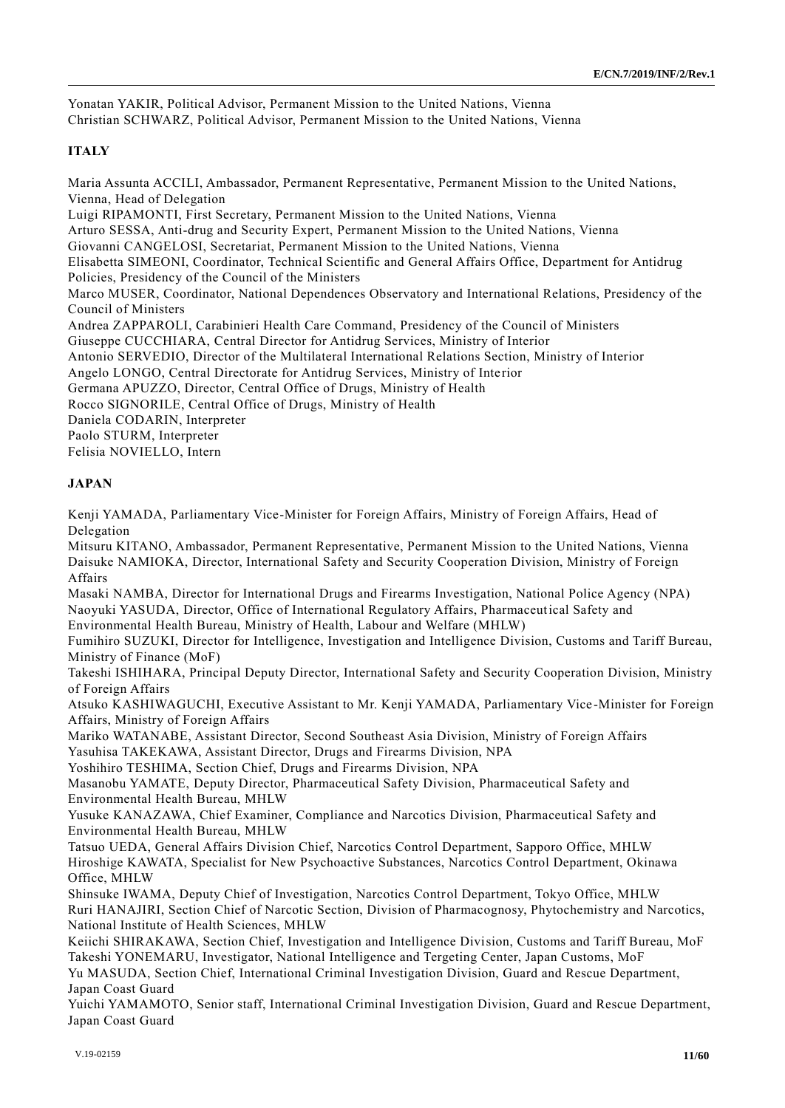Yonatan YAKIR, Political Advisor, Permanent Mission to the United Nations, Vienna Christian SCHWARZ, Political Advisor, Permanent Mission to the United Nations, Vienna

## **ITALY**

Maria Assunta ACCILI, Ambassador, Permanent Representative, Permanent Mission to the United Nations, Vienna, Head of Delegation Luigi RIPAMONTI, First Secretary, Permanent Mission to the United Nations, Vienna Arturo SESSA, Anti-drug and Security Expert, Permanent Mission to the United Nations, Vienna Giovanni CANGELOSI, Secretariat, Permanent Mission to the United Nations, Vienna Elisabetta SIMEONI, Coordinator, Technical Scientific and General Affairs Office, Department for Antidrug Policies, Presidency of the Council of the Ministers Marco MUSER, Coordinator, National Dependences Observatory and International Relations, Presidency of the Council of Ministers Andrea ZAPPAROLI, Carabinieri Health Care Command, Presidency of the Council of Ministers Giuseppe CUCCHIARA, Central Director for Antidrug Services, Ministry of Interior Antonio SERVEDIO, Director of the Multilateral International Relations Section, Ministry of Interior Angelo LONGO, Central Directorate for Antidrug Services, Ministry of Inte rior Germana APUZZO, Director, Central Office of Drugs, Ministry of Health Rocco SIGNORILE, Central Office of Drugs, Ministry of Health Daniela CODARIN, Interpreter Paolo STURM, Interpreter Felisia NOVIELLO, Intern

## **JAPAN**

Kenji YAMADA, Parliamentary Vice-Minister for Foreign Affairs, Ministry of Foreign Affairs, Head of Delegation

Mitsuru KITANO, Ambassador, Permanent Representative, Permanent Mission to the United Nations, Vienna Daisuke NAMIOKA, Director, International Safety and Security Cooperation Division, Ministry of Foreign Affairs

Masaki NAMBA, Director for International Drugs and Firearms Investigation, National Police Agency (NPA) Naoyuki YASUDA, Director, Office of International Regulatory Affairs, Pharmaceutical Safety and Environmental Health Bureau, Ministry of Health, Labour and Welfare (MHLW)

Fumihiro SUZUKI, Director for Intelligence, Investigation and Intelligence Division, Customs and Tariff Bureau, Ministry of Finance (MoF)

Takeshi ISHIHARA, Principal Deputy Director, International Safety and Security Cooperation Division, Ministry of Foreign Affairs

Atsuko KASHIWAGUCHI, Executive Assistant to Mr. Kenji YAMADA, Parliamentary Vice -Minister for Foreign Affairs, Ministry of Foreign Affairs

Mariko WATANABE, Assistant Director, Second Southeast Asia Division, Ministry of Foreign Affairs

Yasuhisa TAKEKAWA, Assistant Director, Drugs and Firearms Division, NPA

Yoshihiro TESHIMA, Section Chief, Drugs and Firearms Division, NPA

Masanobu YAMATE, Deputy Director, Pharmaceutical Safety Division, Pharmaceutical Safety and Environmental Health Bureau, MHLW

Yusuke KANAZAWA, Chief Examiner, Compliance and Narcotics Division, Pharmaceutical Safety and Environmental Health Bureau, MHLW

Tatsuo UEDA, General Affairs Division Chief, Narcotics Control Department, Sapporo Office, MHLW Hiroshige KAWATA, Specialist for New Psychoactive Substances, Narcotics Control Department, Okinawa Office, MHLW

Shinsuke IWAMA, Deputy Chief of Investigation, Narcotics Control Department, Tokyo Office, MHLW Ruri HANAJIRI, Section Chief of Narcotic Section, Division of Pharmacognosy, Phytochemistry and Narcotics, National Institute of Health Sciences, MHLW

Keiichi SHIRAKAWA, Section Chief, Investigation and Intelligence Division, Customs and Tariff Bureau, MoF Takeshi YONEMARU, Investigator, National Intelligence and Tergeting Center, Japan Customs, MoF

Yu MASUDA, Section Chief, International Criminal Investigation Division, Guard and Rescue Department, Japan Coast Guard

Yuichi YAMAMOTO, Senior staff, International Criminal Investigation Division, Guard and Rescue Department, Japan Coast Guard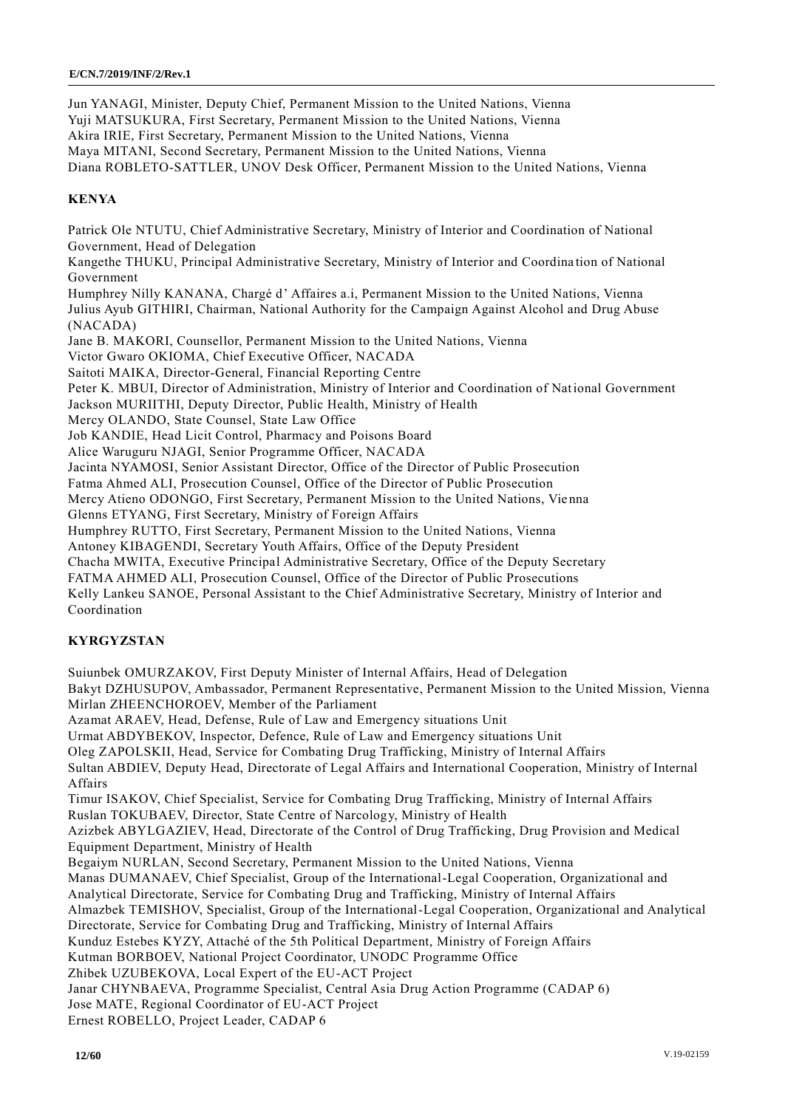Jun YANAGI, Minister, Deputy Chief, Permanent Mission to the United Nations, Vienna Yuji MATSUKURA, First Secretary, Permanent Mission to the United Nations, Vienna Akira IRIE, First Secretary, Permanent Mission to the United Nations, Vienna Maya MITANI, Second Secretary, Permanent Mission to the United Nations, Vienna Diana ROBLETO-SATTLER, UNOV Desk Officer, Permanent Mission to the United Nations, Vienna **KENYA** Patrick Ole NTUTU, Chief Administrative Secretary, Ministry of Interior and Coordination of National Government, Head of Delegation Kangethe THUKU, Principal Administrative Secretary, Ministry of Interior and Coordina tion of National Government Humphrey Nilly KANANA, Chargé d' Affaires a.i, Permanent Mission to the United Nations, Vienna Julius Ayub GITHIRI, Chairman, National Authority for the Campaign Against Alcohol and Drug Abuse (NACADA) Jane B. MAKORI, Counsellor, Permanent Mission to the United Nations, Vienna Victor Gwaro OKIOMA, Chief Executive Officer, NACADA Saitoti MAIKA, Director-General, Financial Reporting Centre Peter K. MBUI, Director of Administration, Ministry of Interior and Coordination of National Government Jackson MURIITHI, Deputy Director, Public Health, Ministry of Health Mercy OLANDO, State Counsel, State Law Office Job KANDIE, Head Licit Control, Pharmacy and Poisons Board

Alice Waruguru NJAGI, Senior Programme Officer, NACADA Jacinta NYAMOSI, Senior Assistant Director, Office of the Director of Public Prosecution

Fatma Ahmed ALI, Prosecution Counsel, Office of the Director of Public Prosecution

Mercy Atieno ODONGO, First Secretary, Permanent Mission to the United Nations, Vie nna

Glenns ETYANG, First Secretary, Ministry of Foreign Affairs

Humphrey RUTTO, First Secretary, Permanent Mission to the United Nations, Vienna

Antoney KIBAGENDI, Secretary Youth Affairs, Office of the Deputy President

Chacha MWITA, Executive Principal Administrative Secretary, Office of the Deputy Secretary

FATMA AHMED ALI, Prosecution Counsel, Office of the Director of Public Prosecutions

Kelly Lankeu SANOE, Personal Assistant to the Chief Administrative Secretary, Ministry of Interior and Coordination

## **KYRGYZSTAN**

Suiunbek OMURZAKOV, First Deputy Minister of Internal Affairs, Head of Delegation Bakyt DZHUSUPOV, Ambassador, Permanent Representative, Permanent Mission to the United Mission, Vienna Mirlan ZHEENCHOROEV, Member of the Parliament Azamat ARAEV, Head, Defense, Rule of Law and Emergency situations Unit Urmat ABDYBEKOV, Inspector, Defence, Rule of Law and Emergency situations Unit Oleg ZAPOLSKII, Head, Service for Combating Drug Trafficking, Ministry of Internal Affairs Sultan ABDIEV, Deputy Head, Directorate of Legal Affairs and International Cooperation, Ministry of Internal Affairs Timur ISAKOV, Chief Specialist, Service for Combating Drug Trafficking, Ministry of Internal Affairs Ruslan TOKUBAEV, Director, State Centre of Narcology, Ministry of Health Azizbek ABYLGAZIEV, Head, Directorate of the Control of Drug Trafficking, Drug Provision and Medical Equipment Department, Ministry of Health Begaiym NURLAN, Second Secretary, Permanent Mission to the United Nations, Vienna Manas DUMANAEV, Chief Specialist, Group of the International-Legal Cooperation, Organizational and Analytical Directorate, Service for Combating Drug and Trafficking, Ministry of Internal Affairs Almazbek TEMISHOV, Specialist, Group of the International-Legal Cooperation, Organizational and Analytical Directorate, Service for Combating Drug and Trafficking, Ministry of Internal Affairs Kunduz Estebes KYZY, Attaché of the 5th Political Department, Ministry of Foreign Affairs Kutman BORBOEV, National Project Coordinator, UNODC Programme Office Zhibek UZUBEKOVA, Local Expert of the EU-ACT Project Janar CHYNBAEVA, Programme Specialist, Central Asia Drug Action Programme (CADAP 6) Jose MATE, Regional Coordinator of EU-ACT Project Ernest ROBELLO, Project Leader, CADAP 6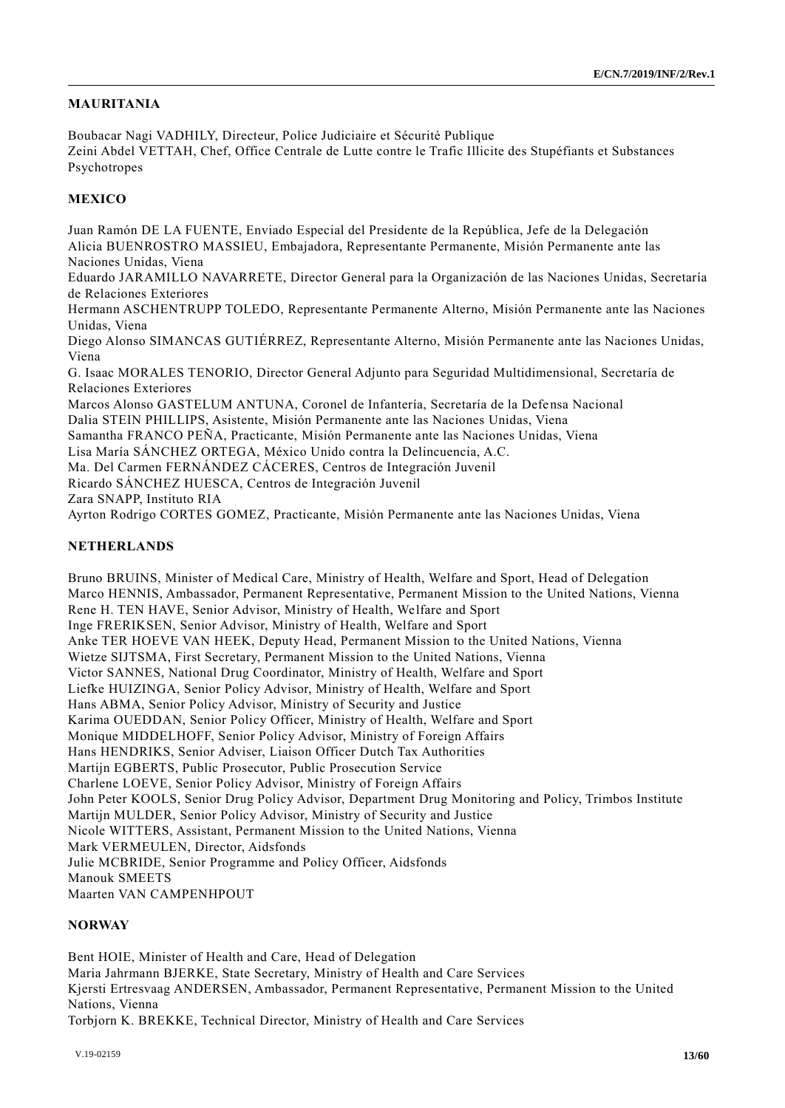## **MAURITANIA**

Boubacar Nagi VADHILY, Directeur, Police Judiciaire et Sécurité Publique Zeini Abdel VETTAH, Chef, Office Centrale de Lutte contre le Trafic Illicite des Stupéfiants et Substances Psychotropes

## **MEXICO**

Juan Ramón DE LA FUENTE, Enviado Especial del Presidente de la República, Jefe de la Delegación Alicia BUENROSTRO MASSIEU, Embajadora, Representante Permanente, Misión Permanente ante las Naciones Unidas, Viena

Eduardo JARAMILLO NAVARRETE, Director General para la Organización de las Naciones Unidas, Secretaría de Relaciones Exteriores

Hermann ASCHENTRUPP TOLEDO, Representante Permanente Alterno, Misión Permanente ante las Naciones Unidas, Viena

Diego Alonso SIMANCAS GUTIÉRREZ, Representante Alterno, Misión Permanente ante las Naciones Unidas, Viena

G. Isaac MORALES TENORIO, Director General Adjunto para Seguridad Multidimensional, Secretaría de Relaciones Exteriores

Marcos Alonso GASTELUM ANTUNA, Coronel de Infantería, Secretaría de la Defensa Nacional Dalia STEIN PHILLIPS, Asistente, Misión Permanente ante las Naciones Unidas, Viena Samantha FRANCO PEÑA, Practicante, Misión Permanente ante las Naciones Unidas, Viena Lisa María SÁNCHEZ ORTEGA, México Unido contra la Delincuencia, A.C.

Ma. Del Carmen FERNÁNDEZ CÁCERES, Centros de Integración Juvenil

Ricardo SÁNCHEZ HUESCA, Centros de Integración Juvenil

Zara SNAPP, Instituto RIA

Ayrton Rodrigo CORTES GOMEZ, Practicante, Misión Permanente ante las Naciones Unidas, Viena

## **NETHERLANDS**

Bruno BRUINS, Minister of Medical Care, Ministry of Health, Welfare and Sport, Head of Delegation Marco HENNIS, Ambassador, Permanent Representative, Permanent Mission to the United Nations, Vienna Rene H. TEN HAVE, Senior Advisor, Ministry of Health, Welfare and Sport Inge FRERIKSEN, Senior Advisor, Ministry of Health, Welfare and Sport Anke TER HOEVE VAN HEEK, Deputy Head, Permanent Mission to the United Nations, Vienna Wietze SIJTSMA, First Secretary, Permanent Mission to the United Nations, Vienna Victor SANNES, National Drug Coordinator, Ministry of Health, Welfare and Sport Liefke HUIZINGA, Senior Policy Advisor, Ministry of Health, Welfare and Sport Hans ABMA, Senior Policy Advisor, Ministry of Security and Justice Karima OUEDDAN, Senior Policy Officer, Ministry of Health, Welfare and Sport Monique MIDDELHOFF, Senior Policy Advisor, Ministry of Foreign Affairs Hans HENDRIKS, Senior Adviser, Liaison Officer Dutch Tax Authorities Martijn EGBERTS, Public Prosecutor, Public Prosecution Service Charlene LOEVE, Senior Policy Advisor, Ministry of Foreign Affairs John Peter KOOLS, Senior Drug Policy Advisor, Department Drug Monitoring and Policy, Trimbos Institute Martijn MULDER, Senior Policy Advisor, Ministry of Security and Justice Nicole WITTERS, Assistant, Permanent Mission to the United Nations, Vienna Mark VERMEULEN, Director, Aidsfonds Julie MCBRIDE, Senior Programme and Policy Officer, Aidsfonds Manouk SMEETS Maarten VAN CAMPENHPOUT

#### **NORWAY**

Bent HOIE, Minister of Health and Care, Head of Delegation Maria Jahrmann BJERKE, State Secretary, Ministry of Health and Care Services Kjersti Ertresvaag ANDERSEN, Ambassador, Permanent Representative, Permanent Mission to the United Nations, Vienna Torbjorn K. BREKKE, Technical Director, Ministry of Health and Care Services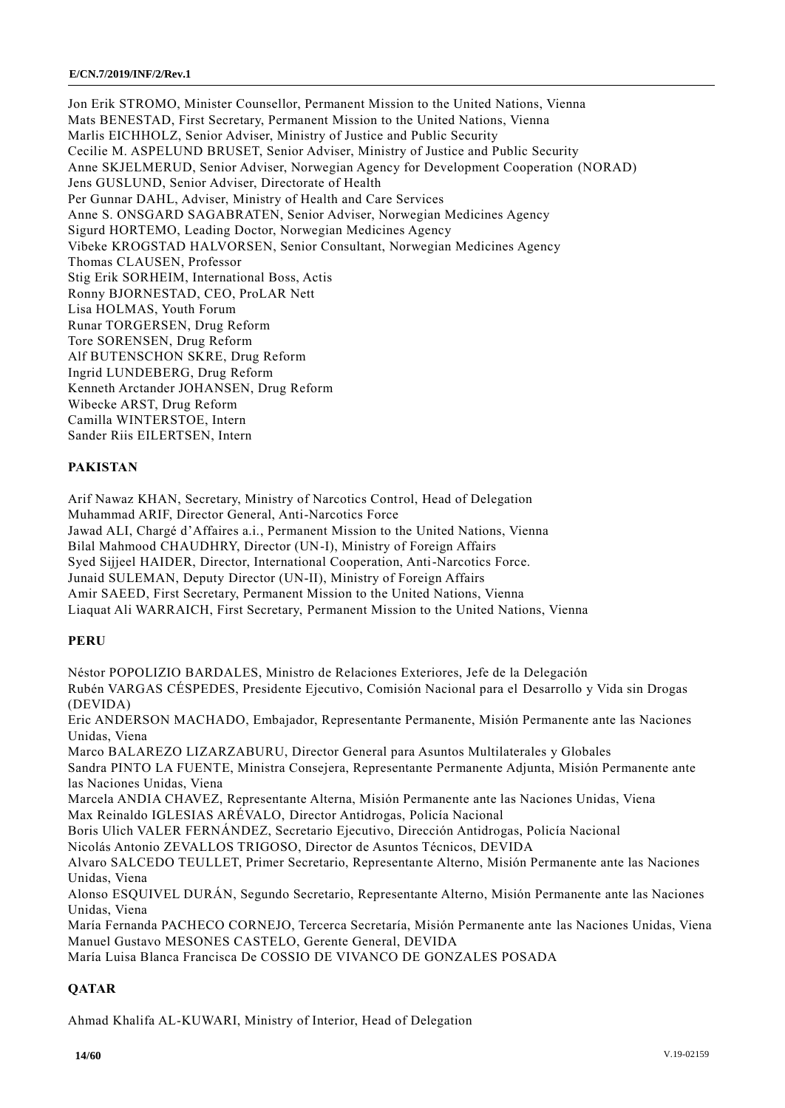Jon Erik STROMO, Minister Counsellor, Permanent Mission to the United Nations, Vienna Mats BENESTAD, First Secretary, Permanent Mission to the United Nations, Vienna Marlis EICHHOLZ, Senior Adviser, Ministry of Justice and Public Security Cecilie M. ASPELUND BRUSET, Senior Adviser, Ministry of Justice and Public Security Anne SKJELMERUD, Senior Adviser, Norwegian Agency for Development Cooperation (NORAD) Jens GUSLUND, Senior Adviser, Directorate of Health Per Gunnar DAHL, Adviser, Ministry of Health and Care Services Anne S. ONSGARD SAGABRATEN, Senior Adviser, Norwegian Medicines Agency Sigurd HORTEMO, Leading Doctor, Norwegian Medicines Agency Vibeke KROGSTAD HALVORSEN, Senior Consultant, Norwegian Medicines Agency Thomas CLAUSEN, Professor Stig Erik SORHEIM, International Boss, Actis Ronny BJORNESTAD, CEO, ProLAR Nett Lisa HOLMAS, Youth Forum Runar TORGERSEN, Drug Reform Tore SORENSEN, Drug Reform Alf BUTENSCHON SKRE, Drug Reform Ingrid LUNDEBERG, Drug Reform Kenneth Arctander JOHANSEN, Drug Reform Wibecke ARST, Drug Reform Camilla WINTERSTOE, Intern Sander Riis EILERTSEN, Intern

## **PAKISTAN**

Arif Nawaz KHAN, Secretary, Ministry of Narcotics Control, Head of Delegation Muhammad ARIF, Director General, Anti-Narcotics Force Jawad ALI, Chargé d'Affaires a.i., Permanent Mission to the United Nations, Vienna Bilal Mahmood CHAUDHRY, Director (UN-I), Ministry of Foreign Affairs Syed Sijjeel HAIDER, Director, International Cooperation, Anti-Narcotics Force. Junaid SULEMAN, Deputy Director (UN-II), Ministry of Foreign Affairs Amir SAEED, First Secretary, Permanent Mission to the United Nations, Vienna Liaquat Ali WARRAICH, First Secretary, Permanent Mission to the United Nations, Vienna

## **PERU**

Néstor POPOLIZIO BARDALES, Ministro de Relaciones Exteriores, Jefe de la Delegación Rubén VARGAS CÉSPEDES, Presidente Ejecutivo, Comisión Nacional para el Desarrollo y Vida sin Drogas (DEVIDA) Eric ANDERSON MACHADO, Embajador, Representante Permanente, Misión Permanente ante las Naciones Unidas, Viena Marco BALAREZO LIZARZABURU, Director General para Asuntos Multilaterales y Globales Sandra PINTO LA FUENTE, Ministra Consejera, Representante Permanente Adjunta, Misión Permanente ante las Naciones Unidas, Viena Marcela ANDIA CHAVEZ, Representante Alterna, Misión Permanente ante las Naciones Unidas, Viena Max Reinaldo IGLESIAS ARÉVALO, Director Antidrogas, Policía Nacional Boris Ulich VALER FERNÁNDEZ, Secretario Ejecutivo, Dirección Antidrogas, Policía Nacional Nicolás Antonio ZEVALLOS TRIGOSO, Director de Asuntos Técnicos, DEVIDA Alvaro SALCEDO TEULLET, Primer Secretario, Representante Alterno, Misión Permanente ante las Naciones Unidas, Viena Alonso ESQUIVEL DURÁN, Segundo Secretario, Representante Alterno, Misión Permanente ante las Naciones Unidas, Viena María Fernanda PACHECO CORNEJO, Tercerca Secretaría, Misión Permanente ante las Naciones Unidas, Viena Manuel Gustavo MESONES CASTELO, Gerente General, DEVIDA

María Luisa Blanca Francisca De COSSIO DE VIVANCO DE GONZALES POSADA

## **QATAR**

Ahmad Khalifa AL-KUWARI, Ministry of Interior, Head of Delegation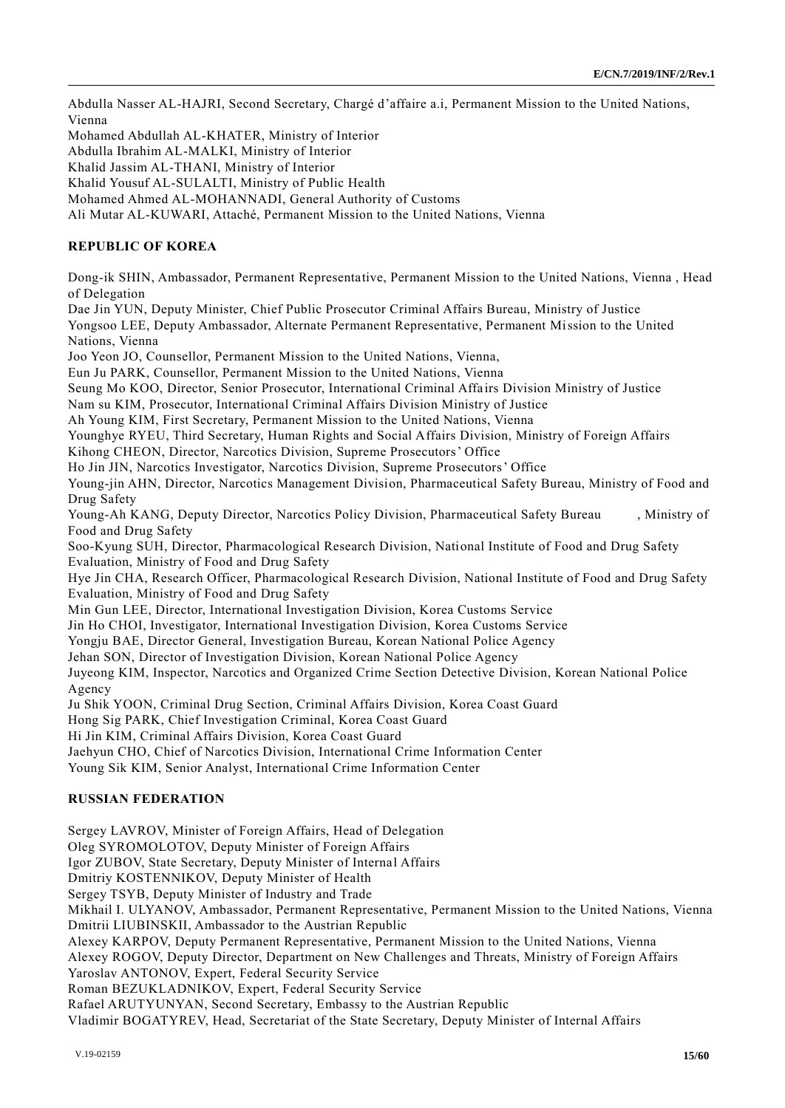Abdulla Nasser AL-HAJRI, Second Secretary, Chargé d'affaire a.i, Permanent Mission to the United Nations, Vienna

Mohamed Abdullah AL-KHATER, Ministry of Interior

Abdulla Ibrahim AL-MALKI, Ministry of Interior

Khalid Jassim AL-THANI, Ministry of Interior

Khalid Yousuf AL-SULALTI, Ministry of Public Health

Mohamed Ahmed AL-MOHANNADI, General Authority of Customs

Ali Mutar AL-KUWARI, Attaché, Permanent Mission to the United Nations, Vienna

#### **REPUBLIC OF KOREA**

Dong-ik SHIN, Ambassador, Permanent Representative, Permanent Mission to the United Nations, Vienna , Head of Delegation

Dae Jin YUN, Deputy Minister, Chief Public Prosecutor Criminal Affairs Bureau, Ministry of Justice

Yongsoo LEE, Deputy Ambassador, Alternate Permanent Representative, Permanent Mission to the United Nations, Vienna

Joo Yeon JO, Counsellor, Permanent Mission to the United Nations, Vienna,

Eun Ju PARK, Counsellor, Permanent Mission to the United Nations, Vienna

Seung Mo KOO, Director, Senior Prosecutor, International Criminal Affa irs Division Ministry of Justice

Nam su KIM, Prosecutor, International Criminal Affairs Division Ministry of Justice

Ah Young KIM, First Secretary, Permanent Mission to the United Nations, Vienna

Younghye RYEU, Third Secretary, Human Rights and Social Affairs Division, Ministry of Foreign Affairs

Kihong CHEON, Director, Narcotics Division, Supreme Prosecutors' Office

Ho Jin JIN, Narcotics Investigator, Narcotics Division, Supreme Prosecutors' Office

Young-jin AHN, Director, Narcotics Management Division, Pharmaceutical Safety Bureau, Ministry of Food and Drug Safety

Young-Ah KANG, Deputy Director, Narcotics Policy Division, Pharmaceutical Safety Bureau , Ministry of Food and Drug Safety

Soo-Kyung SUH, Director, Pharmacological Research Division, National Institute of Food and Drug Safety Evaluation, Ministry of Food and Drug Safety

Hye Jin CHA, Research Officer, Pharmacological Research Division, National Institute of Food and Drug Safety Evaluation, Ministry of Food and Drug Safety

Min Gun LEE, Director, International Investigation Division, Korea Customs Service

Jin Ho CHOI, Investigator, International Investigation Division, Korea Customs Service

Yongju BAE, Director General, Investigation Bureau, Korean National Police Agency

Jehan SON, Director of Investigation Division, Korean National Police Agency

Juyeong KIM, Inspector, Narcotics and Organized Crime Section Detective Division, Korean National Police Agency

Ju Shik YOON, Criminal Drug Section, Criminal Affairs Division, Korea Coast Guard

Hong Sig PARK, Chief Investigation Criminal, Korea Coast Guard

Hi Jin KIM, Criminal Affairs Division, Korea Coast Guard

Jaehyun CHO, Chief of Narcotics Division, International Crime Information Center

Young Sik KIM, Senior Analyst, International Crime Information Center

## **RUSSIAN FEDERATION**

Sergey LAVROV, Minister of Foreign Affairs, Head of Delegation Oleg SYROMOLOTOV, Deputy Minister of Foreign Affairs Igor ZUBOV, State Secretary, Deputy Minister of Internal Affairs Dmitriy KOSTENNIKOV, Deputy Minister of Health Sergey TSYB, Deputy Minister of Industry and Trade Mikhail I. ULYANOV, Ambassador, Permanent Representative, Permanent Mission to the United Nations, Vienna Dmitrii LIUBINSKII, Ambassador to the Austrian Republic Alexey KARPOV, Deputy Permanent Representative, Permanent Mission to the United Nations, Vienna Alexey ROGOV, Deputy Director, Department on New Challenges and Threats, Ministry of Foreign Affairs Yaroslav ANTONOV, Expert, Federal Security Service Roman BEZUKLADNIKOV, Expert, Federal Security Service Rafael ARUTYUNYAN, Second Secretary, Embassy to the Austrian Republic Vladimir BOGATYREV, Head, Secretariat of the State Secretary, Deputy Minister of Internal Affairs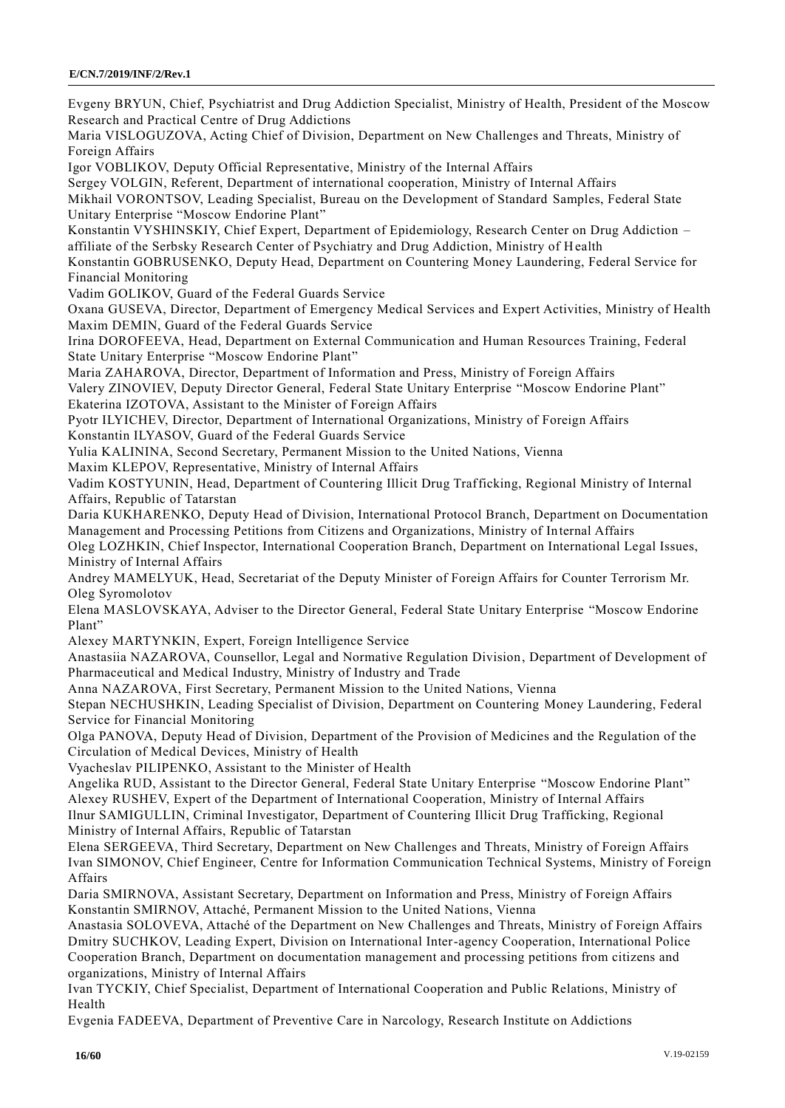Evgeny BRYUN, Chief, Psychiatrist and Drug Addiction Specialist, Ministry of Health, President of the Moscow Research and Practical Centre of Drug Addictions Maria VISLOGUZOVA, Acting Chief of Division, Department on New Challenges and Threats, Ministry of Foreign Affairs Igor VOBLIKOV, Deputy Official Representative, Ministry of the Internal Affairs Sergey VOLGIN, Referent, Department of international cooperation, Ministry of Internal Affairs Mikhail VORONTSOV, Leading Specialist, Bureau on the Development of Standard Samples, Federal State Unitary Enterprise "Moscow Endorine Plant" Konstantin VYSHINSKIY, Chief Expert, Department of Epidemiology, Research Center on Drug Addiction – affiliate of the Serbsky Research Center of Psychiatry and Drug Addiction, Ministry of Health Konstantin GOBRUSENKO, Deputy Head, Department on Countering Money Laundering, Federal Service for Financial Monitoring Vadim GOLIKOV, Guard of the Federal Guards Service Oxana GUSEVA, Director, Department of Emergency Medical Services and Expert Activities, Ministry of Health Maxim DEMIN, Guard of the Federal Guards Service Irina DOROFEEVA, Head, Department on External Communication and Human Resources Training, Federal State Unitary Enterprise "Moscow Endorine Plant" Maria ZAHAROVA, Director, Department of Information and Press, Ministry of Foreign Affairs Valery ZINOVIEV, Deputy Director General, Federal State Unitary Enterprise "Moscow Endorine Plant" Ekaterina IZOTOVA, Assistant to the Minister of Foreign Affairs Pyotr ILYICHEV, Director, Department of International Organizations, Ministry of Foreign Affairs Konstantin ILYASOV, Guard of the Federal Guards Service Yulia KALININA, Second Secretary, Permanent Mission to the United Nations, Vienna Maxim KLEPOV, Representative, Ministry of Internal Affairs Vadim KOSTYUNIN, Head, Department of Countering Illicit Drug Trafficking, Regional Ministry of Internal Affairs, Republic of Tatarstan Daria KUKHARENKO, Deputy Head of Division, International Protocol Branch, Department on Documentation Management and Processing Petitions from Citizens and Organizations, Ministry of Internal Affairs Oleg LOZHKIN, Chief Inspector, International Cooperation Branch, Department on International Legal Issues, Ministry of Internal Affairs Andrey MAMELYUK, Head, Secretariat of the Deputy Minister of Foreign Affairs for Counter Terrorism Mr. Oleg Syromolotov Elena MASLOVSKAYA, Adviser to the Director General, Federal State Unitary Enterprise "Moscow Endorine Plant" Alexey MARTYNKIN, Expert, Foreign Intelligence Service Anastasiia NAZAROVA, Counsellor, Legal and Normative Regulation Division, Department of Development of Pharmaceutical and Medical Industry, Ministry of Industry and Trade Anna NAZAROVA, First Secretary, Permanent Mission to the United Nations, Vienna Stepan NECHUSHKIN, Leading Specialist of Division, Department on Countering Money Laundering, Federal Service for Financial Monitoring Olga PANOVA, Deputy Head of Division, Department of the Provision of Medicines and the Regulation of the Circulation of Medical Devices, Ministry of Health Vyacheslav PILIPENKO, Assistant to the Minister of Health Angelika RUD, Assistant to the Director General, Federal State Unitary Enterprise "Moscow Endorine Plant" Alexey RUSHEV, Expert of the Department of International Cooperation, Ministry of Internal Affairs Ilnur SAMIGULLIN, Criminal Investigator, Department of Countering Illicit Drug Trafficking, Regional Ministry of Internal Affairs, Republic of Tatarstan Elena SERGEEVA, Third Secretary, Department on New Challenges and Threats, Ministry of Foreign Affairs Ivan SIMONOV, Chief Engineer, Centre for Information Communication Technical Systems, Ministry of Foreign Affairs Daria SMIRNOVA, Assistant Secretary, Department on Information and Press, Ministry of Foreign Affairs Konstantin SMIRNOV, Attaché, Permanent Mission to the United Nations, Vienna Anastasia SOLOVEVA, Attaché of the Department on New Challenges and Threats, Ministry of Foreign Affairs Dmitry SUCHKOV, Leading Expert, Division on International Inter-agency Cooperation, International Police Cooperation Branch, Department on documentation management and processing petitions from citizens and organizations, Ministry of Internal Affairs

Ivan TYCKIY, Chief Specialist, Department of International Cooperation and Public Relations, Ministry of Health

Evgenia FADEEVA, Department of Preventive Care in Narcology, Research Institute on Addictions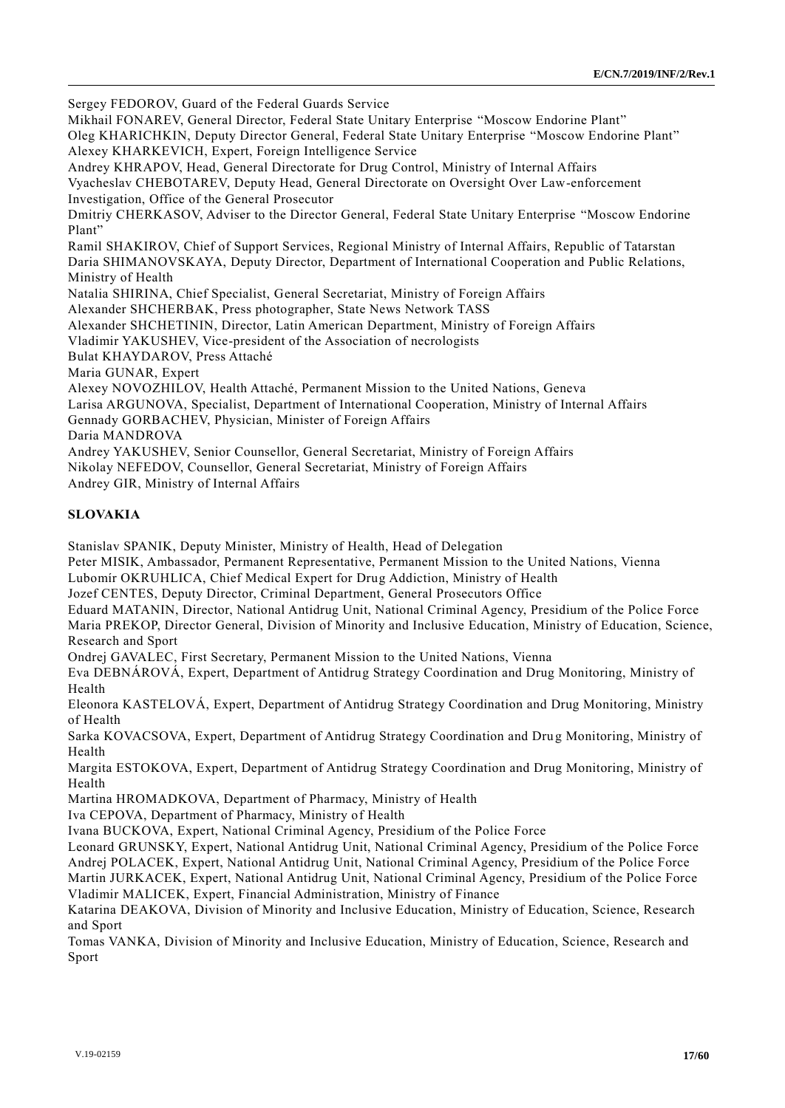Sergey FEDOROV, Guard of the Federal Guards Service

Mikhail FONAREV, General Director, Federal State Unitary Enterprise "Moscow Endorine Plant" Oleg KHARICHKIN, Deputy Director General, Federal State Unitary Enterprise "Moscow Endorine Plant" Alexey KHARKEVICH, Expert, Foreign Intelligence Service Andrey KHRAPOV, Head, General Directorate for Drug Control, Ministry of Internal Affairs Vyacheslav CHEBOTAREV, Deputy Head, General Directorate on Oversight Over Law-enforcement Investigation, Office of the General Prosecutor Dmitriy CHERKASOV, Adviser to the Director General, Federal State Unitary Enterprise "Moscow Endorine Plant" Ramil SHAKIROV, Chief of Support Services, Regional Ministry of Internal Affairs, Republic of Tatarstan Daria SHIMANOVSKAYA, Deputy Director, Department of International Cooperation and Public Relations, Ministry of Health Natalia SHIRINA, Chief Specialist, General Secretariat, Ministry of Foreign Affairs Alexander SHCHERBAK, Press photographer, State News Network TASS Alexander SHCHETININ, Director, Latin American Department, Ministry of Foreign Affairs Vladimir YAKUSHEV, Vice-president of the Association of necrologists Bulat KHAYDAROV, Press Attaché Maria GUNAR, Expert Alexey NOVOZHILOV, Health Attaché, Permanent Mission to the United Nations, Geneva Larisa ARGUNOVA, Specialist, Department of International Cooperation, Ministry of Internal Affairs Gennady GORBACHEV, Physician, Minister of Foreign Affairs Daria MANDROVA

Andrey YAKUSHEV, Senior Counsellor, General Secretariat, Ministry of Foreign Affairs

Nikolay NEFEDOV, Counsellor, General Secretariat, Ministry of Foreign Affairs

Andrey GIR, Ministry of Internal Affairs

## **SLOVAKIA**

Stanislav SPANIK, Deputy Minister, Ministry of Health, Head of Delegation

Peter MISIK, Ambassador, Permanent Representative, Permanent Mission to the United Nations, Vienna

Lubomír OKRUHLICA, Chief Medical Expert for Drug Addiction, Ministry of Health

Jozef CENTES, Deputy Director, Criminal Department, General Prosecutors Office

Eduard MATANIN, Director, National Antidrug Unit, National Criminal Agency, Presidium of the Police Force Maria PREKOP, Director General, Division of Minority and Inclusive Education, Ministry of Education, Science, Research and Sport

Ondrej GAVALEC, First Secretary, Permanent Mission to the United Nations, Vienna

Eva DEBNÁROVÁ, Expert, Department of Antidrug Strategy Coordination and Drug Monitoring, Ministry of Health

Eleonora KASTELOVÁ, Expert, Department of Antidrug Strategy Coordination and Drug Monitoring, Ministry of Health

Sarka KOVACSOVA, Expert, Department of Antidrug Strategy Coordination and Drug Monitoring, Ministry of Health

Margita ESTOKOVA, Expert, Department of Antidrug Strategy Coordination and Drug Monitoring, Ministry of Health

Martina HROMADKOVA, Department of Pharmacy, Ministry of Health

Iva CEPOVA, Department of Pharmacy, Ministry of Health

Ivana BUCKOVA, Expert, National Criminal Agency, Presidium of the Police Force

Leonard GRUNSKY, Expert, National Antidrug Unit, National Criminal Agency, Presidium of the Police Force Andrej POLACEK, Expert, National Antidrug Unit, National Criminal Agency, Presidium of the Police Force

Martin JURKACEK, Expert, National Antidrug Unit, National Criminal Agency, Presidium of the Police Force Vladimir MALICEK, Expert, Financial Administration, Ministry of Finance

Katarina DEAKOVA, Division of Minority and Inclusive Education, Ministry of Education, Science, Research and Sport

Tomas VANKA, Division of Minority and Inclusive Education, Ministry of Education, Science, Research and Sport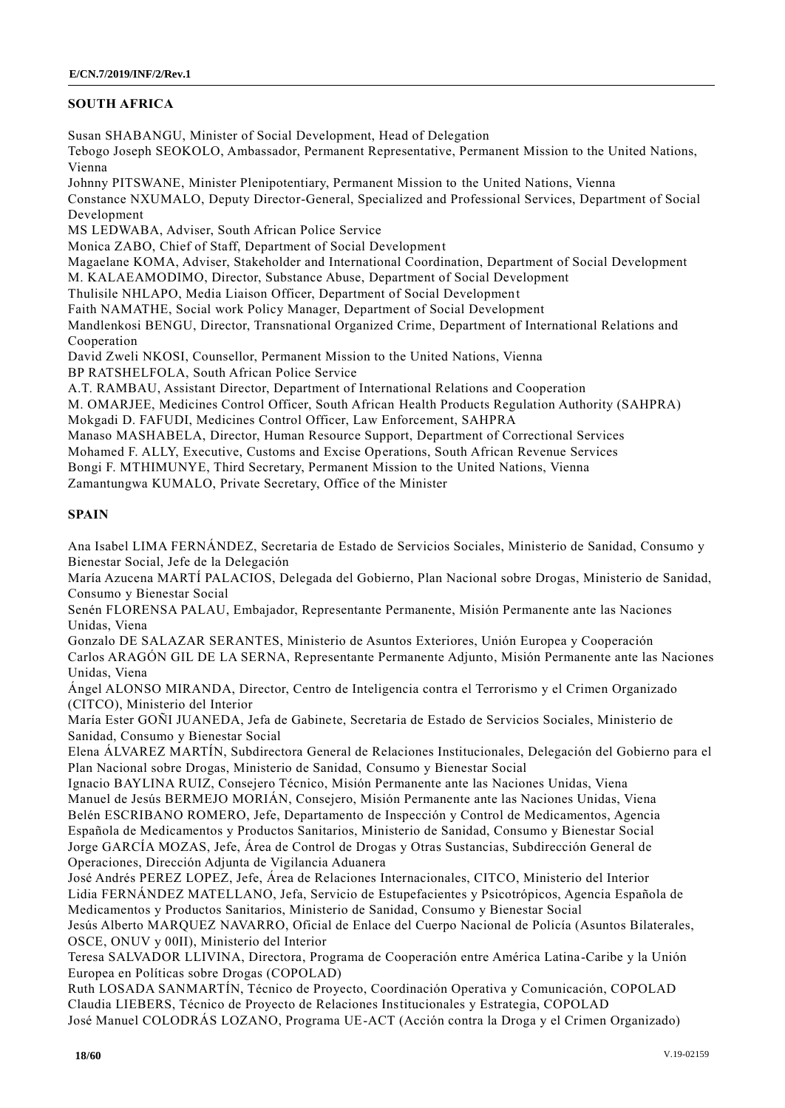## **SOUTH AFRICA**

Susan SHABANGU, Minister of Social Development, Head of Delegation Tebogo Joseph SEOKOLO, Ambassador, Permanent Representative, Permanent Mission to the United Nations, Vienna Johnny PITSWANE, Minister Plenipotentiary, Permanent Mission to the United Nations, Vienna Constance NXUMALO, Deputy Director-General, Specialized and Professional Services, Department of Social Development MS LEDWABA, Adviser, South African Police Service Monica ZABO, Chief of Staff, Department of Social Development Magaelane KOMA, Adviser, Stakeholder and International Coordination, Department of Social Development M. KALAEAMODIMO, Director, Substance Abuse, Department of Social Development Thulisile NHLAPO, Media Liaison Officer, Department of Social Development

Faith NAMATHE, Social work Policy Manager, Department of Social Development

Mandlenkosi BENGU, Director, Transnational Organized Crime, Department of International Relations and Cooperation

David Zweli NKOSI, Counsellor, Permanent Mission to the United Nations, Vienna

BP RATSHELFOLA, South African Police Service

A.T. RAMBAU, Assistant Director, Department of International Relations and Cooperation

M. OMARJEE, Medicines Control Officer, South African Health Products Regulation Authority (SAHPRA)

Mokgadi D. FAFUDI, Medicines Control Officer, Law Enforcement, SAHPRA

Manaso MASHABELA, Director, Human Resource Support, Department of Correctional Services

Mohamed F. ALLY, Executive, Customs and Excise Operations, South African Revenue Services

Bongi F. MTHIMUNYE, Third Secretary, Permanent Mission to the United Nations, Vienna

Zamantungwa KUMALO, Private Secretary, Office of the Minister

## **SPAIN**

Ana Isabel LIMA FERNÁNDEZ, Secretaria de Estado de Servicios Sociales, Ministerio de Sanidad, Consumo y Bienestar Social, Jefe de la Delegación

María Azucena MARTÍ PALACIOS, Delegada del Gobierno, Plan Nacional sobre Drogas, Ministerio de Sanidad, Consumo y Bienestar Social

Senén FLORENSA PALAU, Embajador, Representante Permanente, Misión Permanente ante las Naciones Unidas, Viena

Gonzalo DE SALAZAR SERANTES, Ministerio de Asuntos Exteriores, Unión Europea y Cooperación Carlos ARAGÓN GIL DE LA SERNA, Representante Permanente Adjunto, Misión Permanente ante las Naciones Unidas, Viena

Ángel ALONSO MIRANDA, Director, Centro de Inteligencia contra el Terrorismo y el Crimen Organizado (CITCO), Ministerio del Interior

María Ester GOÑI JUANEDA, Jefa de Gabinete, Secretaria de Estado de Servicios Sociales, Ministerio de Sanidad, Consumo y Bienestar Social

Elena ÁLVAREZ MARTÍN, Subdirectora General de Relaciones Institucionales, Delegación del Gobierno para el Plan Nacional sobre Drogas, Ministerio de Sanidad, Consumo y Bienestar Social

Ignacio BAYLINA RUIZ, Consejero Técnico, Misión Permanente ante las Naciones Unidas, Viena Manuel de Jesús BERMEJO MORIÁN, Consejero, Misión Permanente ante las Naciones Unidas, Viena Belén ESCRIBANO ROMERO, Jefe, Departamento de Inspección y Control de Medicamentos, Agencia Española de Medicamentos y Productos Sanitarios, Ministerio de Sanidad, Consumo y Bienestar Social Jorge GARCÍA MOZAS, Jefe, Área de Control de Drogas y Otras Sustancias, Subdirección General de Operaciones, Dirección Adjunta de Vigilancia Aduanera

José Andrés PEREZ LOPEZ, Jefe, Área de Relaciones Internacionales, CITCO, Ministerio del Interior Lidia FERNÁNDEZ MATELLANO, Jefa, Servicio de Estupefacientes y Psicotrópicos, Agencia Española de Medicamentos y Productos Sanitarios, Ministerio de Sanidad, Consumo y Bienestar Social

Jesús Alberto MARQUEZ NAVARRO, Oficial de Enlace del Cuerpo Nacional de Policía (Asuntos Bilaterales, OSCE, ONUV y 00II), Ministerio del Interior

Teresa SALVADOR LLIVINA, Directora, Programa de Cooperación entre América Latina-Caribe y la Unión Europea en Políticas sobre Drogas (COPOLAD)

Ruth LOSADA SANMARTÍN, Técnico de Proyecto, Coordinación Operativa y Comunicación, COPOLAD Claudia LIEBERS, Técnico de Proyecto de Relaciones Institucionales y Estrategia, COPOLAD José Manuel COLODRÁS LOZANO, Programa UE-ACT (Acción contra la Droga y el Crimen Organizado)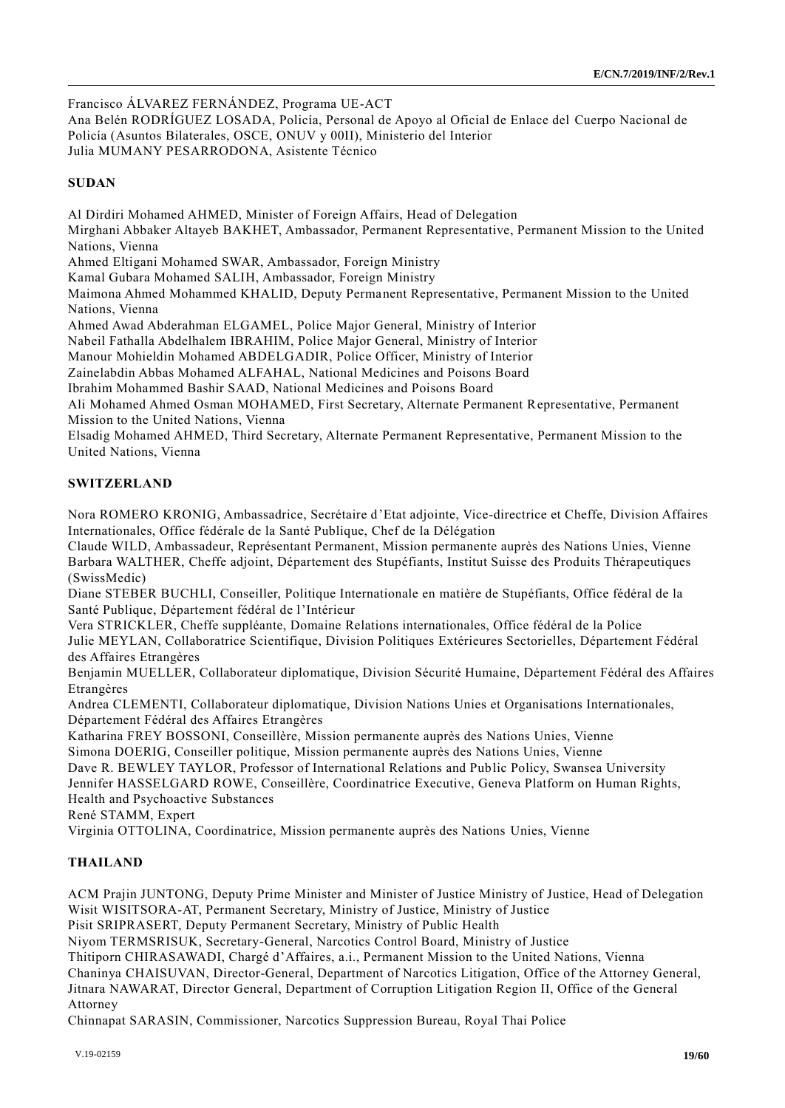Francisco ÁLVAREZ FERNÁNDEZ, Programa UE-ACT

Ana Belén RODRÍGUEZ LOSADA, Policía, Personal de Apoyo al Oficial de Enlace del Cuerpo Nacional de Policía (Asuntos Bilaterales, OSCE, ONUV y 00II), Ministerio del Interior Julia MUMANY PESARRODONA, Asistente Técnico

## **SUDAN**

Al Dirdiri Mohamed AHMED, Minister of Foreign Affairs, Head of Delegation Mirghani Abbaker Altayeb BAKHET, Ambassador, Permanent Representative, Permanent Mission to the United Nations, Vienna Ahmed Eltigani Mohamed SWAR, Ambassador, Foreign Ministry Kamal Gubara Mohamed SALIH, Ambassador, Foreign Ministry Maimona Ahmed Mohammed KHALID, Deputy Permanent Representative, Permanent Mission to the United Nations, Vienna Ahmed Awad Abderahman ELGAMEL, Police Major General, Ministry of Interior Nabeil Fathalla Abdelhalem IBRAHIM, Police Major General, Ministry of Interior Manour Mohieldin Mohamed ABDELGADIR, Police Officer, Ministry of Interior Zainelabdin Abbas Mohamed ALFAHAL, National Medicines and Poisons Board Ibrahim Mohammed Bashir SAAD, National Medicines and Poisons Board Ali Mohamed Ahmed Osman MOHAMED, First Secretary, Alternate Permanent Representative, Permanent Mission to the United Nations, Vienna Elsadig Mohamed AHMED, Third Secretary, Alternate Permanent Representative, Permanent Mission to the United Nations, Vienna

## **SWITZERLAND**

Nora ROMERO KRONIG, Ambassadrice, Secrétaire d'Etat adjointe, Vice-directrice et Cheffe, Division Affaires Internationales, Office fédérale de la Santé Publique, Chef de la Délégation

Claude WILD, Ambassadeur, Représentant Permanent, Mission permanente auprès des Nations Unies, Vienne Barbara WALTHER, Cheffe adjoint, Département des Stupéfiants, Institut Suisse des Produits Thérapeutiques (SwissMedic)

Diane STEBER BUCHLI, Conseiller, Politique Internationale en matière de Stupéfiants, Office fédéral de la Santé Publique, Département fédéral de l'Intérieur

Vera STRICKLER, Cheffe suppléante, Domaine Relations internationales, Office fédéral de la Police Julie MEYLAN, Collaboratrice Scientifique, Division Politiques Extérieures Sectorielles, Département Fédéral des Affaires Etrangères

Benjamin MUELLER, Collaborateur diplomatique, Division Sécurité Humaine, Département Fédéral des Affaires Etrangères

Andrea CLEMENTI, Collaborateur diplomatique, Division Nations Unies et Organisations Internationales, Département Fédéral des Affaires Etrangères

Katharina FREY BOSSONI, Conseillère, Mission permanente auprès des Nations Unies, Vienne Simona DOERIG, Conseiller politique, Mission permanente auprès des Nations Unies, Vienne

Dave R. BEWLEY TAYLOR, Professor of International Relations and Public Policy, Swansea University

Jennifer HASSELGARD ROWE, Conseillère, Coordinatrice Executive, Geneva Platform on Human Rights, Health and Psychoactive Substances

René STAMM, Expert

Virginia OTTOLINA, Coordinatrice, Mission permanente auprès des Nations Unies, Vienne

## **THAILAND**

ACM Prajin JUNTONG, Deputy Prime Minister and Minister of Justice Ministry of Justice, Head of Delegation Wisit WISITSORA-AT, Permanent Secretary, Ministry of Justice, Ministry of Justice

Pisit SRIPRASERT, Deputy Permanent Secretary, Ministry of Public Health

Niyom TERMSRISUK, Secretary-General, Narcotics Control Board, Ministry of Justice

Thitiporn CHIRASAWADI, Chargé d'Affaires, a.i., Permanent Mission to the United Nations, Vienna

Chaninya CHAISUVAN, Director-General, Department of Narcotics Litigation, Office of the Attorney General, Jitnara NAWARAT, Director General, Department of Corruption Litigation Region II, Office of the General

Attorney

Chinnapat SARASIN, Commissioner, Narcotics Suppression Bureau, Royal Thai Police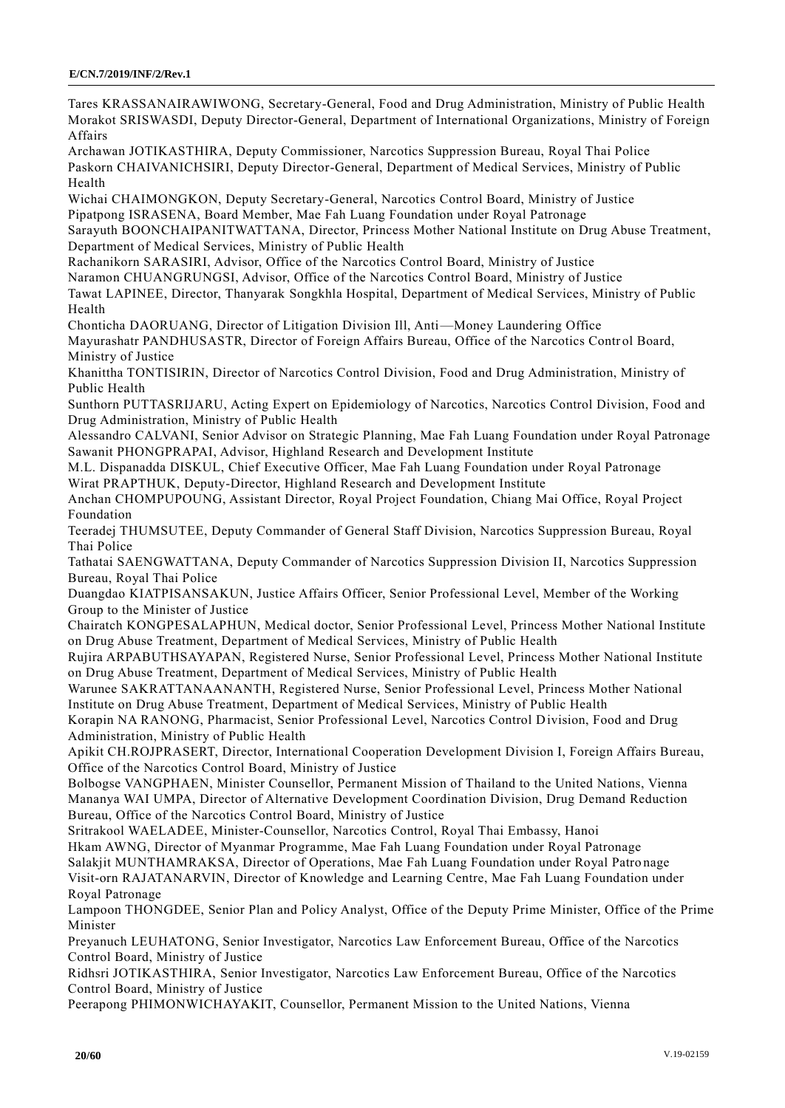Tares KRASSANAIRAWIWONG, Secretary-General, Food and Drug Administration, Ministry of Public Health Morakot SRISWASDI, Deputy Director-General, Department of International Organizations, Ministry of Foreign Affairs

Archawan JOTIKASTHIRA, Deputy Commissioner, Narcotics Suppression Bureau, Royal Thai Police Paskorn CHAIVANICHSIRI, Deputy Director-General, Department of Medical Services, Ministry of Public Health

Wichai CHAIMONGKON, Deputy Secretary-General, Narcotics Control Board, Ministry of Justice Pipatpong ISRASENA, Board Member, Mae Fah Luang Foundation under Royal Patronage

Sarayuth BOONCHAIPANITWATTANA, Director, Princess Mother National Institute on Drug Abuse Treatment, Department of Medical Services, Ministry of Public Health

Rachanikorn SARASIRI, Advisor, Office of the Narcotics Control Board, Ministry of Justice

Naramon CHUANGRUNGSI, Advisor, Office of the Narcotics Control Board, Ministry of Justice

Tawat LAPINEE, Director, Thanyarak Songkhla Hospital, Department of Medical Services, Ministry of Public Health

Chonticha DAORUANG, Director of Litigation Division Ill, Anti—Money Laundering Office

Mayurashatr PANDHUSASTR, Director of Foreign Affairs Bureau, Office of the Narcotics Contr ol Board, Ministry of Justice

Khanittha TONTISIRIN, Director of Narcotics Control Division, Food and Drug Administration, Ministry of Public Health

Sunthorn PUTTASRIJARU, Acting Expert on Epidemiology of Narcotics, Narcotics Control Division, Food and Drug Administration, Ministry of Public Health

Alessandro CALVANI, Senior Advisor on Strategic Planning, Mae Fah Luang Foundation under Royal Patronage Sawanit PHONGPRAPAI, Advisor, Highland Research and Development Institute

M.L. Dispanadda DISKUL, Chief Executive Officer, Mae Fah Luang Foundation under Royal Patronage Wirat PRAPTHUK, Deputy-Director, Highland Research and Development Institute

Anchan CHOMPUPOUNG, Assistant Director, Royal Project Foundation, Chiang Mai Office, Royal Project Foundation

Teeradej THUMSUTEE, Deputy Commander of General Staff Division, Narcotics Suppression Bureau, Royal Thai Police

Tathatai SAENGWATTANA, Deputy Commander of Narcotics Suppression Division II, Narcotics Suppression Bureau, Royal Thai Police

Duangdao KIATPISANSAKUN, Justice Affairs Officer, Senior Professional Level, Member of the Working Group to the Minister of Justice

Chairatch KONGPESALAPHUN, Medical doctor, Senior Professional Level, Princess Mother National Institute on Drug Abuse Treatment, Department of Medical Services, Ministry of Public Health

Rujira ARPABUTHSAYAPAN, Registered Nurse, Senior Professional Level, Princess Mother National Institute on Drug Abuse Treatment, Department of Medical Services, Ministry of Public Health

Warunee SAKRATTANAANANTH, Registered Nurse, Senior Professional Level, Princess Mother National Institute on Drug Abuse Treatment, Department of Medical Services, Ministry of Public Health

Korapin NA RANONG, Pharmacist, Senior Professional Level, Narcotics Control Division, Food and Drug Administration, Ministry of Public Health

Apikit CH.ROJPRASERT, Director, International Cooperation Development Division I, Foreign Affairs Bureau, Office of the Narcotics Control Board, Ministry of Justice

Bolbogse VANGPHAEN, Minister Counsellor, Permanent Mission of Thailand to the United Nations, Vienna Mananya WAI UMPA, Director of Alternative Development Coordination Division, Drug Demand Reduction Bureau, Office of the Narcotics Control Board, Ministry of Justice

Sritrakool WAELADEE, Minister-Counsellor, Narcotics Control, Royal Thai Embassy, Hanoi Hkam AWNG, Director of Myanmar Programme, Mae Fah Luang Foundation under Royal Patronage Salakjit MUNTHAMRAKSA, Director of Operations, Mae Fah Luang Foundation under Royal Patro nage

Visit-orn RAJATANARVIN, Director of Knowledge and Learning Centre, Mae Fah Luang Foundation under Royal Patronage

Lampoon THONGDEE, Senior Plan and Policy Analyst, Office of the Deputy Prime Minister, Office of the Prime Minister

Preyanuch LEUHATONG, Senior Investigator, Narcotics Law Enforcement Bureau, Office of the Narcotics Control Board, Ministry of Justice

Ridhsri JOTIKASTHIRA, Senior Investigator, Narcotics Law Enforcement Bureau, Office of the Narcotics Control Board, Ministry of Justice

Peerapong PHIMONWICHAYAKIT, Counsellor, Permanent Mission to the United Nations, Vienna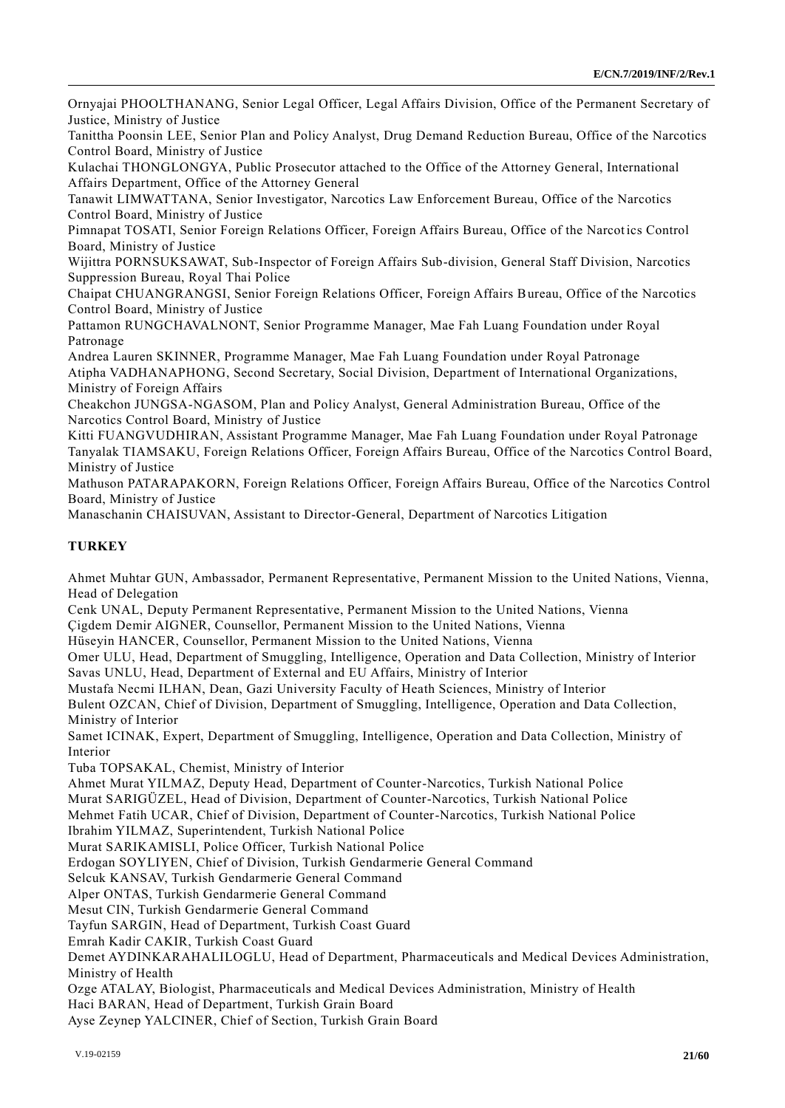Ornyajai PHOOLTHANANG, Senior Legal Officer, Legal Affairs Division, Office of the Permanent Secretary of Justice, Ministry of Justice

Tanittha Poonsin LEE, Senior Plan and Policy Analyst, Drug Demand Reduction Bureau, Office of the Narcotics Control Board, Ministry of Justice

Kulachai THONGLONGYA, Public Prosecutor attached to the Office of the Attorney General, International Affairs Department, Office of the Attorney General

Tanawit LIMWATTANA, Senior Investigator, Narcotics Law Enforcement Bureau, Office of the Narcotics Control Board, Ministry of Justice

Pimnapat TOSATI, Senior Foreign Relations Officer, Foreign Affairs Bureau, Office of the Narcot ics Control Board, Ministry of Justice

Wijittra PORNSUKSAWAT, Sub-Inspector of Foreign Affairs Sub-division, General Staff Division, Narcotics Suppression Bureau, Royal Thai Police

Chaipat CHUANGRANGSI, Senior Foreign Relations Officer, Foreign Affairs Bureau, Office of the Narcotics Control Board, Ministry of Justice

Pattamon RUNGCHAVALNONT, Senior Programme Manager, Mae Fah Luang Foundation under Royal Patronage

Andrea Lauren SKINNER, Programme Manager, Mae Fah Luang Foundation under Royal Patronage Atipha VADHANAPHONG, Second Secretary, Social Division, Department of International Organizations, Ministry of Foreign Affairs

Cheakchon JUNGSA-NGASOM, Plan and Policy Analyst, General Administration Bureau, Office of the Narcotics Control Board, Ministry of Justice

Kitti FUANGVUDHIRAN, Assistant Programme Manager, Mae Fah Luang Foundation under Royal Patronage Tanyalak TIAMSAKU, Foreign Relations Officer, Foreign Affairs Bureau, Office of the Narcotics Control Board, Ministry of Justice

Mathuson PATARAPAKORN, Foreign Relations Officer, Foreign Affairs Bureau, Office of the Narcotics Control Board, Ministry of Justice

Manaschanin CHAISUVAN, Assistant to Director-General, Department of Narcotics Litigation

## **TURKEY**

Ahmet Muhtar GUN, Ambassador, Permanent Representative, Permanent Mission to the United Nations, Vienna, Head of Delegation

Cenk UNAL, Deputy Permanent Representative, Permanent Mission to the United Nations, Vienna

Çigdem Demir AIGNER, Counsellor, Permanent Mission to the United Nations, Vienna

Hüseyin HANCER, Counsellor, Permanent Mission to the United Nations, Vienna

Omer ULU, Head, Department of Smuggling, Intelligence, Operation and Data Collection, Ministry of Interior Savas UNLU, Head, Department of External and EU Affairs, Ministry of Interior

Mustafa Necmi ILHAN, Dean, Gazi University Faculty of Heath Sciences, Ministry of Interior

Bulent OZCAN, Chief of Division, Department of Smuggling, Intelligence, Operation and Data Collection, Ministry of Interior

Samet ICINAK, Expert, Department of Smuggling, Intelligence, Operation and Data Collection, Ministry of Interior

Tuba TOPSAKAL, Chemist, Ministry of Interior

Ahmet Murat YILMAZ, Deputy Head, Department of Counter-Narcotics, Turkish National Police

Murat SARIGÜZEL, Head of Division, Department of Counter-Narcotics, Turkish National Police

Mehmet Fatih UCAR, Chief of Division, Department of Counter-Narcotics, Turkish National Police

Ibrahim YILMAZ, Superintendent, Turkish National Police

Murat SARIKAMISLI, Police Officer, Turkish National Police

Erdogan SOYLIYEN, Chief of Division, Turkish Gendarmerie General Command

Selcuk KANSAV, Turkish Gendarmerie General Command

Alper ONTAS, Turkish Gendarmerie General Command

Mesut CIN, Turkish Gendarmerie General Command

Tayfun SARGIN, Head of Department, Turkish Coast Guard

Emrah Kadir CAKIR, Turkish Coast Guard

Demet AYDINKARAHALILOGLU, Head of Department, Pharmaceuticals and Medical Devices Administration, Ministry of Health

Ozge ATALAY, Biologist, Pharmaceuticals and Medical Devices Administration, Ministry of Health

Haci BARAN, Head of Department, Turkish Grain Board

Ayse Zeynep YALCINER, Chief of Section, Turkish Grain Board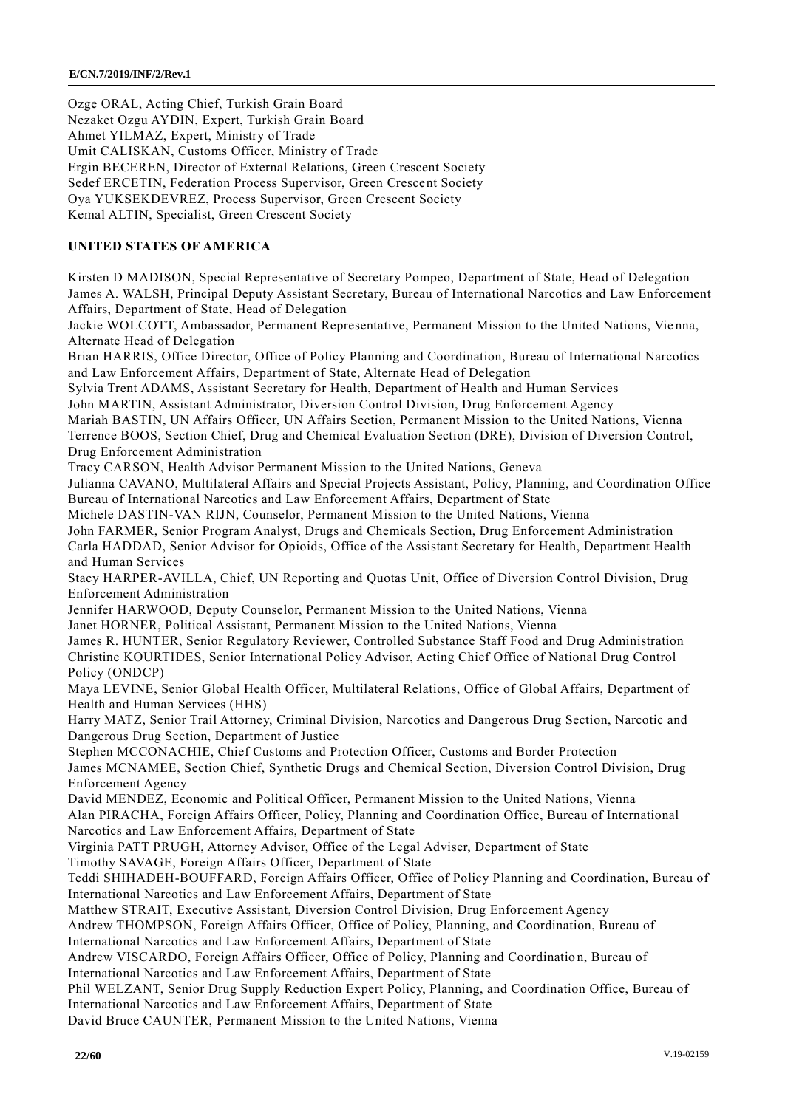Ozge ORAL, Acting Chief, Turkish Grain Board Nezaket Ozgu AYDIN, Expert, Turkish Grain Board Ahmet YILMAZ, Expert, Ministry of Trade Umit CALISKAN, Customs Officer, Ministry of Trade Ergin BECEREN, Director of External Relations, Green Crescent Society Sedef ERCETIN, Federation Process Supervisor, Green Crescent Society Oya YUKSEKDEVREZ, Process Supervisor, Green Crescent Society Kemal ALTIN, Specialist, Green Crescent Society

## **UNITED STATES OF AMERICA**

Kirsten D MADISON, Special Representative of Secretary Pompeo, Department of State, Head of Delegation James A. WALSH, Principal Deputy Assistant Secretary, Bureau of International Narcotics and Law Enforcement Affairs, Department of State, Head of Delegation

Jackie WOLCOTT, Ambassador, Permanent Representative, Permanent Mission to the United Nations, Vie nna, Alternate Head of Delegation

Brian HARRIS, Office Director, Office of Policy Planning and Coordination, Bureau of International Narcotics and Law Enforcement Affairs, Department of State, Alternate Head of Delegation

Sylvia Trent ADAMS, Assistant Secretary for Health, Department of Health and Human Services

John MARTIN, Assistant Administrator, Diversion Control Division, Drug Enforcement Agency

Mariah BASTIN, UN Affairs Officer, UN Affairs Section, Permanent Mission to the United Nations, Vienna Terrence BOOS, Section Chief, Drug and Chemical Evaluation Section (DRE), Division of Diversion Control, Drug Enforcement Administration

Tracy CARSON, Health Advisor Permanent Mission to the United Nations, Geneva

Julianna CAVANO, Multilateral Affairs and Special Projects Assistant, Policy, Planning, and Coordination Office Bureau of International Narcotics and Law Enforcement Affairs, Department of State

Michele DASTIN-VAN RIJN, Counselor, Permanent Mission to the United Nations, Vienna

John FARMER, Senior Program Analyst, Drugs and Chemicals Section, Drug Enforcement Administration Carla HADDAD, Senior Advisor for Opioids, Office of the Assistant Secretary for Health, Department Health and Human Services

Stacy HARPER-AVILLA, Chief, UN Reporting and Quotas Unit, Office of Diversion Control Division, Drug Enforcement Administration

Jennifer HARWOOD, Deputy Counselor, Permanent Mission to the United Nations, Vienna

Janet HORNER, Political Assistant, Permanent Mission to the United Nations, Vienna

James R. HUNTER, Senior Regulatory Reviewer, Controlled Substance Staff Food and Drug Administration Christine KOURTIDES, Senior International Policy Advisor, Acting Chief Office of National Drug Control Policy (ONDCP)

Maya LEVINE, Senior Global Health Officer, Multilateral Relations, Office of Global Affairs, Department of Health and Human Services (HHS)

Harry MATZ, Senior Trail Attorney, Criminal Division, Narcotics and Dangerous Drug Section, Narcotic and Dangerous Drug Section, Department of Justice

Stephen MCCONACHIE, Chief Customs and Protection Officer, Customs and Border Protection James MCNAMEE, Section Chief, Synthetic Drugs and Chemical Section, Diversion Control Division, Drug Enforcement Agency

David MENDEZ, Economic and Political Officer, Permanent Mission to the United Nations, Vienna Alan PIRACHA, Foreign Affairs Officer, Policy, Planning and Coordination Office, Bureau of International Narcotics and Law Enforcement Affairs, Department of State

Virginia PATT PRUGH, Attorney Advisor, Office of the Legal Adviser, Department of State Timothy SAVAGE, Foreign Affairs Officer, Department of State

Teddi SHIHADEH-BOUFFARD, Foreign Affairs Officer, Office of Policy Planning and Coordination, Bureau of International Narcotics and Law Enforcement Affairs, Department of State

Matthew STRAIT, Executive Assistant, Diversion Control Division, Drug Enforcement Agency

Andrew THOMPSON, Foreign Affairs Officer, Office of Policy, Planning, and Coordination, Bureau of International Narcotics and Law Enforcement Affairs, Department of State

Andrew VISCARDO, Foreign Affairs Officer, Office of Policy, Planning and Coordinatio n, Bureau of International Narcotics and Law Enforcement Affairs, Department of State

Phil WELZANT, Senior Drug Supply Reduction Expert Policy, Planning, and Coordination Office, Bureau of International Narcotics and Law Enforcement Affairs, Department of State

David Bruce CAUNTER, Permanent Mission to the United Nations, Vienna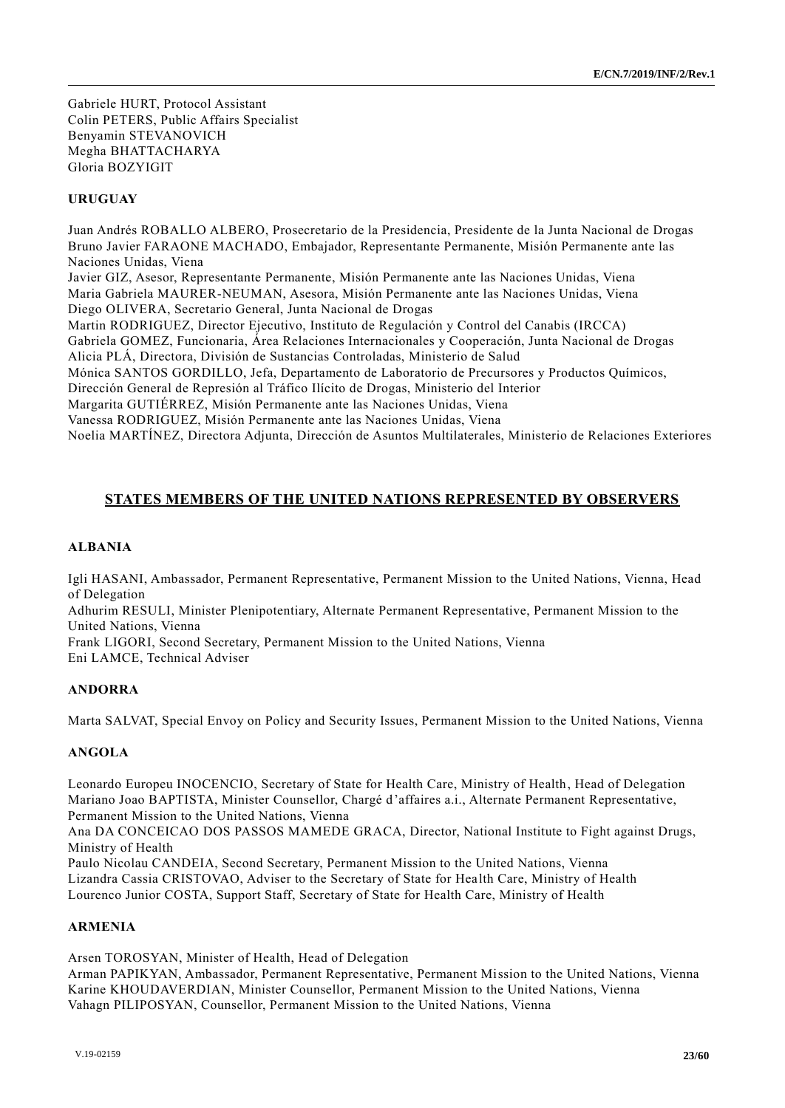Gabriele HURT, Protocol Assistant Colin PETERS, Public Affairs Specialist Benyamin STEVANOVICH Megha BHATTACHARYA Gloria BOZYIGIT

## **URUGUAY**

Juan Andrés ROBALLO ALBERO, Prosecretario de la Presidencia, Presidente de la Junta Nacional de Drogas Bruno Javier FARAONE MACHADO, Embajador, Representante Permanente, Misión Permanente ante las Naciones Unidas, Viena Javier GIZ, Asesor, Representante Permanente, Misión Permanente ante las Naciones Unidas, Viena Maria Gabriela MAURER-NEUMAN, Asesora, Misión Permanente ante las Naciones Unidas, Viena Diego OLIVERA, Secretario General, Junta Nacional de Drogas Martin RODRIGUEZ, Director Ejecutivo, Instituto de Regulación y Control del Canabis (IRCCA) Gabriela GOMEZ, Funcionaria, Área Relaciones Internacionales y Cooperación, Junta Nacional de Drogas Alicia PLÁ, Directora, División de Sustancias Controladas, Ministerio de Salud Mónica SANTOS GORDILLO, Jefa, Departamento de Laboratorio de Precursores y Productos Químicos, Dirección General de Represión al Tráfico Ilícito de Drogas, Ministerio del Interior Margarita GUTIÉRREZ, Misión Permanente ante las Naciones Unidas, Viena Vanessa RODRIGUEZ, Misión Permanente ante las Naciones Unidas, Viena Noelia MARTÍNEZ, Directora Adjunta, Dirección de Asuntos Multilaterales, Ministerio de Relaciones Exteriores

## **STATES MEMBERS OF THE UNITED NATIONS REPRESENTED BY OBSERVERS**

#### **ALBANIA**

Igli HASANI, Ambassador, Permanent Representative, Permanent Mission to the United Nations, Vienna, Head of Delegation

Adhurim RESULI, Minister Plenipotentiary, Alternate Permanent Representative, Permanent Mission to the United Nations, Vienna

Frank LIGORI, Second Secretary, Permanent Mission to the United Nations, Vienna Eni LAMCE, Technical Adviser

#### **ANDORRA**

Marta SALVAT, Special Envoy on Policy and Security Issues, Permanent Mission to the United Nations, Vienna

#### **ANGOLA**

Leonardo Europeu INOCENCIO, Secretary of State for Health Care, Ministry of Health, Head of Delegation Mariano Joao BAPTISTA, Minister Counsellor, Chargé d'affaires a.i., Alternate Permanent Representative, Permanent Mission to the United Nations, Vienna

Ana DA CONCEICAO DOS PASSOS MAMEDE GRACA, Director, National Institute to Fight against Drugs, Ministry of Health

Paulo Nicolau CANDEIA, Second Secretary, Permanent Mission to the United Nations, Vienna Lizandra Cassia CRISTOVAO, Adviser to the Secretary of State for Health Care, Ministry of Health Lourenco Junior COSTA, Support Staff, Secretary of State for Health Care, Ministry of Health

#### **ARMENIA**

Arsen TOROSYAN, Minister of Health, Head of Delegation

Arman PAPIKYAN, Ambassador, Permanent Representative, Permanent Mission to the United Nations, Vienna Karine KHOUDAVERDIAN, Minister Counsellor, Permanent Mission to the United Nations, Vienna Vahagn PILIPOSYAN, Counsellor, Permanent Mission to the United Nations, Vienna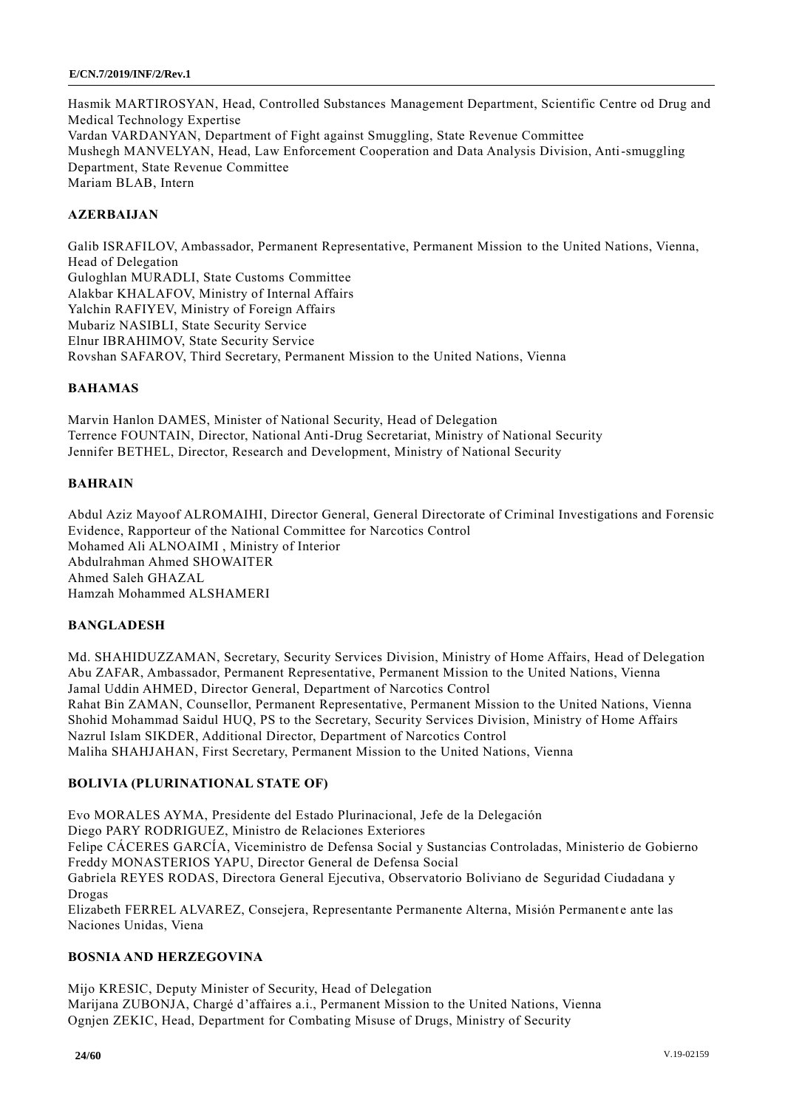Hasmik MARTIROSYAN, Head, Controlled Substances Management Department, Scientific Centre od Drug and Medical Technology Expertise Vardan VARDANYAN, Department of Fight against Smuggling, State Revenue Committee Mushegh MANVELYAN, Head, Law Enforcement Cooperation and Data Analysis Division, Anti-smuggling Department, State Revenue Committee Mariam BLAB, Intern

## **AZERBAIJAN**

Galib ISRAFILOV, Ambassador, Permanent Representative, Permanent Mission to the United Nations, Vienna, Head of Delegation Guloghlan MURADLI, State Customs Committee Alakbar KHALAFOV, Ministry of Internal Affairs Yalchin RAFIYEV, Ministry of Foreign Affairs Mubariz NASIBLI, State Security Service Elnur IBRAHIMOV, State Security Service Rovshan SAFAROV, Third Secretary, Permanent Mission to the United Nations, Vienna

## **BAHAMAS**

Marvin Hanlon DAMES, Minister of National Security, Head of Delegation Terrence FOUNTAIN, Director, National Anti-Drug Secretariat, Ministry of National Security Jennifer BETHEL, Director, Research and Development, Ministry of National Security

#### **BAHRAIN**

Abdul Aziz Mayoof ALROMAIHI, Director General, General Directorate of Criminal Investigations and Forensic Evidence, Rapporteur of the National Committee for Narcotics Control Mohamed Ali ALNOAIMI , Ministry of Interior Abdulrahman Ahmed SHOWAITER Ahmed Saleh GHAZAL Hamzah Mohammed ALSHAMERI

#### **BANGLADESH**

Md. SHAHIDUZZAMAN, Secretary, Security Services Division, Ministry of Home Affairs, Head of Delegation Abu ZAFAR, Ambassador, Permanent Representative, Permanent Mission to the United Nations, Vienna Jamal Uddin AHMED, Director General, Department of Narcotics Control Rahat Bin ZAMAN, Counsellor, Permanent Representative, Permanent Mission to the United Nations, Vienna Shohid Mohammad Saidul HUQ, PS to the Secretary, Security Services Division, Ministry of Home Affairs Nazrul Islam SIKDER, Additional Director, Department of Narcotics Control Maliha SHAHJAHAN, First Secretary, Permanent Mission to the United Nations, Vienna

## **BOLIVIA (PLURINATIONAL STATE OF)**

Evo MORALES AYMA, Presidente del Estado Plurinacional, Jefe de la Delegación Diego PARY RODRIGUEZ, Ministro de Relaciones Exteriores Felipe CÁCERES GARCÍA, Viceministro de Defensa Social y Sustancias Controladas, Ministerio de Gobierno Freddy MONASTERIOS YAPU, Director General de Defensa Social Gabriela REYES RODAS, Directora General Ejecutiva, Observatorio Boliviano de Seguridad Ciudadana y Drogas Elizabeth FERREL ALVAREZ, Consejera, Representante Permanente Alterna, Misión Permanente ante las Naciones Unidas, Viena

### **BOSNIA AND HERZEGOVINA**

Mijo KRESIC, Deputy Minister of Security, Head of Delegation Marijana ZUBONJA, Chargé d'affaires a.i., Permanent Mission to the United Nations, Vienna Ognjen ZEKIC, Head, Department for Combating Misuse of Drugs, Ministry of Security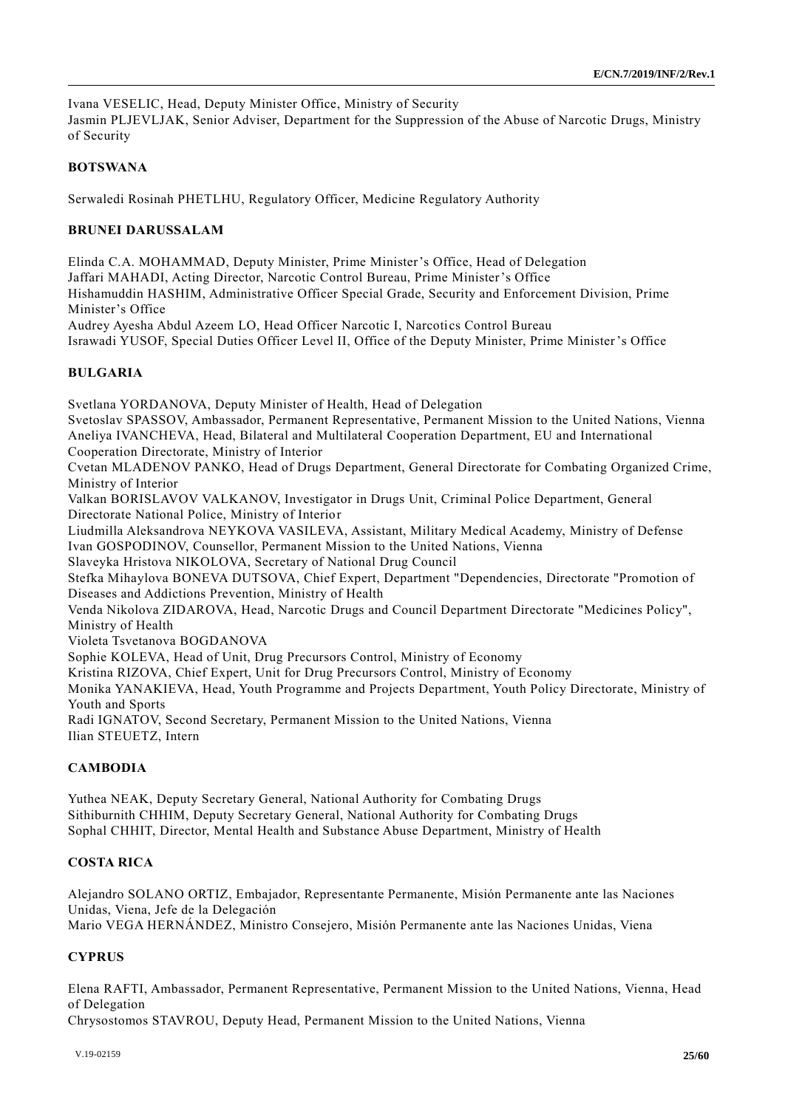Ivana VESELIC, Head, Deputy Minister Office, Ministry of Security

Jasmin PLJEVLJAK, Senior Adviser, Department for the Suppression of the Abuse of Narcotic Drugs, Ministry of Security

## **BOTSWANA**

Serwaledi Rosinah PHETLHU, Regulatory Officer, Medicine Regulatory Authority

#### **BRUNEI DARUSSALAM**

Elinda C.A. MOHAMMAD, Deputy Minister, Prime Minister's Office, Head of Delegation Jaffari MAHADI, Acting Director, Narcotic Control Bureau, Prime Minister's Office Hishamuddin HASHIM, Administrative Officer Special Grade, Security and Enforcement Division, Prime Minister's Office

Audrey Ayesha Abdul Azeem LO, Head Officer Narcotic I, Narcotics Control Bureau

Israwadi YUSOF, Special Duties Officer Level II, Office of the Deputy Minister, Prime Minister's Office

## **BULGARIA**

Svetlana YORDANOVA, Deputy Minister of Health, Head of Delegation Svetoslav SPASSOV, Ambassador, Permanent Representative, Permanent Mission to the United Nations, Vienna Aneliya IVANCHEVA, Head, Bilateral and Multilateral Cooperation Department, EU and International Cooperation Directorate, Ministry of Interior Cvetan MLADENOV PANKO, Head of Drugs Department, General Directorate for Combating Organized Crime, Ministry of Interior Valkan BORISLAVOV VALKANOV, Investigator in Drugs Unit, Criminal Police Department, General Directorate National Police, Ministry of Interior Liudmilla Aleksandrova NEYKOVA VASILEVA, Assistant, Military Medical Academy, Ministry of Defense Ivan GOSPODINOV, Counsellor, Permanent Mission to the United Nations, Vienna Slaveyka Hristova NIKOLOVA, Secretary of National Drug Council Stefka Mihaylova BONEVA DUTSOVA, Chief Expert, Department "Dependencies, Directorate "Promotion of Diseases and Addictions Prevention, Ministry of Health Venda Nikolova ZIDAROVA, Head, Narcotic Drugs and Council Department Directorate "Medicines Policy", Ministry of Health Violeta Tsvetanova BOGDANOVA Sophie KOLEVA, Head of Unit, Drug Precursors Control, Ministry of Economy Kristina RIZOVA, Chief Expert, Unit for Drug Precursors Control, Ministry of Economy Monika YANAKIEVA, Head, Youth Programme and Projects Department, Youth Policy Directorate, Ministry of Youth and Sports Radi IGNATOV, Second Secretary, Permanent Mission to the United Nations, Vienna Ilian STEUETZ, Intern

#### **CAMBODIA**

Yuthea NEAK, Deputy Secretary General, National Authority for Combating Drugs Sithiburnith CHHIM, Deputy Secretary General, National Authority for Combating Drugs Sophal CHHIT, Director, Mental Health and Substance Abuse Department, Ministry of Health

## **COSTA RICA**

Alejandro SOLANO ORTIZ, Embajador, Representante Permanente, Misión Permanente ante las Naciones Unidas, Viena, Jefe de la Delegación Mario VEGA HERNÁNDEZ, Ministro Consejero, Misión Permanente ante las Naciones Unidas, Viena

## **CYPRUS**

Elena RAFTI, Ambassador, Permanent Representative, Permanent Mission to the United Nations, Vienna, Head of Delegation

Chrysostomos STAVROU, Deputy Head, Permanent Mission to the United Nations, Vienna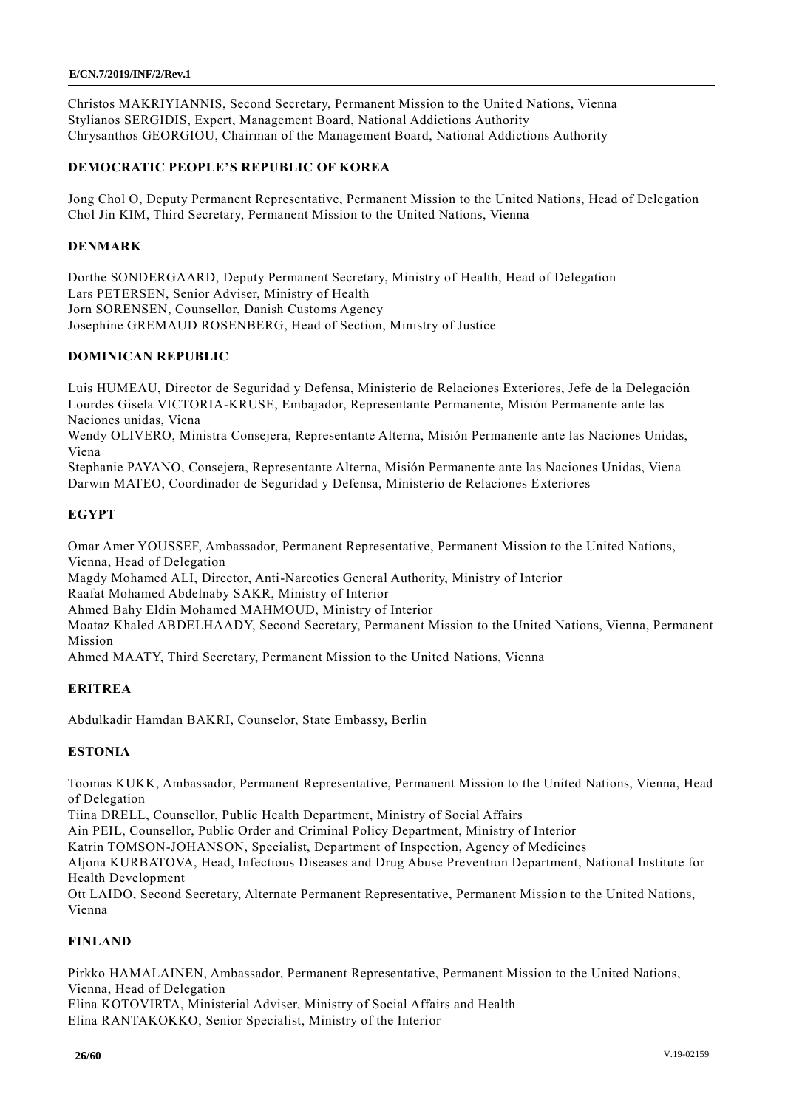Christos MAKRIYIANNIS, Second Secretary, Permanent Mission to the United Nations, Vienna Stylianos SERGIDIS, Expert, Management Board, National Addictions Authority Chrysanthos GEORGIOU, Chairman of the Management Board, National Addictions Authority

## **DEMOCRATIC PEOPLE'S REPUBLIC OF KOREA**

Jong Chol O, Deputy Permanent Representative, Permanent Mission to the United Nations, Head of Delegation Chol Jin KIM, Third Secretary, Permanent Mission to the United Nations, Vienna

## **DENMARK**

Dorthe SONDERGAARD, Deputy Permanent Secretary, Ministry of Health, Head of Delegation Lars PETERSEN, Senior Adviser, Ministry of Health Jorn SORENSEN, Counsellor, Danish Customs Agency Josephine GREMAUD ROSENBERG, Head of Section, Ministry of Justice

## **DOMINICAN REPUBLIC**

Luis HUMEAU, Director de Seguridad y Defensa, Ministerio de Relaciones Exteriores, Jefe de la Delegación Lourdes Gisela VICTORIA-KRUSE, Embajador, Representante Permanente, Misión Permanente ante las Naciones unidas, Viena

Wendy OLIVERO, Ministra Consejera, Representante Alterna, Misión Permanente ante las Naciones Unidas, Viena

Stephanie PAYANO, Consejera, Representante Alterna, Misión Permanente ante las Naciones Unidas, Viena Darwin MATEO, Coordinador de Seguridad y Defensa, Ministerio de Relaciones Exteriores

## **EGYPT**

Omar Amer YOUSSEF, Ambassador, Permanent Representative, Permanent Mission to the United Nations, Vienna, Head of Delegation

Magdy Mohamed ALI, Director, Anti-Narcotics General Authority, Ministry of Interior

Raafat Mohamed Abdelnaby SAKR, Ministry of Interior

Ahmed Bahy Eldin Mohamed MAHMOUD, Ministry of Interior

Moataz Khaled ABDELHAADY, Second Secretary, Permanent Mission to the United Nations, Vienna, Permanent Mission

Ahmed MAATY, Third Secretary, Permanent Mission to the United Nations, Vienna

#### **ERITREA**

Abdulkadir Hamdan BAKRI, Counselor, State Embassy, Berlin

#### **ESTONIA**

Toomas KUKK, Ambassador, Permanent Representative, Permanent Mission to the United Nations, Vienna, Head of Delegation

Tiina DRELL, Counsellor, Public Health Department, Ministry of Social Affairs

Ain PEIL, Counsellor, Public Order and Criminal Policy Department, Ministry of Interior

Katrin TOMSON-JOHANSON, Specialist, Department of Inspection, Agency of Medicines

Aljona KURBATOVA, Head, Infectious Diseases and Drug Abuse Prevention Department, National Institute for Health Development

Ott LAIDO, Second Secretary, Alternate Permanent Representative, Permanent Missio n to the United Nations, Vienna

## **FINLAND**

Pirkko HAMALAINEN, Ambassador, Permanent Representative, Permanent Mission to the United Nations, Vienna, Head of Delegation Elina KOTOVIRTA, Ministerial Adviser, Ministry of Social Affairs and Health Elina RANTAKOKKO, Senior Specialist, Ministry of the Interior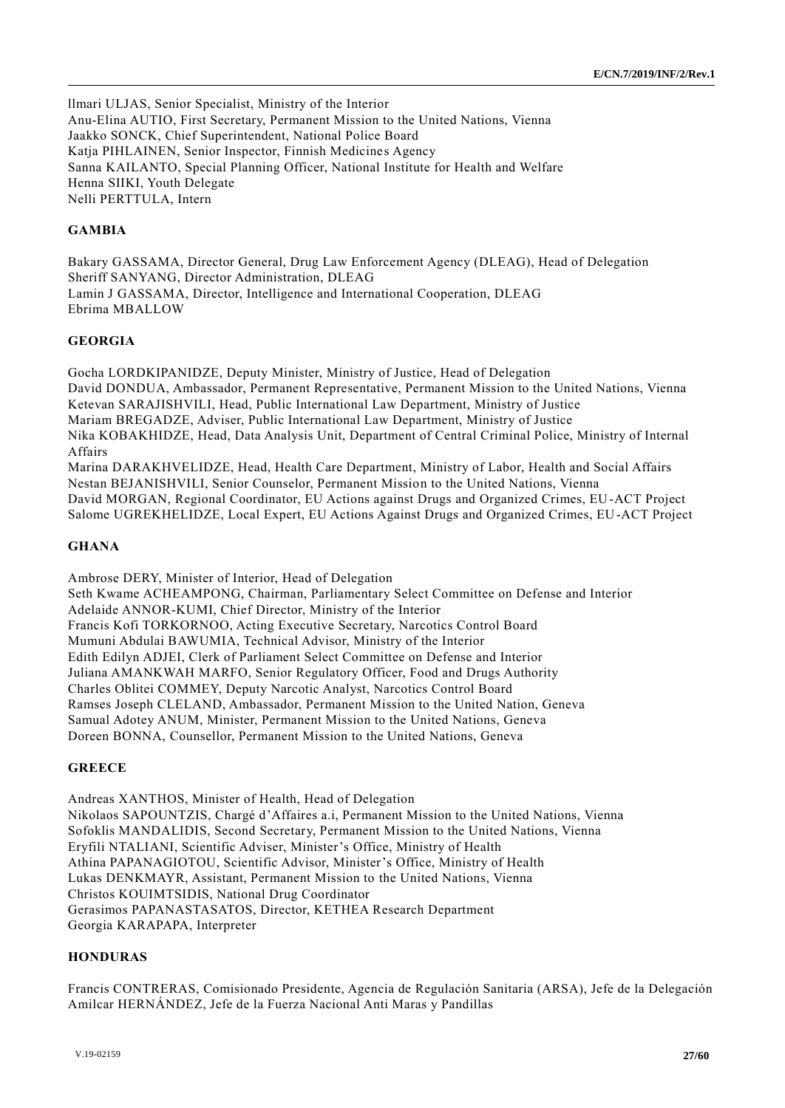llmari ULJAS, Senior Specialist, Ministry of the Interior Anu-Elina AUTIO, First Secretary, Permanent Mission to the United Nations, Vienna Jaakko SONCK, Chief Superintendent, National Police Board Katja PIHLAINEN, Senior Inspector, Finnish Medicines Agency Sanna KAILANTO, Special Planning Officer, National Institute for Health and Welfare Henna SIIKI, Youth Delegate Nelli PERTTULA, Intern

## **GAMBIA**

Bakary GASSAMA, Director General, Drug Law Enforcement Agency (DLEAG), Head of Delegation Sheriff SANYANG, Director Administration, DLEAG Lamin J GASSAMA, Director, Intelligence and International Cooperation, DLEAG Ebrima MBALLOW

## **GEORGIA**

Gocha LORDKIPANIDZE, Deputy Minister, Ministry of Justice, Head of Delegation David DONDUA, Ambassador, Permanent Representative, Permanent Mission to the United Nations, Vienna Ketevan SARAJISHVILI, Head, Public International Law Department, Ministry of Justice Mariam BREGADZE, Adviser, Public International Law Department, Ministry of Justice Nika KOBAKHIDZE, Head, Data Analysis Unit, Department of Central Criminal Police, Ministry of Internal Affairs Marina DARAKHVELIDZE, Head, Health Care Department, Ministry of Labor, Health and Social Affairs

Nestan BEJANISHVILI, Senior Counselor, Permanent Mission to the United Nations, Vienna David MORGAN, Regional Coordinator, EU Actions against Drugs and Organized Crimes, EU-ACT Project Salome UGREKHELIDZE, Local Expert, EU Actions Against Drugs and Organized Crimes, EU-ACT Project

#### **GHANA**

Ambrose DERY, Minister of Interior, Head of Delegation Seth Kwame ACHEAMPONG, Chairman, Parliamentary Select Committee on Defense and Interior Adelaide ANNOR-KUMI, Chief Director, Ministry of the Interior Francis Kofi TORKORNOO, Acting Executive Secretary, Narcotics Control Board Mumuni Abdulai BAWUMIA, Technical Advisor, Ministry of the Interior Edith Edilyn ADJEI, Clerk of Parliament Select Committee on Defense and Interior Juliana AMANKWAH MARFO, Senior Regulatory Officer, Food and Drugs Authority Charles Oblitei COMMEY, Deputy Narcotic Analyst, Narcotics Control Board Ramses Joseph CLELAND, Ambassador, Permanent Mission to the United Nation, Geneva Samual Adotey ANUM, Minister, Permanent Mission to the United Nations, Geneva Doreen BONNA, Counsellor, Permanent Mission to the United Nations, Geneva

#### **GREECE**

Andreas XANTHOS, Minister of Health, Head of Delegation Nikolaos SAPOUNTZIS, Chargé d'Affaires a.i, Permanent Mission to the United Nations, Vienna Sofoklis MANDALIDIS, Second Secretary, Permanent Mission to the United Nations, Vienna Eryfili NTALIANI, Scientific Adviser, Minister's Office, Ministry of Health Athina PAPANAGIOTOU, Scientific Advisor, Minister's Office, Ministry of Health Lukas DENKMAYR, Assistant, Permanent Mission to the United Nations, Vienna Christos KOUIMTSIDIS, National Drug Coordinator Gerasimos PAPANASTASATOS, Director, KETHEA Research Department Georgia KARAPAPA, Interpreter

## **HONDURAS**

Francis CONTRERAS, Comisionado Presidente, Agencia de Regulación Sanitaria (ARSA), Jefe de la Delegación Amilcar HERNÁNDEZ, Jefe de la Fuerza Nacional Anti Maras y Pandillas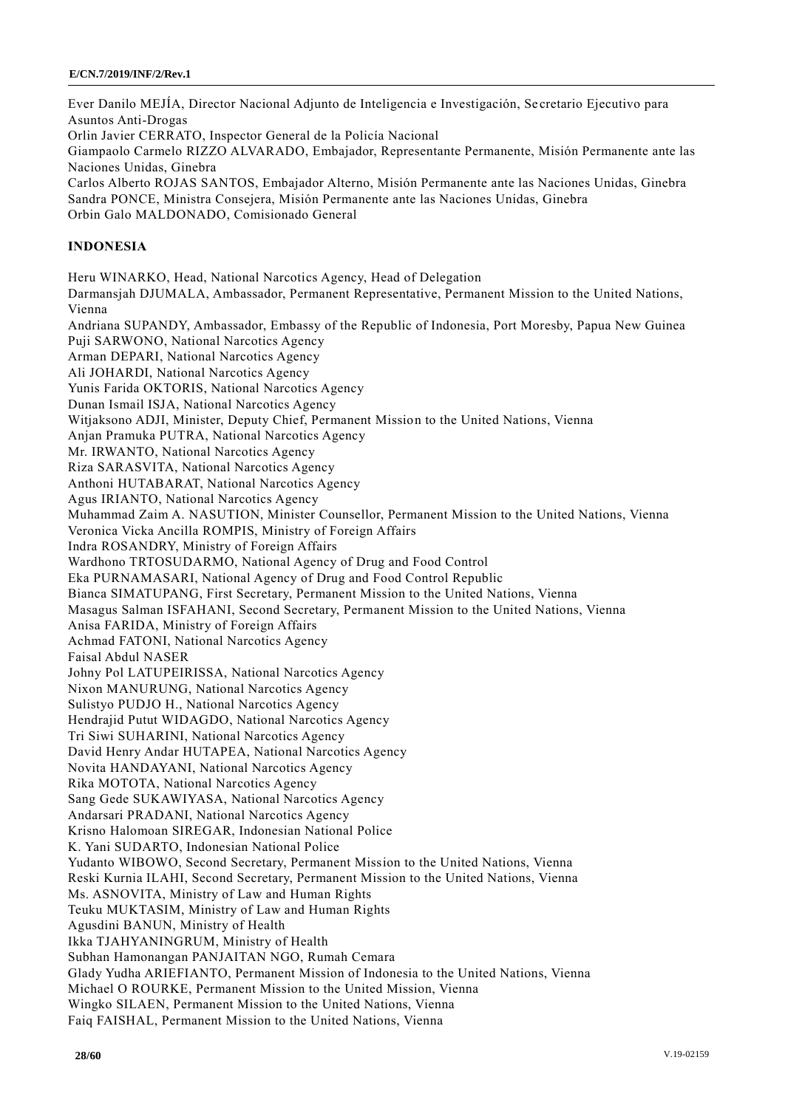Ever Danilo MEJÍA, Director Nacional Adjunto de Inteligencia e Investigación, Se cretario Ejecutivo para Asuntos Anti-Drogas Orlin Javier CERRATO, Inspector General de la Policía Nacional Giampaolo Carmelo RIZZO ALVARADO, Embajador, Representante Permanente, Misión Permanente ante las Naciones Unidas, Ginebra Carlos Alberto ROJAS SANTOS, Embajador Alterno, Misión Permanente ante las Naciones Unidas, Ginebra Sandra PONCE, Ministra Consejera, Misión Permanente ante las Naciones Unidas, Ginebra Orbin Galo MALDONADO, Comisionado General **INDONESIA** Heru WINARKO, Head, National Narcotics Agency, Head of Delegation Darmansjah DJUMALA, Ambassador, Permanent Representative, Permanent Mission to the United Nations, Vienna Andriana SUPANDY, Ambassador, Embassy of the Republic of Indonesia, Port Moresby, Papua New Guinea Puji SARWONO, National Narcotics Agency Arman DEPARI, National Narcotics Agency Ali JOHARDI, National Narcotics Agency Yunis Farida OKTORIS, National Narcotics Agency Dunan Ismail ISJA, National Narcotics Agency Witjaksono ADJI, Minister, Deputy Chief, Permanent Mission to the United Nations, Vienna Anjan Pramuka PUTRA, National Narcotics Agency Mr. IRWANTO, National Narcotics Agency Riza SARASVITA, National Narcotics Agency Anthoni HUTABARAT, National Narcotics Agency Agus IRIANTO, National Narcotics Agency Muhammad Zaim A. NASUTION, Minister Counsellor, Permanent Mission to the United Nations, Vienna Veronica Vicka Ancilla ROMPIS, Ministry of Foreign Affairs Indra ROSANDRY, Ministry of Foreign Affairs Wardhono TRTOSUDARMO, National Agency of Drug and Food Control Eka PURNAMASARI, National Agency of Drug and Food Control Republic Bianca SIMATUPANG, First Secretary, Permanent Mission to the United Nations, Vienna Masagus Salman ISFAHANI, Second Secretary, Permanent Mission to the United Nations, Vienna Anisa FARIDA, Ministry of Foreign Affairs Achmad FATONI, National Narcotics Agency Faisal Abdul NASER Johny Pol LATUPEIRISSA, National Narcotics Agency Nixon MANURUNG, National Narcotics Agency Sulistyo PUDJO H., National Narcotics Agency Hendrajid Putut WIDAGDO, National Narcotics Agency Tri Siwi SUHARINI, National Narcotics Agency David Henry Andar HUTAPEA, National Narcotics Agency Novita HANDAYANI, National Narcotics Agency Rika MOTOTA, National Narcotics Agency Sang Gede SUKAWIYASA, National Narcotics Agency Andarsari PRADANI, National Narcotics Agency Krisno Halomoan SIREGAR, Indonesian National Police K. Yani SUDARTO, Indonesian National Police Yudanto WIBOWO, Second Secretary, Permanent Mission to the United Nations, Vienna Reski Kurnia ILAHI, Second Secretary, Permanent Mission to the United Nations, Vienna Ms. ASNOVITA, Ministry of Law and Human Rights Teuku MUKTASIM, Ministry of Law and Human Rights Agusdini BANUN, Ministry of Health Ikka TJAHYANINGRUM, Ministry of Health Subhan Hamonangan PANJAITAN NGO, Rumah Cemara Glady Yudha ARIEFIANTO, Permanent Mission of Indonesia to the United Nations, Vienna Michael O ROURKE, Permanent Mission to the United Mission, Vienna Wingko SILAEN, Permanent Mission to the United Nations, Vienna Faiq FAISHAL, Permanent Mission to the United Nations, Vienna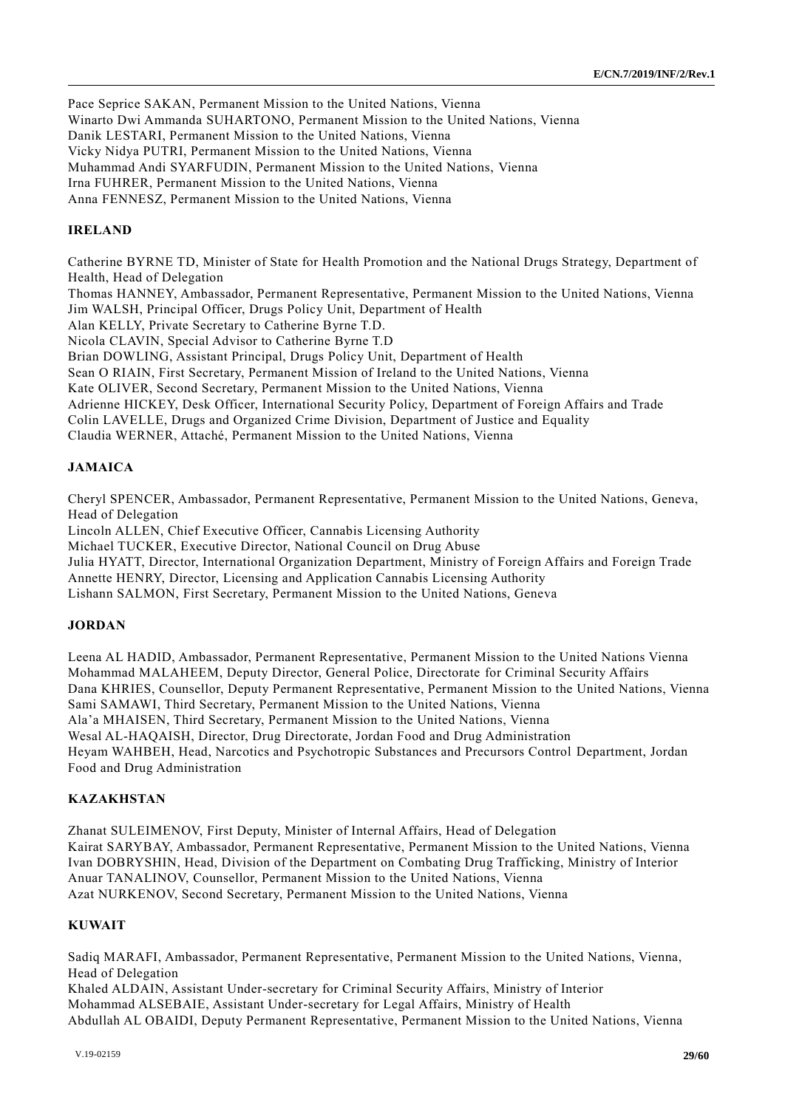Pace Seprice SAKAN, Permanent Mission to the United Nations, Vienna Winarto Dwi Ammanda SUHARTONO, Permanent Mission to the United Nations, Vienna Danik LESTARI, Permanent Mission to the United Nations, Vienna Vicky Nidya PUTRI, Permanent Mission to the United Nations, Vienna Muhammad Andi SYARFUDIN, Permanent Mission to the United Nations, Vienna Irna FUHRER, Permanent Mission to the United Nations, Vienna Anna FENNESZ, Permanent Mission to the United Nations, Vienna

#### **IRELAND**

Catherine BYRNE TD, Minister of State for Health Promotion and the National Drugs Strategy, Department of Health, Head of Delegation Thomas HANNEY, Ambassador, Permanent Representative, Permanent Mission to the United Nations, Vienna Jim WALSH, Principal Officer, Drugs Policy Unit, Department of Health Alan KELLY, Private Secretary to Catherine Byrne T.D. Nicola CLAVIN, Special Advisor to Catherine Byrne T.D Brian DOWLING, Assistant Principal, Drugs Policy Unit, Department of Health Sean O RIAIN, First Secretary, Permanent Mission of Ireland to the United Nations, Vienna Kate OLIVER, Second Secretary, Permanent Mission to the United Nations, Vienna Adrienne HICKEY, Desk Officer, International Security Policy, Department of Foreign Affairs and Trade Colin LAVELLE, Drugs and Organized Crime Division, Department of Justice and Equality Claudia WERNER, Attaché, Permanent Mission to the United Nations, Vienna

### **JAMAICA**

Cheryl SPENCER, Ambassador, Permanent Representative, Permanent Mission to the United Nations, Geneva, Head of Delegation

Lincoln ALLEN, Chief Executive Officer, Cannabis Licensing Authority

Michael TUCKER, Executive Director, National Council on Drug Abuse

Julia HYATT, Director, International Organization Department, Ministry of Foreign Affairs and Foreign Trade Annette HENRY, Director, Licensing and Application Cannabis Licensing Authority

Lishann SALMON, First Secretary, Permanent Mission to the United Nations, Geneva

#### **JORDAN**

Leena AL HADID, Ambassador, Permanent Representative, Permanent Mission to the United Nations Vienna Mohammad MALAHEEM, Deputy Director, General Police, Directorate for Criminal Security Affairs Dana KHRIES, Counsellor, Deputy Permanent Representative, Permanent Mission to the United Nations, Vienna Sami SAMAWI, Third Secretary, Permanent Mission to the United Nations, Vienna Ala'a MHAISEN, Third Secretary, Permanent Mission to the United Nations, Vienna Wesal AL-HAQAISH, Director, Drug Directorate, Jordan Food and Drug Administration Heyam WAHBEH, Head, Narcotics and Psychotropic Substances and Precursors Control Department, Jordan Food and Drug Administration

#### **KAZAKHSTAN**

Zhanat SULEIMENOV, First Deputy, Minister of Internal Affairs, Head of Delegation Kairat SARYBAY, Ambassador, Permanent Representative, Permanent Mission to the United Nations, Vienna Ivan DOBRYSHIN, Head, Division of the Department on Combating Drug Trafficking, Ministry of Interior Anuar TANALINOV, Counsellor, Permanent Mission to the United Nations, Vienna Azat NURKENOV, Second Secretary, Permanent Mission to the United Nations, Vienna

#### **KUWAIT**

Sadiq MARAFI, Ambassador, Permanent Representative, Permanent Mission to the United Nations, Vienna, Head of Delegation

Khaled ALDAIN, Assistant Under-secretary for Criminal Security Affairs, Ministry of Interior Mohammad ALSEBAIE, Assistant Under-secretary for Legal Affairs, Ministry of Health Abdullah AL OBAIDI, Deputy Permanent Representative, Permanent Mission to the United Nations, Vienna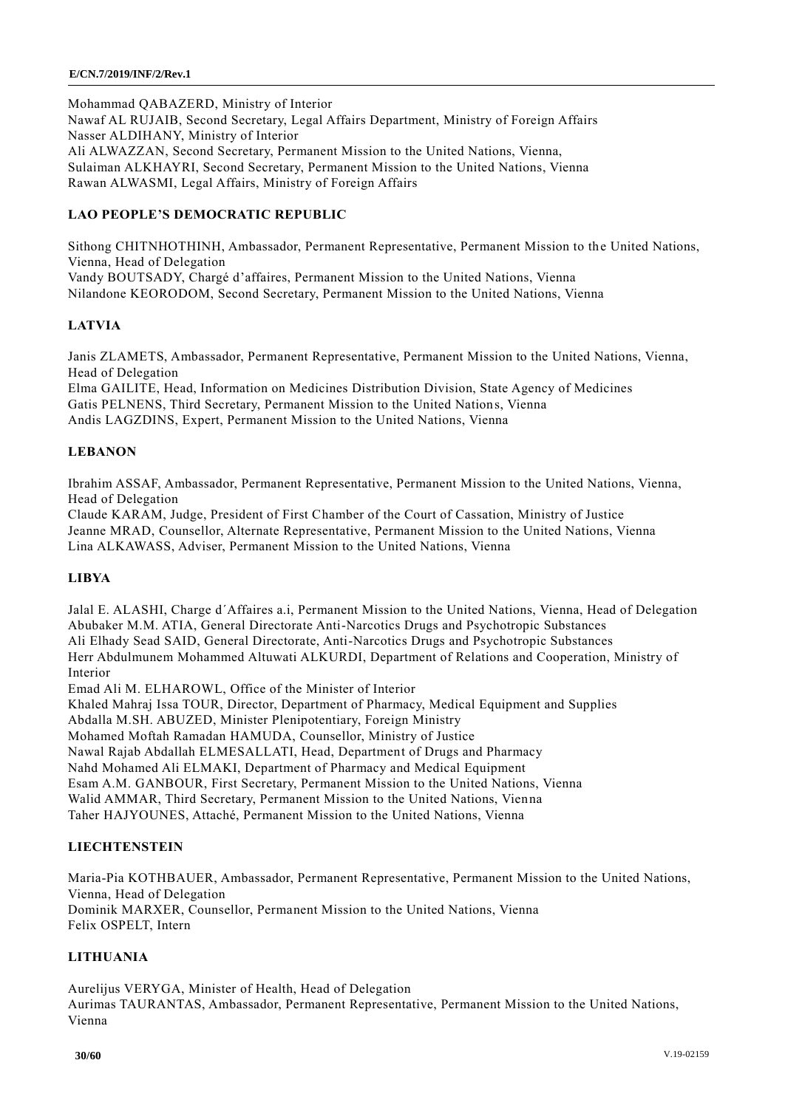Mohammad QABAZERD, Ministry of Interior Nawaf AL RUJAIB, Second Secretary, Legal Affairs Department, Ministry of Foreign Affairs Nasser ALDIHANY, Ministry of Interior Ali ALWAZZAN, Second Secretary, Permanent Mission to the United Nations, Vienna, Sulaiman ALKHAYRI, Second Secretary, Permanent Mission to the United Nations, Vienna Rawan ALWASMI, Legal Affairs, Ministry of Foreign Affairs

## **LAO PEOPLE'S DEMOCRATIC REPUBLIC**

Sithong CHITNHOTHINH, Ambassador, Permanent Representative, Permanent Mission to the United Nations, Vienna, Head of Delegation Vandy BOUTSADY, Chargé d'affaires, Permanent Mission to the United Nations, Vienna Nilandone KEORODOM, Second Secretary, Permanent Mission to the United Nations, Vienna

## **LATVIA**

Janis ZLAMETS, Ambassador, Permanent Representative, Permanent Mission to the United Nations, Vienna, Head of Delegation

Elma GAILITE, Head, Information on Medicines Distribution Division, State Agency of Medicines Gatis PELNENS, Third Secretary, Permanent Mission to the United Nations, Vienna Andis LAGZDINS, Expert, Permanent Mission to the United Nations, Vienna

## **LEBANON**

Ibrahim ASSAF, Ambassador, Permanent Representative, Permanent Mission to the United Nations, Vienna, Head of Delegation

Claude KARAM, Judge, President of First Chamber of the Court of Cassation, Ministry of Justice Jeanne MRAD, Counsellor, Alternate Representative, Permanent Mission to the United Nations, Vienna Lina ALKAWASS, Adviser, Permanent Mission to the United Nations, Vienna

## **LIBYA**

Jalal E. ALASHI, Charge d´Affaires a.i, Permanent Mission to the United Nations, Vienna, Head of Delegation Abubaker M.M. ATIA, General Directorate Anti-Narcotics Drugs and Psychotropic Substances Ali Elhady Sead SAID, General Directorate, Anti-Narcotics Drugs and Psychotropic Substances Herr Abdulmunem Mohammed Altuwati ALKURDI, Department of Relations and Cooperation, Ministry of Interior

Emad Ali M. ELHAROWL, Office of the Minister of Interior

Khaled Mahraj Issa TOUR, Director, Department of Pharmacy, Medical Equipment and Supplies

Abdalla M.SH. ABUZED, Minister Plenipotentiary, Foreign Ministry

Mohamed Moftah Ramadan HAMUDA, Counsellor, Ministry of Justice

Nawal Rajab Abdallah ELMESALLATI, Head, Department of Drugs and Pharmacy

Nahd Mohamed Ali ELMAKI, Department of Pharmacy and Medical Equipment

Esam A.M. GANBOUR, First Secretary, Permanent Mission to the United Nations, Vienna

Walid AMMAR, Third Secretary, Permanent Mission to the United Nations, Vienna

Taher HAJYOUNES, Attaché, Permanent Mission to the United Nations, Vienna

## **LIECHTENSTEIN**

Maria-Pia KOTHBAUER, Ambassador, Permanent Representative, Permanent Mission to the United Nations, Vienna, Head of Delegation Dominik MARXER, Counsellor, Permanent Mission to the United Nations, Vienna Felix OSPELT, Intern

## **LITHUANIA**

Aurelijus VERYGA, Minister of Health, Head of Delegation Aurimas TAURANTAS, Ambassador, Permanent Representative, Permanent Mission to the United Nations, Vienna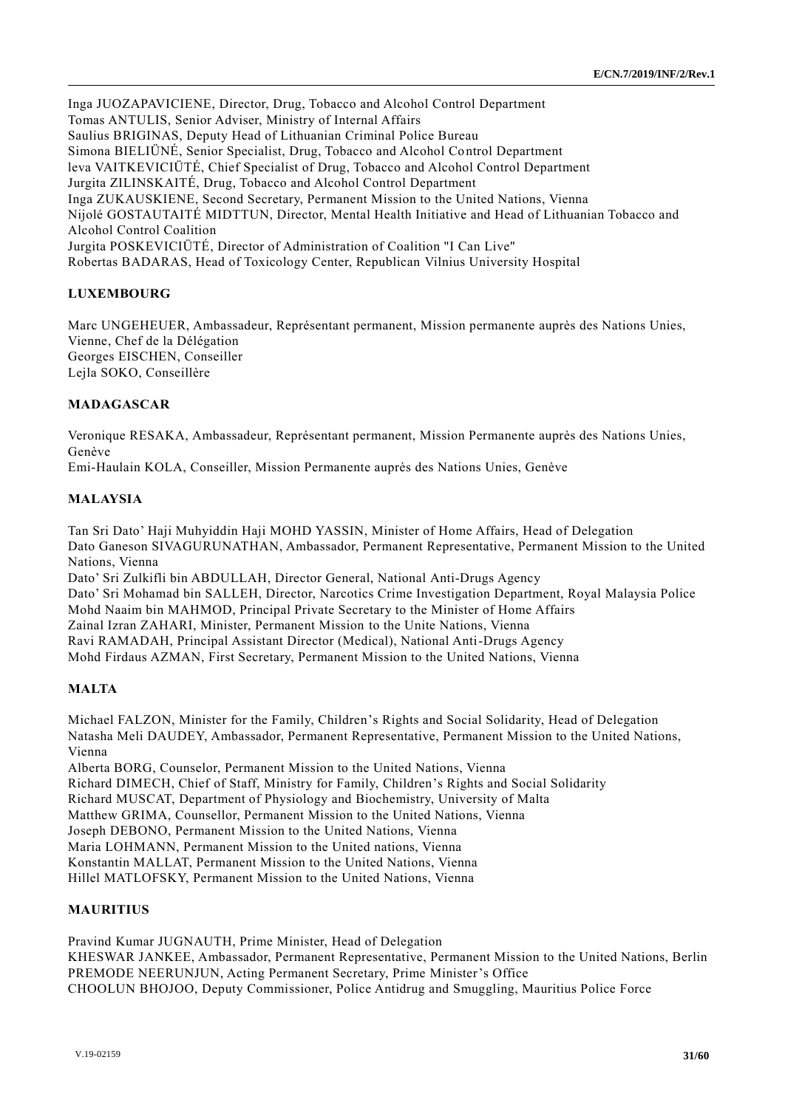Inga JUOZAPAVICIENE, Director, Drug, Tobacco and Alcohol Control Department Tomas ANTULIS, Senior Adviser, Ministry of Internal Affairs Saulius BRIGINAS, Deputy Head of Lithuanian Criminal Police Bureau Simona BIELIÜNÉ, Senior Specialist, Drug, Tobacco and Alcohol Control Department leva VAITKEVICIÜTÉ, Chief Specialist of Drug, Tobacco and Alcohol Control Department Jurgita ZILINSKAITÉ, Drug, Tobacco and Alcohol Control Department Inga ZUKAUSKIENE, Second Secretary, Permanent Mission to the United Nations, Vienna Nijolé GOSTAUTAITÉ MIDTTUN, Director, Mental Health Initiative and Head of Lithuanian Tobacco and Alcohol Control Coalition Jurgita POSKEVICIÜTÉ, Director of Administration of Coalition "I Can Live" Robertas BADARAS, Head of Toxicology Center, Republican Vilnius University Hospital

## **LUXEMBOURG**

Marc UNGEHEUER, Ambassadeur, Représentant permanent, Mission permanente auprès des Nations Unies, Vienne, Chef de la Délégation Georges EISCHEN, Conseiller Lejla SOKO, Conseillère

## **MADAGASCAR**

Veronique RESAKA, Ambassadeur, Représentant permanent, Mission Permanente auprès des Nations Unies, Genève

Emi-Haulain KOLA, Conseiller, Mission Permanente auprès des Nations Unies, Genève

## **MALAYSIA**

Tan Sri Dato' Haji Muhyiddin Haji MOHD YASSIN, Minister of Home Affairs, Head of Delegation Dato Ganeson SIVAGURUNATHAN, Ambassador, Permanent Representative, Permanent Mission to the United Nations, Vienna Dato' Sri Zulkifli bin ABDULLAH, Director General, National Anti-Drugs Agency

Dato' Sri Mohamad bin SALLEH, Director, Narcotics Crime Investigation Department, Royal Malaysia Police Mohd Naaim bin MAHMOD, Principal Private Secretary to the Minister of Home Affairs Zainal Izran ZAHARI, Minister, Permanent Mission to the Unite Nations, Vienna Ravi RAMADAH, Principal Assistant Director (Medical), National Anti-Drugs Agency Mohd Firdaus AZMAN, First Secretary, Permanent Mission to the United Nations, Vienna

### **MALTA**

Michael FALZON, Minister for the Family, Children's Rights and Social Solidarity, Head of Delegation Natasha Meli DAUDEY, Ambassador, Permanent Representative, Permanent Mission to the United Nations, Vienna

Alberta BORG, Counselor, Permanent Mission to the United Nations, Vienna

Richard DIMECH, Chief of Staff, Ministry for Family, Children's Rights and Social Solidarity

Richard MUSCAT, Department of Physiology and Biochemistry, University of Malta

Matthew GRIMA, Counsellor, Permanent Mission to the United Nations, Vienna

Joseph DEBONO, Permanent Mission to the United Nations, Vienna

Maria LOHMANN, Permanent Mission to the United nations, Vienna

Konstantin MALLAT, Permanent Mission to the United Nations, Vienna

Hillel MATLOFSKY, Permanent Mission to the United Nations, Vienna

#### **MAURITIUS**

Pravind Kumar JUGNAUTH, Prime Minister, Head of Delegation KHESWAR JANKEE, Ambassador, Permanent Representative, Permanent Mission to the United Nations, Berlin PREMODE NEERUNJUN, Acting Permanent Secretary, Prime Minister's Office CHOOLUN BHOJOO, Deputy Commissioner, Police Antidrug and Smuggling, Mauritius Police Force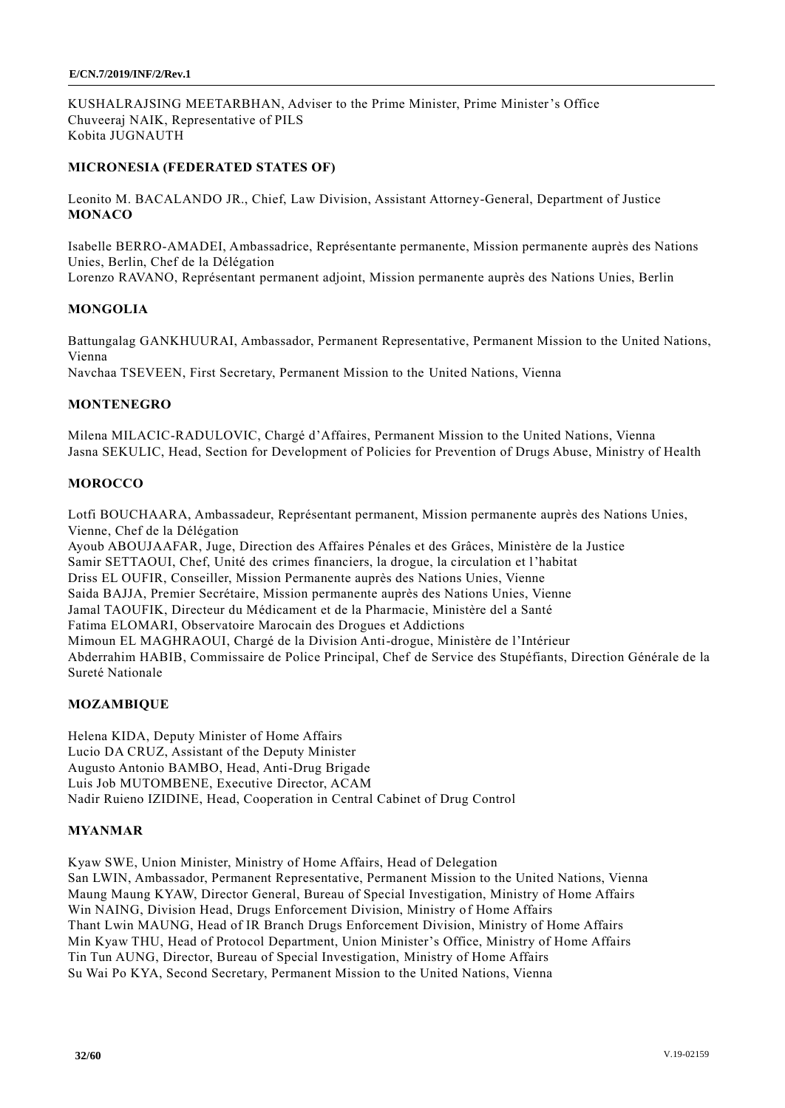KUSHALRAJSING MEETARBHAN, Adviser to the Prime Minister, Prime Minister's Office Chuveeraj NAIK, Representative of PILS Kobita JUGNAUTH

## **MICRONESIA (FEDERATED STATES OF)**

Leonito M. BACALANDO JR., Chief, Law Division, Assistant Attorney-General, Department of Justice **MONACO**

Isabelle BERRO-AMADEI, Ambassadrice, Représentante permanente, Mission permanente auprès des Nations Unies, Berlin, Chef de la Délégation Lorenzo RAVANO, Représentant permanent adjoint, Mission permanente auprès des Nations Unies, Berlin

## **MONGOLIA**

Battungalag GANKHUURAI, Ambassador, Permanent Representative, Permanent Mission to the United Nations, Vienna

Navchaa TSEVEEN, First Secretary, Permanent Mission to the United Nations, Vienna

## **MONTENEGRO**

Milena MILACIC-RADULOVIC, Chargé d'Affaires, Permanent Mission to the United Nations, Vienna Jasna SEKULIC, Head, Section for Development of Policies for Prevention of Drugs Abuse, Ministry of Health

## **MOROCCO**

Lotfi BOUCHAARA, Ambassadeur, Représentant permanent, Mission permanente auprès des Nations Unies, Vienne, Chef de la Délégation

Ayoub ABOUJAAFAR, Juge, Direction des Affaires Pénales et des Grâces, Ministère de la Justice Samir SETTAOUI, Chef, Unité des crimes financiers, la drogue, la circulation et l'habitat Driss EL OUFIR, Conseiller, Mission Permanente auprès des Nations Unies, Vienne Saida BAJJA, Premier Secrétaire, Mission permanente auprès des Nations Unies, Vienne Jamal TAOUFIK, Directeur du Médicament et de la Pharmacie, Ministère del a Santé Fatima ELOMARI, Observatoire Marocain des Drogues et Addictions Mimoun EL MAGHRAOUI, Chargé de la Division Anti-drogue, Ministère de l'Intérieur Abderrahim HABIB, Commissaire de Police Principal, Chef de Service des Stupéfiants, Direction Générale de la Sureté Nationale

#### **MOZAMBIQUE**

Helena KIDA, Deputy Minister of Home Affairs Lucio DA CRUZ, Assistant of the Deputy Minister Augusto Antonio BAMBO, Head, Anti-Drug Brigade Luis Job MUTOMBENE, Executive Director, ACAM Nadir Ruieno IZIDINE, Head, Cooperation in Central Cabinet of Drug Control

## **MYANMAR**

Kyaw SWE, Union Minister, Ministry of Home Affairs, Head of Delegation San LWIN, Ambassador, Permanent Representative, Permanent Mission to the United Nations, Vienna Maung Maung KYAW, Director General, Bureau of Special Investigation, Ministry of Home Affairs Win NAING, Division Head, Drugs Enforcement Division, Ministry of Home Affairs Thant Lwin MAUNG, Head of IR Branch Drugs Enforcement Division, Ministry of Home Affairs Min Kyaw THU, Head of Protocol Department, Union Minister's Office, Ministry of Home Affairs Tin Tun AUNG, Director, Bureau of Special Investigation, Ministry of Home Affairs Su Wai Po KYA, Second Secretary, Permanent Mission to the United Nations, Vienna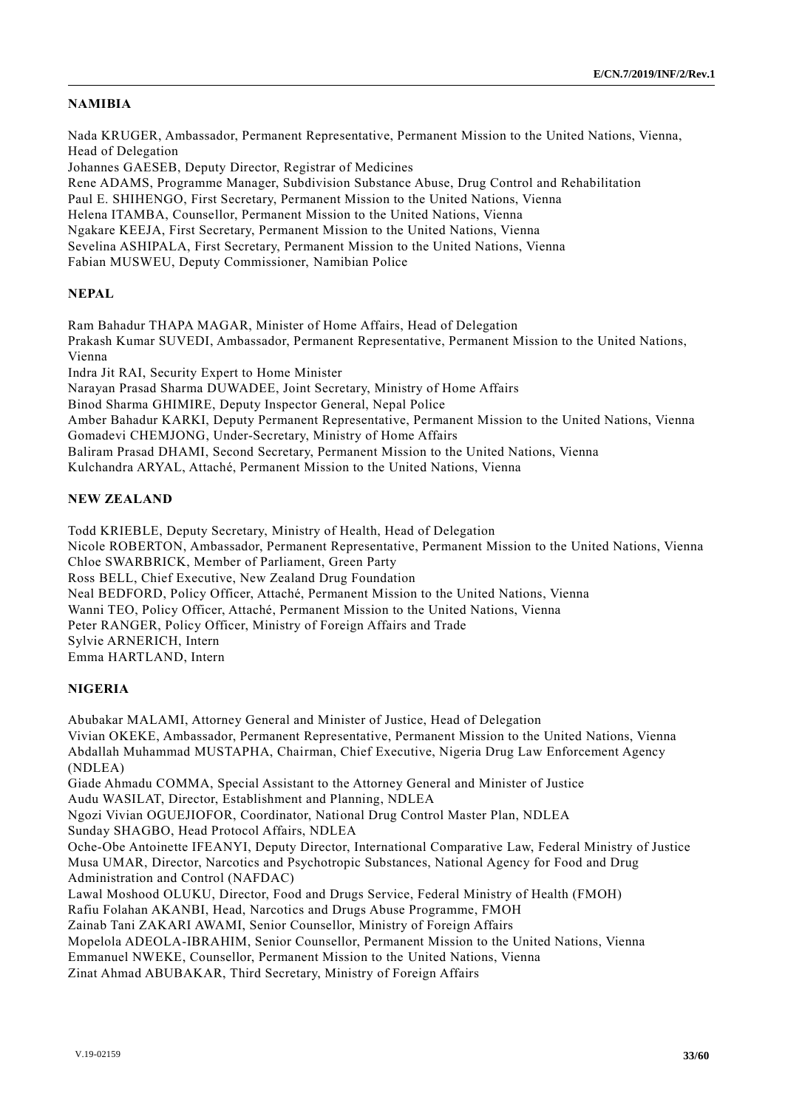#### **NAMIBIA**

Nada KRUGER, Ambassador, Permanent Representative, Permanent Mission to the United Nations, Vienna, Head of Delegation Johannes GAESEB, Deputy Director, Registrar of Medicines Rene ADAMS, Programme Manager, Subdivision Substance Abuse, Drug Control and Rehabilitation Paul E. SHIHENGO, First Secretary, Permanent Mission to the United Nations, Vienna Helena ITAMBA, Counsellor, Permanent Mission to the United Nations, Vienna Ngakare KEEJA, First Secretary, Permanent Mission to the United Nations, Vienna Sevelina ASHIPALA, First Secretary, Permanent Mission to the United Nations, Vienna Fabian MUSWEU, Deputy Commissioner, Namibian Police

#### **NEPAL**

Ram Bahadur THAPA MAGAR, Minister of Home Affairs, Head of Delegation Prakash Kumar SUVEDI, Ambassador, Permanent Representative, Permanent Mission to the United Nations, Vienna Indra Jit RAI, Security Expert to Home Minister Narayan Prasad Sharma DUWADEE, Joint Secretary, Ministry of Home Affairs Binod Sharma GHIMIRE, Deputy Inspector General, Nepal Police Amber Bahadur KARKI, Deputy Permanent Representative, Permanent Mission to the United Nations, Vienna Gomadevi CHEMJONG, Under-Secretary, Ministry of Home Affairs Baliram Prasad DHAMI, Second Secretary, Permanent Mission to the United Nations, Vienna Kulchandra ARYAL, Attaché, Permanent Mission to the United Nations, Vienna

## **NEW ZEALAND**

Todd KRIEBLE, Deputy Secretary, Ministry of Health, Head of Delegation Nicole ROBERTON, Ambassador, Permanent Representative, Permanent Mission to the United Nations, Vienna Chloe SWARBRICK, Member of Parliament, Green Party Ross BELL, Chief Executive, New Zealand Drug Foundation Neal BEDFORD, Policy Officer, Attaché, Permanent Mission to the United Nations, Vienna Wanni TEO, Policy Officer, Attaché, Permanent Mission to the United Nations, Vienna Peter RANGER, Policy Officer, Ministry of Foreign Affairs and Trade Sylvie ARNERICH, Intern Emma HARTLAND, Intern

#### **NIGERIA**

Abubakar MALAMI, Attorney General and Minister of Justice, Head of Delegation Vivian OKEKE, Ambassador, Permanent Representative, Permanent Mission to the United Nations, Vienna Abdallah Muhammad MUSTAPHA, Chairman, Chief Executive, Nigeria Drug Law Enforcement Agency (NDLEA) Giade Ahmadu COMMA, Special Assistant to the Attorney General and Minister of Justice Audu WASILAT, Director, Establishment and Planning, NDLEA Ngozi Vivian OGUEJIOFOR, Coordinator, National Drug Control Master Plan, NDLEA Sunday SHAGBO, Head Protocol Affairs, NDLEA Oche-Obe Antoinette IFEANYI, Deputy Director, International Comparative Law, Federal Ministry of Justice Musa UMAR, Director, Narcotics and Psychotropic Substances, National Agency for Food and Drug Administration and Control (NAFDAC) Lawal Moshood OLUKU, Director, Food and Drugs Service, Federal Ministry of Health (FMOH) Rafiu Folahan AKANBI, Head, Narcotics and Drugs Abuse Programme, FMOH Zainab Tani ZAKARI AWAMI, Senior Counsellor, Ministry of Foreign Affairs Mopelola ADEOLA-IBRAHIM, Senior Counsellor, Permanent Mission to the United Nations, Vienna Emmanuel NWEKE, Counsellor, Permanent Mission to the United Nations, Vienna Zinat Ahmad ABUBAKAR, Third Secretary, Ministry of Foreign Affairs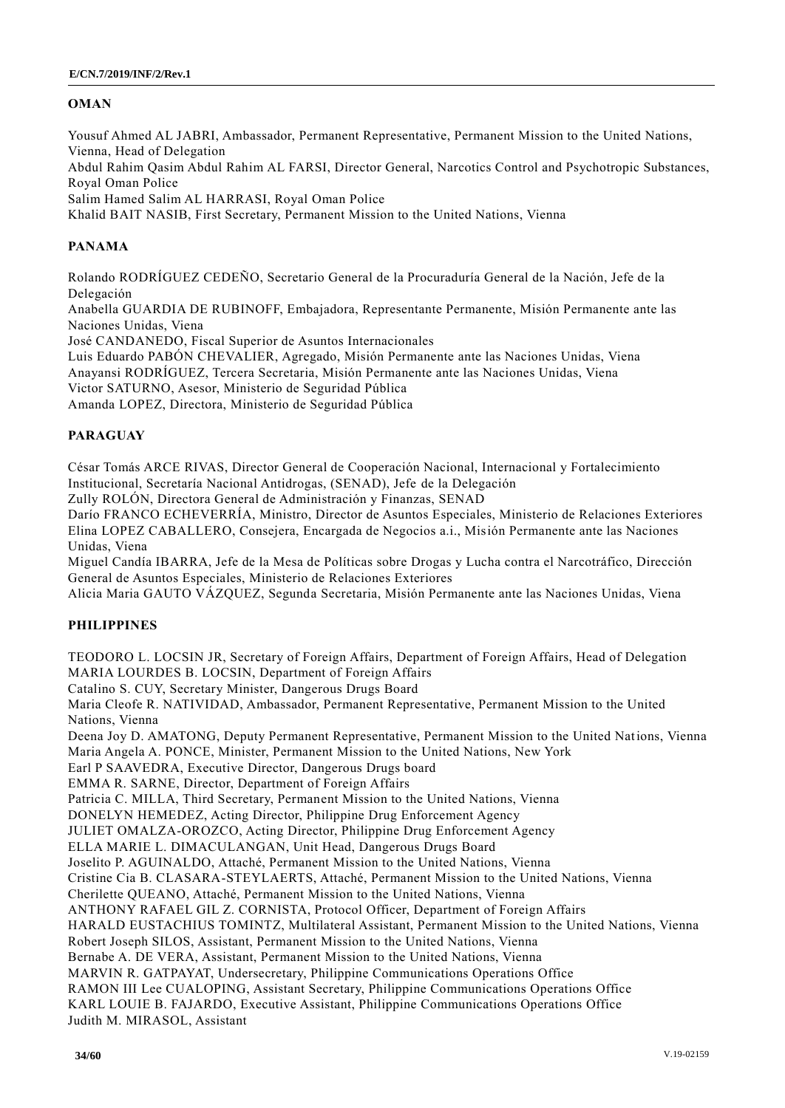## **OMAN**

Yousuf Ahmed AL JABRI, Ambassador, Permanent Representative, Permanent Mission to the United Nations, Vienna, Head of Delegation Abdul Rahim Qasim Abdul Rahim AL FARSI, Director General, Narcotics Control and Psychotropic Substances, Royal Oman Police Salim Hamed Salim AL HARRASI, Royal Oman Police Khalid BAIT NASIB, First Secretary, Permanent Mission to the United Nations, Vienna

## **PANAMA**

Rolando RODRÍGUEZ CEDEÑO, Secretario General de la Procuraduría General de la Nación, Jefe de la Delegación

Anabella GUARDIA DE RUBINOFF, Embajadora, Representante Permanente, Misión Permanente ante las Naciones Unidas, Viena

José CANDANEDO, Fiscal Superior de Asuntos Internacionales

Luis Eduardo PABÓN CHEVALIER, Agregado, Misión Permanente ante las Naciones Unidas, Viena Anayansi RODRÍGUEZ, Tercera Secretaria, Misión Permanente ante las Naciones Unidas, Viena Victor SATURNO, Asesor, Ministerio de Seguridad Pública Amanda LOPEZ, Directora, Ministerio de Seguridad Pública

## **PARAGUAY**

César Tomás ARCE RIVAS, Director General de Cooperación Nacional, Internacional y Fortalecimiento Institucional, Secretaría Nacional Antidrogas, (SENAD), Jefe de la Delegación

Zully ROLÓN, Directora General de Administración y Finanzas, SENAD

Darío FRANCO ECHEVERRÍA, Ministro, Director de Asuntos Especiales, Ministerio de Relaciones Exteriores Elina LOPEZ CABALLERO, Consejera, Encargada de Negocios a.i., Misión Permanente ante las Naciones Unidas, Viena

Miguel Candía IBARRA, Jefe de la Mesa de Políticas sobre Drogas y Lucha contra el Narcotráfico, Dirección General de Asuntos Especiales, Ministerio de Relaciones Exteriores

Alicia Maria GAUTO VÁZQUEZ, Segunda Secretaria, Misión Permanente ante las Naciones Unidas, Viena

## **PHILIPPINES**

TEODORO L. LOCSIN JR, Secretary of Foreign Affairs, Department of Foreign Affairs, Head of Delegation MARIA LOURDES B. LOCSIN, Department of Foreign Affairs Catalino S. CUY, Secretary Minister, Dangerous Drugs Board Maria Cleofe R. NATIVIDAD, Ambassador, Permanent Representative, Permanent Mission to the United Nations, Vienna Deena Joy D. AMATONG, Deputy Permanent Representative, Permanent Mission to the United Nations, Vienna Maria Angela A. PONCE, Minister, Permanent Mission to the United Nations, New York Earl P SAAVEDRA, Executive Director, Dangerous Drugs board EMMA R. SARNE, Director, Department of Foreign Affairs Patricia C. MILLA, Third Secretary, Permanent Mission to the United Nations, Vienna DONELYN HEMEDEZ, Acting Director, Philippine Drug Enforcement Agency JULIET OMALZA-OROZCO, Acting Director, Philippine Drug Enforcement Agency ELLA MARIE L. DIMACULANGAN, Unit Head, Dangerous Drugs Board Joselito P. AGUINALDO, Attaché, Permanent Mission to the United Nations, Vienna Cristine Cia B. CLASARA-STEYLAERTS, Attaché, Permanent Mission to the United Nations, Vienna Cherilette QUEANO, Attaché, Permanent Mission to the United Nations, Vienna ANTHONY RAFAEL GIL Z. CORNISTA, Protocol Officer, Department of Foreign Affairs HARALD EUSTACHIUS TOMINTZ, Multilateral Assistant, Permanent Mission to the United Nations, Vienna Robert Joseph SILOS, Assistant, Permanent Mission to the United Nations, Vienna Bernabe A. DE VERA, Assistant, Permanent Mission to the United Nations, Vienna MARVIN R. GATPAYAT, Undersecretary, Philippine Communications Operations Office RAMON III Lee CUALOPING, Assistant Secretary, Philippine Communications Operations Office KARL LOUIE B. FAJARDO, Executive Assistant, Philippine Communications Operations Office Judith M. MIRASOL, Assistant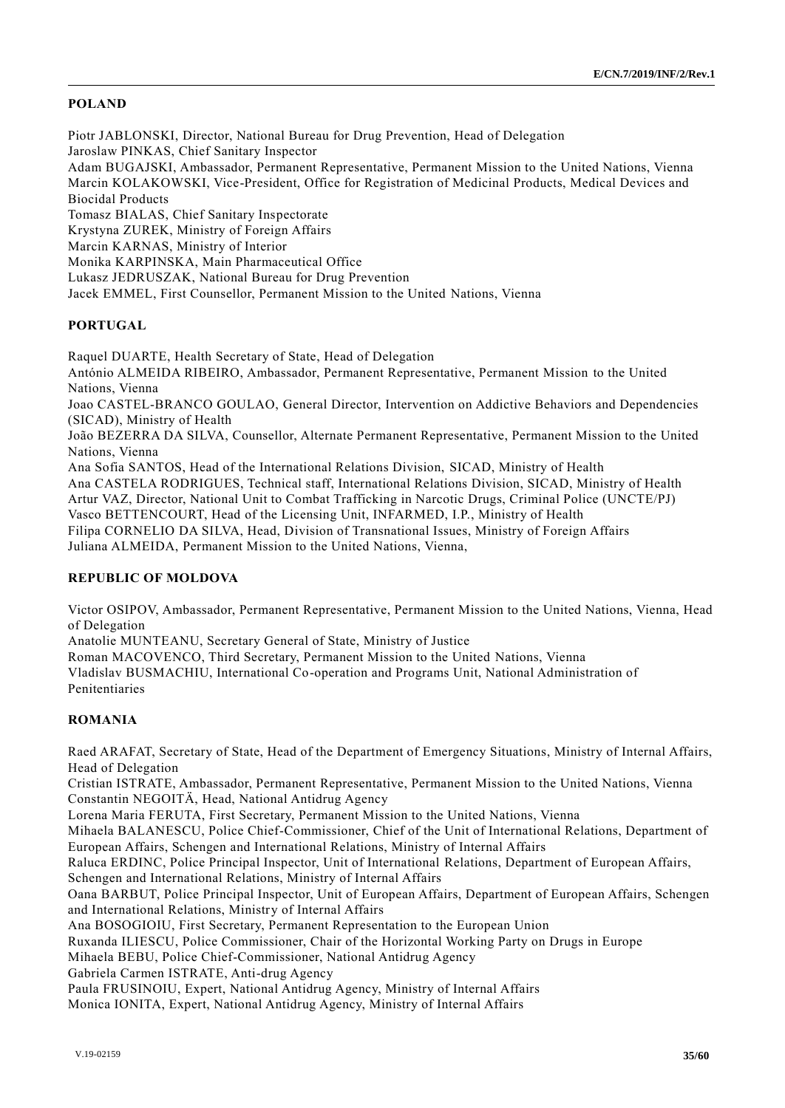## **POLAND**

Piotr JABLONSKI, Director, National Bureau for Drug Prevention, Head of Delegation Jaroslaw PINKAS, Chief Sanitary Inspector Adam BUGAJSKI, Ambassador, Permanent Representative, Permanent Mission to the United Nations, Vienna Marcin KOLAKOWSKI, Vice-President, Office for Registration of Medicinal Products, Medical Devices and Biocidal Products Tomasz BIALAS, Chief Sanitary Inspectorate Krystyna ZUREK, Ministry of Foreign Affairs Marcin KARNAS, Ministry of Interior Monika KARPINSKA, Main Pharmaceutical Office Lukasz JEDRUSZAK, National Bureau for Drug Prevention Jacek EMMEL, First Counsellor, Permanent Mission to the United Nations, Vienna

## **PORTUGAL**

Raquel DUARTE, Health Secretary of State, Head of Delegation António ALMEIDA RIBEIRO, Ambassador, Permanent Representative, Permanent Mission to the United Nations, Vienna Joao CASTEL-BRANCO GOULAO, General Director, Intervention on Addictive Behaviors and Dependencies (SICAD), Ministry of Health João BEZERRA DA SILVA, Counsellor, Alternate Permanent Representative, Permanent Mission to the United Nations, Vienna Ana Sofia SANTOS, Head of the International Relations Division, SICAD, Ministry of Health Ana CASTELA RODRIGUES, Technical staff, International Relations Division, SICAD, Ministry of Health Artur VAZ, Director, National Unit to Combat Trafficking in Narcotic Drugs, Criminal Police (UNCTE/PJ) Vasco BETTENCOURT, Head of the Licensing Unit, INFARMED, I.P., Ministry of Health Filipa CORNELIO DA SILVA, Head, Division of Transnational Issues, Ministry of Foreign Affairs Juliana ALMEIDA, Permanent Mission to the United Nations, Vienna,

## **REPUBLIC OF MOLDOVA**

Victor OSIPOV, Ambassador, Permanent Representative, Permanent Mission to the United Nations, Vienna, Head of Delegation

Anatolie MUNTEANU, Secretary General of State, Ministry of Justice

Roman MACOVENCO, Third Secretary, Permanent Mission to the United Nations, Vienna

Vladislav BUSMACHIU, International Co-operation and Programs Unit, National Administration of Penitentiaries

## **ROMANIA**

Raed ARAFAT, Secretary of State, Head of the Department of Emergency Situations, Ministry of Internal Affairs, Head of Delegation

Cristian ISTRATE, Ambassador, Permanent Representative, Permanent Mission to the United Nations, Vienna Constantin NEGOITÄ, Head, National Antidrug Agency

Lorena Maria FERUTA, First Secretary, Permanent Mission to the United Nations, Vienna

Mihaela BALANESCU, Police Chief-Commissioner, Chief of the Unit of International Relations, Department of European Affairs, Schengen and International Relations, Ministry of Internal Affairs

Raluca ERDINC, Police Principal Inspector, Unit of International Relations, Department of European Affairs, Schengen and International Relations, Ministry of Internal Affairs

Oana BARBUT, Police Principal Inspector, Unit of European Affairs, Department of European Affairs, Schengen and International Relations, Ministry of Internal Affairs

Ana BOSOGIOIU, First Secretary, Permanent Representation to the European Union

Ruxanda ILIESCU, Police Commissioner, Chair of the Horizontal Working Party on Drugs in Europe

Mihaela BEBU, Police Chief-Commissioner, National Antidrug Agency

Gabriela Carmen ISTRATE, Anti-drug Agency

Paula FRUSINOIU, Expert, National Antidrug Agency, Ministry of Internal Affairs

Monica IONITA, Expert, National Antidrug Agency, Ministry of Internal Affairs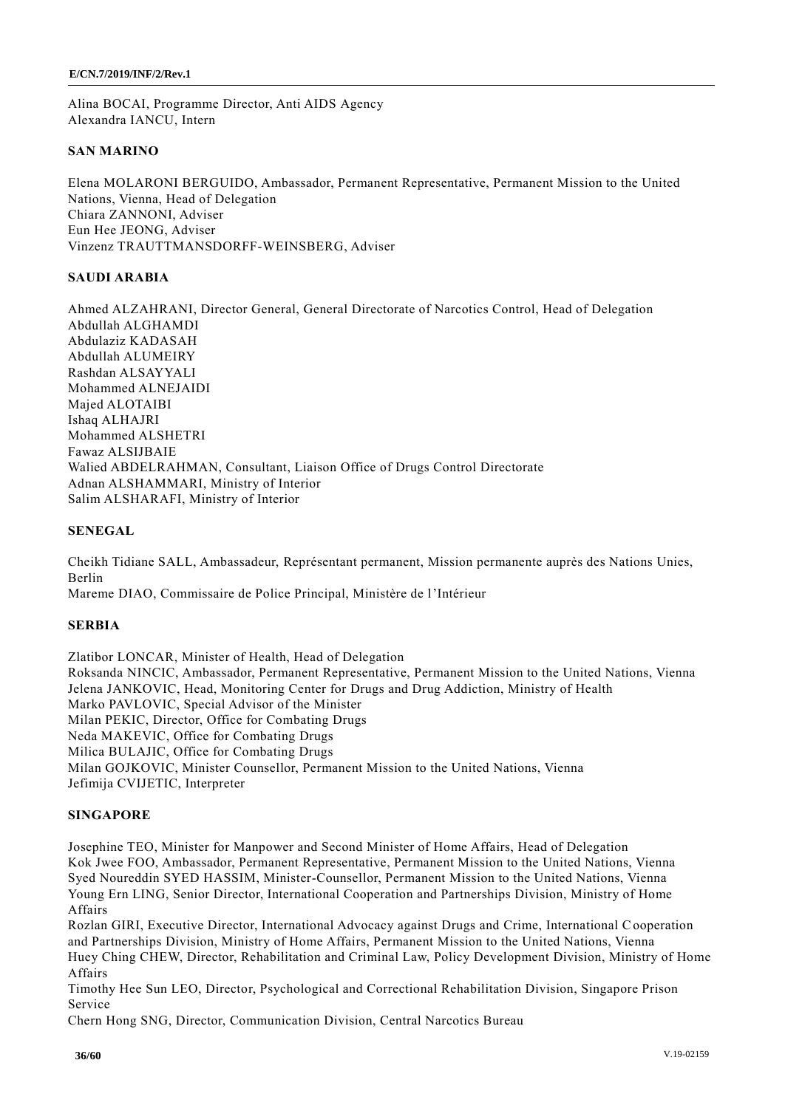Alina BOCAI, Programme Director, Anti AIDS Agency Alexandra IANCU, Intern

## **SAN MARINO**

Elena MOLARONI BERGUIDO, Ambassador, Permanent Representative, Permanent Mission to the United Nations, Vienna, Head of Delegation Chiara ZANNONI, Adviser Eun Hee JEONG, Adviser Vinzenz TRAUTTMANSDORFF-WEINSBERG, Adviser

## **SAUDI ARABIA**

Ahmed ALZAHRANI, Director General, General Directorate of Narcotics Control, Head of Delegation Abdullah ALGHAMDI Abdulaziz KADASAH Abdullah ALUMEIRY Rashdan ALSAYYALI Mohammed ALNEJAIDI Majed ALOTAIBI Ishaq ALHAJRI Mohammed ALSHETRI Fawaz ALSIJBAIE Walied ABDELRAHMAN, Consultant, Liaison Office of Drugs Control Directorate Adnan ALSHAMMARI, Ministry of Interior Salim ALSHARAFI, Ministry of Interior

## **SENEGAL**

Cheikh Tidiane SALL, Ambassadeur, Représentant permanent, Mission permanente auprès des Nations Unies, Berlin

Mareme DIAO, Commissaire de Police Principal, Ministère de l'Intérieur

## **SERBIA**

Zlatibor LONCAR, Minister of Health, Head of Delegation Roksanda NINCIC, Ambassador, Permanent Representative, Permanent Mission to the United Nations, Vienna Jelena JANKOVIC, Head, Monitoring Center for Drugs and Drug Addiction, Ministry of Health Marko PAVLOVIC, Special Advisor of the Minister Milan PEKIC, Director, Office for Combating Drugs Neda MAKEVIC, Office for Combating Drugs Milica BULAJIC, Office for Combating Drugs Milan GOJKOVIC, Minister Counsellor, Permanent Mission to the United Nations, Vienna Jefimija CVIJETIC, Interpreter

## **SINGAPORE**

Josephine TEO, Minister for Manpower and Second Minister of Home Affairs, Head of Delegation Kok Jwee FOO, Ambassador, Permanent Representative, Permanent Mission to the United Nations, Vienna Syed Noureddin SYED HASSIM, Minister-Counsellor, Permanent Mission to the United Nations, Vienna Young Ern LING, Senior Director, International Cooperation and Partnerships Division, Ministry of Home Affairs

Rozlan GIRI, Executive Director, International Advocacy against Drugs and Crime, International Cooperation and Partnerships Division, Ministry of Home Affairs, Permanent Mission to the United Nations, Vienna Huey Ching CHEW, Director, Rehabilitation and Criminal Law, Policy Development Division, Ministry of Home Affairs

Timothy Hee Sun LEO, Director, Psychological and Correctional Rehabilitation Division, Singapore Prison Service

Chern Hong SNG, Director, Communication Division, Central Narcotics Bureau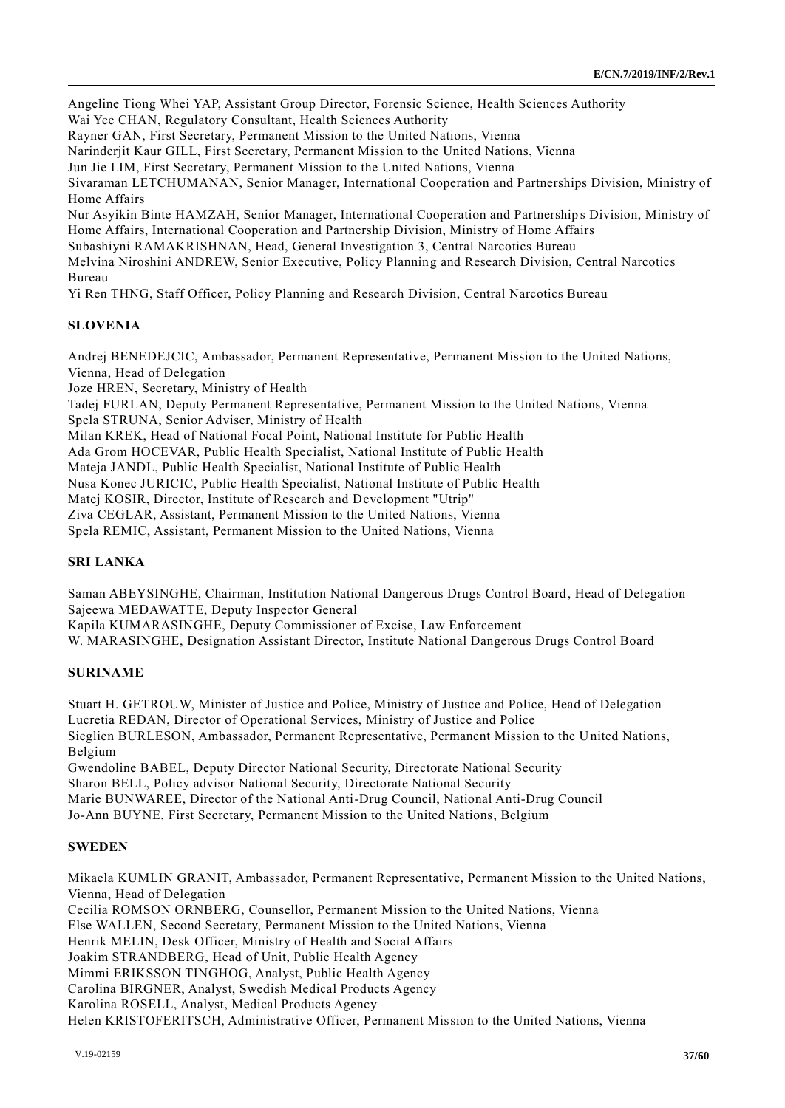Angeline Tiong Whei YAP, Assistant Group Director, Forensic Science, Health Sciences Authority Wai Yee CHAN, Regulatory Consultant, Health Sciences Authority Rayner GAN, First Secretary, Permanent Mission to the United Nations, Vienna Narinderjit Kaur GILL, First Secretary, Permanent Mission to the United Nations, Vienna Jun Jie LIM, First Secretary, Permanent Mission to the United Nations, Vienna Sivaraman LETCHUMANAN, Senior Manager, International Cooperation and Partnerships Division, Ministry of Home Affairs Nur Asyikin Binte HAMZAH, Senior Manager, International Cooperation and Partnership s Division, Ministry of Home Affairs, International Cooperation and Partnership Division, Ministry of Home Affairs Subashiyni RAMAKRISHNAN, Head, General Investigation 3, Central Narcotics Bureau Melvina Niroshini ANDREW, Senior Executive, Policy Planning and Research Division, Central Narcotics Bureau Yi Ren THNG, Staff Officer, Policy Planning and Research Division, Central Narcotics Bureau

## **SLOVENIA**

Andrej BENEDEJCIC, Ambassador, Permanent Representative, Permanent Mission to the United Nations, Vienna, Head of Delegation Joze HREN, Secretary, Ministry of Health Tadej FURLAN, Deputy Permanent Representative, Permanent Mission to the United Nations, Vienna Spela STRUNA, Senior Adviser, Ministry of Health Milan KREK, Head of National Focal Point, National Institute for Public Health Ada Grom HOCEVAR, Public Health Specialist, National Institute of Public Health Mateja JANDL, Public Health Specialist, National Institute of Public Health Nusa Konec JURICIC, Public Health Specialist, National Institute of Public Health Matej KOSIR, Director, Institute of Research and Development "Utrip" Ziva CEGLAR, Assistant, Permanent Mission to the United Nations, Vienna Spela REMIC, Assistant, Permanent Mission to the United Nations, Vienna

## **SRI LANKA**

Saman ABEYSINGHE, Chairman, Institution National Dangerous Drugs Control Board, Head of Delegation Sajeewa MEDAWATTE, Deputy Inspector General Kapila KUMARASINGHE, Deputy Commissioner of Excise, Law Enforcement W. MARASINGHE, Designation Assistant Director, Institute National Dangerous Drugs Control Board

#### **SURINAME**

Stuart H. GETROUW, Minister of Justice and Police, Ministry of Justice and Police, Head of Delegation Lucretia REDAN, Director of Operational Services, Ministry of Justice and Police Sieglien BURLESON, Ambassador, Permanent Representative, Permanent Mission to the United Nations, Belgium

Gwendoline BABEL, Deputy Director National Security, Directorate National Security Sharon BELL, Policy advisor National Security, Directorate National Security Marie BUNWAREE, Director of the National Anti-Drug Council, National Anti-Drug Council Jo-Ann BUYNE, First Secretary, Permanent Mission to the United Nations, Belgium

#### **SWEDEN**

Mikaela KUMLIN GRANIT, Ambassador, Permanent Representative, Permanent Mission to the United Nations, Vienna, Head of Delegation Cecilia ROMSON ORNBERG, Counsellor, Permanent Mission to the United Nations, Vienna

Else WALLEN, Second Secretary, Permanent Mission to the United Nations, Vienna

Henrik MELIN, Desk Officer, Ministry of Health and Social Affairs

Joakim STRANDBERG, Head of Unit, Public Health Agency

Mimmi ERIKSSON TINGHOG, Analyst, Public Health Agency

Carolina BIRGNER, Analyst, Swedish Medical Products Agency

Karolina ROSELL, Analyst, Medical Products Agency

Helen KRISTOFERITSCH, Administrative Officer, Permanent Mission to the United Nations, Vienna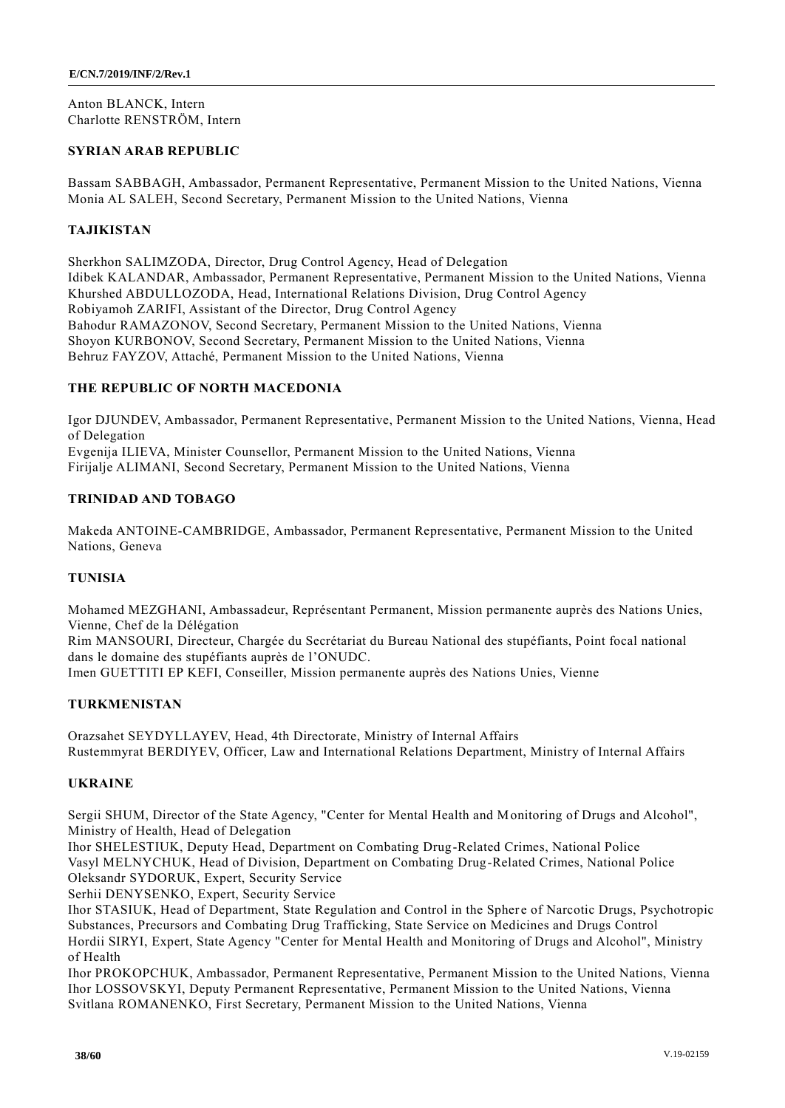Anton BLANCK, Intern Charlotte RENSTRÖM, Intern

## **SYRIAN ARAB REPUBLIC**

Bassam SABBAGH, Ambassador, Permanent Representative, Permanent Mission to the United Nations, Vienna Monia AL SALEH, Second Secretary, Permanent Mission to the United Nations, Vienna

## **TAJIKISTAN**

Sherkhon SALIMZODA, Director, Drug Control Agency, Head of Delegation Idibek KALANDAR, Ambassador, Permanent Representative, Permanent Mission to the United Nations, Vienna Khurshed ABDULLOZODA, Head, International Relations Division, Drug Control Agency Robiyamoh ZARIFI, Assistant of the Director, Drug Control Agency Bahodur RAMAZONOV, Second Secretary, Permanent Mission to the United Nations, Vienna Shoyon KURBONOV, Second Secretary, Permanent Mission to the United Nations, Vienna Behruz FAYZOV, Attaché, Permanent Mission to the United Nations, Vienna

## **THE REPUBLIC OF NORTH MACEDONIA**

Igor DJUNDEV, Ambassador, Permanent Representative, Permanent Mission to the United Nations, Vienna, Head of Delegation Evgenija ILIEVA, Minister Counsellor, Permanent Mission to the United Nations, Vienna Firijalje ALIMANI, Second Secretary, Permanent Mission to the United Nations, Vienna

## **TRINIDAD AND TOBAGO**

Makeda ANTOINE-CAMBRIDGE, Ambassador, Permanent Representative, Permanent Mission to the United Nations, Geneva

#### **TUNISIA**

Mohamed MEZGHANI, Ambassadeur, Représentant Permanent, Mission permanente auprès des Nations Unies, Vienne, Chef de la Délégation

Rim MANSOURI, Directeur, Chargée du Secrétariat du Bureau National des stupéfiants, Point focal national dans le domaine des stupéfiants auprès de l'ONUDC.

Imen GUETTITI EP KEFI, Conseiller, Mission permanente auprès des Nations Unies, Vienne

#### **TURKMENISTAN**

Orazsahet SEYDYLLAYEV, Head, 4th Directorate, Ministry of Internal Affairs Rustemmyrat BERDIYEV, Officer, Law and International Relations Department, Ministry of Internal Affairs

#### **UKRAINE**

Sergii SHUM, Director of the State Agency, "Center for Mental Health and Monitoring of Drugs and Alcohol", Ministry of Health, Head of Delegation

Ihor SHELESTIUK, Deputy Head, Department on Combating Drug-Related Crimes, National Police Vasyl MELNYCHUK, Head of Division, Department on Combating Drug-Related Crimes, National Police Oleksandr SYDORUK, Expert, Security Service

Serhii DENYSENKO, Expert, Security Service

Ihor STASIUK, Head of Department, State Regulation and Control in the Spher e of Narcotic Drugs, Psychotropic Substances, Precursors and Combating Drug Trafficking, State Service on Medicines and Drugs Control Hordii SIRYI, Expert, State Agency "Center for Mental Health and Monitoring of Drugs and Alcohol", Ministry of Health

Ihor PROKOPCHUK, Ambassador, Permanent Representative, Permanent Mission to the United Nations, Vienna Ihor LOSSOVSKYI, Deputy Permanent Representative, Permanent Mission to the United Nations, Vienna Svitlana ROMANENKO, First Secretary, Permanent Mission to the United Nations, Vienna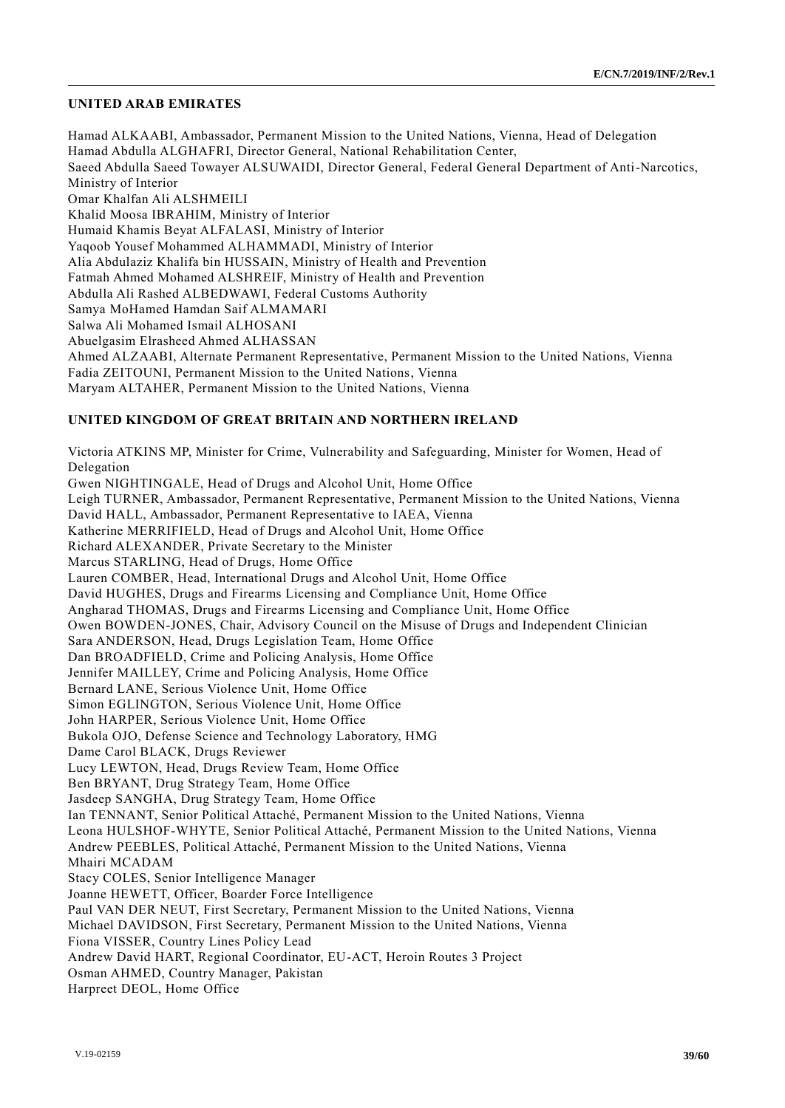#### **UNITED ARAB EMIRATES**

Hamad ALKAABI, Ambassador, Permanent Mission to the United Nations, Vienna, Head of Delegation Hamad Abdulla ALGHAFRI, Director General, National Rehabilitation Center, Saeed Abdulla Saeed Towayer ALSUWAIDI, Director General, Federal General Department of Anti-Narcotics, Ministry of Interior Omar Khalfan Ali ALSHMEILI Khalid Moosa IBRAHIM, Ministry of Interior Humaid Khamis Beyat ALFALASI, Ministry of Interior Yaqoob Yousef Mohammed ALHAMMADI, Ministry of Interior Alia Abdulaziz Khalifa bin HUSSAIN, Ministry of Health and Prevention Fatmah Ahmed Mohamed ALSHREIF, Ministry of Health and Prevention Abdulla Ali Rashed ALBEDWAWI, Federal Customs Authority Samya MoHamed Hamdan Saif ALMAMARI Salwa Ali Mohamed Ismail ALHOSANI Abuelgasim Elrasheed Ahmed ALHASSAN Ahmed ALZAABI, Alternate Permanent Representative, Permanent Mission to the United Nations, Vienna Fadia ZEITOUNI, Permanent Mission to the United Nations, Vienna Maryam ALTAHER, Permanent Mission to the United Nations, Vienna

#### **UNITED KINGDOM OF GREAT BRITAIN AND NORTHERN IRELAND**

Victoria ATKINS MP, Minister for Crime, Vulnerability and Safeguarding, Minister for Women, Head of Delegation Gwen NIGHTINGALE, Head of Drugs and Alcohol Unit, Home Office Leigh TURNER, Ambassador, Permanent Representative, Permanent Mission to the United Nations, Vienna David HALL, Ambassador, Permanent Representative to IAEA, Vienna Katherine MERRIFIELD, Head of Drugs and Alcohol Unit, Home Office Richard ALEXANDER, Private Secretary to the Minister Marcus STARLING, Head of Drugs, Home Office Lauren COMBER, Head, International Drugs and Alcohol Unit, Home Office David HUGHES, Drugs and Firearms Licensing and Compliance Unit, Home Office Angharad THOMAS, Drugs and Firearms Licensing and Compliance Unit, Home Office Owen BOWDEN-JONES, Chair, Advisory Council on the Misuse of Drugs and Independent Clinician Sara ANDERSON, Head, Drugs Legislation Team, Home Office Dan BROADFIELD, Crime and Policing Analysis, Home Office Jennifer MAILLEY, Crime and Policing Analysis, Home Office Bernard LANE, Serious Violence Unit, Home Office Simon EGLINGTON, Serious Violence Unit, Home Office John HARPER, Serious Violence Unit, Home Office Bukola OJO, Defense Science and Technology Laboratory, HMG Dame Carol BLACK, Drugs Reviewer Lucy LEWTON, Head, Drugs Review Team, Home Office Ben BRYANT, Drug Strategy Team, Home Office Jasdeep SANGHA, Drug Strategy Team, Home Office Ian TENNANT, Senior Political Attaché, Permanent Mission to the United Nations, Vienna Leona HULSHOF-WHYTE, Senior Political Attaché, Permanent Mission to the United Nations, Vienna Andrew PEEBLES, Political Attaché, Permanent Mission to the United Nations, Vienna Mhairi MCADAM Stacy COLES, Senior Intelligence Manager Joanne HEWETT, Officer, Boarder Force Intelligence Paul VAN DER NEUT, First Secretary, Permanent Mission to the United Nations, Vienna Michael DAVIDSON, First Secretary, Permanent Mission to the United Nations, Vienna Fiona VISSER, Country Lines Policy Lead Andrew David HART, Regional Coordinator, EU-ACT, Heroin Routes 3 Project Osman AHMED, Country Manager, Pakistan Harpreet DEOL, Home Office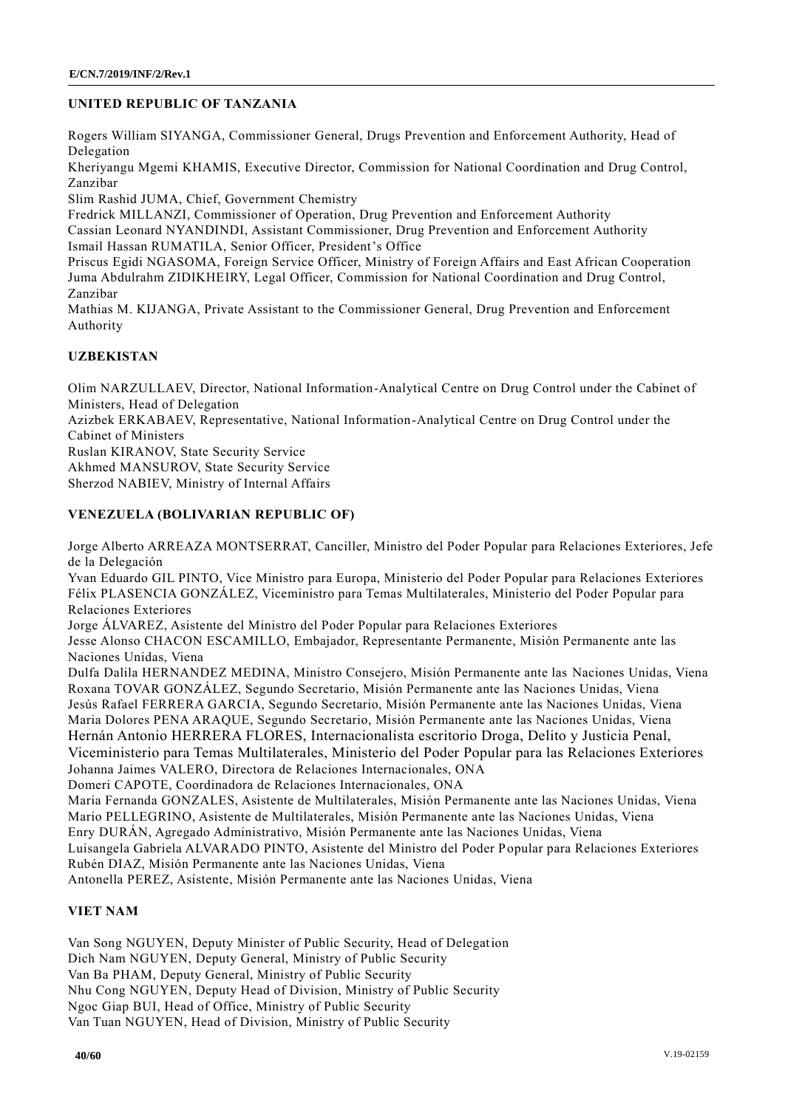## **UNITED REPUBLIC OF TANZANIA**

Rogers William SIYANGA, Commissioner General, Drugs Prevention and Enforcement Authority, Head of Delegation

Kheriyangu Mgemi KHAMIS, Executive Director, Commission for National Coordination and Drug Control, Zanzibar

Slim Rashid JUMA, Chief, Government Chemistry

Fredrick MILLANZI, Commissioner of Operation, Drug Prevention and Enforcement Authority

Cassian Leonard NYANDINDI, Assistant Commissioner, Drug Prevention and Enforcement Authority Ismail Hassan RUMATILA, Senior Officer, President's Office

Priscus Egidi NGASOMA, Foreign Service Officer, Ministry of Foreign Affairs and East African Cooperation Juma Abdulrahm ZIDIKHEIRY, Legal Officer, Commission for National Coordination and Drug Control, Zanzibar

Mathias M. KIJANGA, Private Assistant to the Commissioner General, Drug Prevention and Enforcement Authority

## **UZBEKISTAN**

Olim NARZULLAEV, Director, National Information-Analytical Centre on Drug Control under the Cabinet of Ministers, Head of Delegation Azizbek ERKABAEV, Representative, National Information-Analytical Centre on Drug Control under the Cabinet of Ministers Ruslan KIRANOV, State Security Service Akhmed MANSUROV, State Security Service Sherzod NABIEV, Ministry of Internal Affairs

## **VENEZUELA (BOLIVARIAN REPUBLIC OF)**

Jorge Alberto ARREAZA MONTSERRAT, Canciller, Ministro del Poder Popular para Relaciones Exteriores, Jefe de la Delegación

Yvan Eduardo GIL PINTO, Vice Ministro para Europa, Ministerio del Poder Popular para Relaciones Exteriores Félix PLASENCIA GONZÁLEZ, Viceministro para Temas Multilaterales, Ministerio del Poder Popular para Relaciones Exteriores

Jorge ÁLVAREZ, Asistente del Ministro del Poder Popular para Relaciones Exteriores

Jesse Alonso CHACON ESCAMILLO, Embajador, Representante Permanente, Misión Permanente ante las Naciones Unidas, Viena

Dulfa Dalila HERNANDEZ MEDINA, Ministro Consejero, Misión Permanente ante las Naciones Unidas, Viena Roxana TOVAR GONZÁLEZ, Segundo Secretario, Misión Permanente ante las Naciones Unidas, Viena Jesús Rafael FERRERA GARCIA, Segundo Secretario, Misión Permanente ante las Naciones Unidas, Viena Maria Dolores PENA ARAQUE, Segundo Secretario, Misión Permanente ante las Naciones Unidas, Viena Hernán Antonio HERRERA FLORES, Internacionalista escritorio Droga, Delito y Justicia Penal, Viceministerio para Temas Multilaterales, Ministerio del Poder Popular para las Relaciones Exteriores Johanna Jaimes VALERO, Directora de Relaciones Internacionales, ONA Domeri CAPOTE, Coordinadora de Relaciones Internacionales, ONA

Maria Fernanda GONZALES, Asistente de Multilaterales, Misión Permanente ante las Naciones Unidas, Viena Mario PELLEGRINO, Asistente de Multilaterales, Misión Permanente ante las Naciones Unidas, Viena Enry DURÁN, Agregado Administrativo, Misión Permanente ante las Naciones Unidas, Viena Luisangela Gabriela ALVARADO PINTO, Asistente del Ministro del Poder Popular para Relaciones Exteriores

Rubén DIAZ, Misión Permanente ante las Naciones Unidas, Viena

Antonella PEREZ, Asistente, Misión Permanente ante las Naciones Unidas, Viena

## **VIET NAM**

Van Song NGUYEN, Deputy Minister of Public Security, Head of Delegation Dich Nam NGUYEN, Deputy General, Ministry of Public Security Van Ba PHAM, Deputy General, Ministry of Public Security Nhu Cong NGUYEN, Deputy Head of Division, Ministry of Public Security Ngoc Giap BUI, Head of Office, Ministry of Public Security Van Tuan NGUYEN, Head of Division, Ministry of Public Security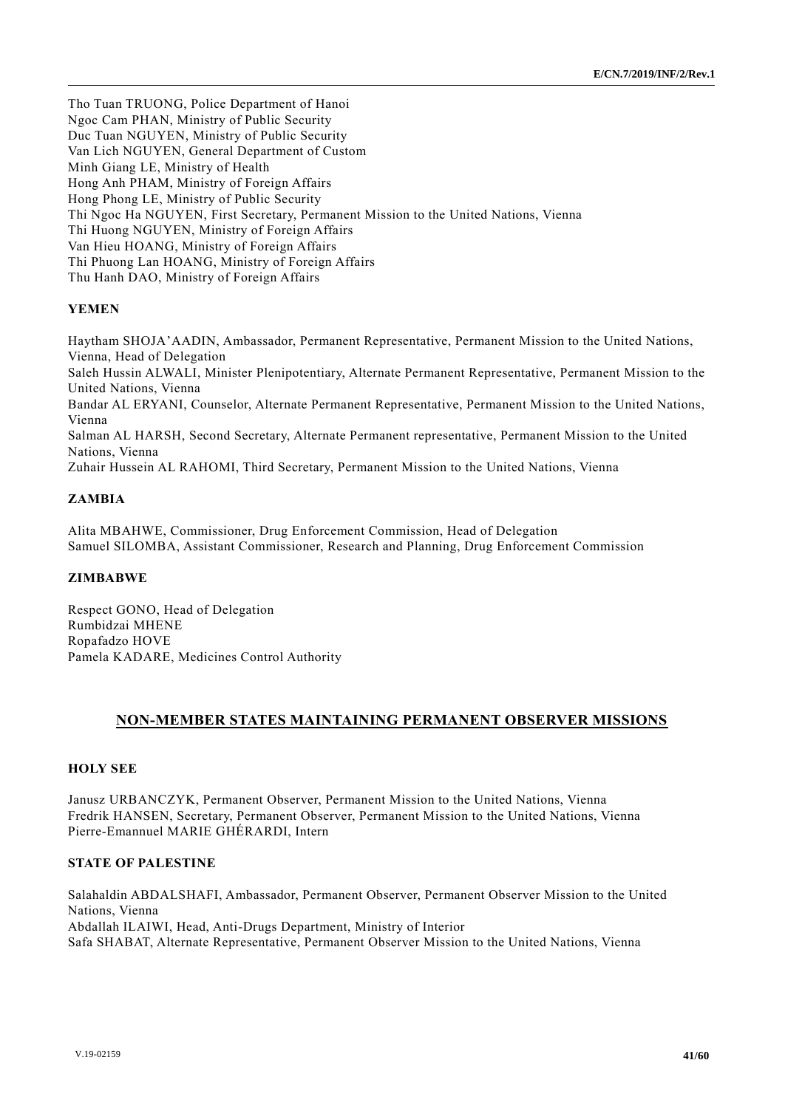Tho Tuan TRUONG, Police Department of Hanoi Ngoc Cam PHAN, Ministry of Public Security Duc Tuan NGUYEN, Ministry of Public Security Van Lich NGUYEN, General Department of Custom Minh Giang LE, Ministry of Health Hong Anh PHAM, Ministry of Foreign Affairs Hong Phong LE, Ministry of Public Security Thi Ngoc Ha NGUYEN, First Secretary, Permanent Mission to the United Nations, Vienna Thi Huong NGUYEN, Ministry of Foreign Affairs Van Hieu HOANG, Ministry of Foreign Affairs Thi Phuong Lan HOANG, Ministry of Foreign Affairs Thu Hanh DAO, Ministry of Foreign Affairs

## **YEMEN**

Haytham SHOJA'AADIN, Ambassador, Permanent Representative, Permanent Mission to the United Nations, Vienna, Head of Delegation Saleh Hussin ALWALI, Minister Plenipotentiary, Alternate Permanent Representative, Permanent Mission to the United Nations, Vienna Bandar AL ERYANI, Counselor, Alternate Permanent Representative, Permanent Mission to the United Nations, Vienna Salman AL HARSH, Second Secretary, Alternate Permanent representative, Permanent Mission to the United Nations, Vienna Zuhair Hussein AL RAHOMI, Third Secretary, Permanent Mission to the United Nations, Vienna

## **ZAMBIA**

Alita MBAHWE, Commissioner, Drug Enforcement Commission, Head of Delegation Samuel SILOMBA, Assistant Commissioner, Research and Planning, Drug Enforcement Commission

## **ZIMBABWE**

Respect GONO, Head of Delegation Rumbidzai MHENE Ropafadzo HOVE Pamela KADARE, Medicines Control Authority

## **NON-MEMBER STATES MAINTAINING PERMANENT OBSERVER MISSIONS**

#### **HOLY SEE**

Janusz URBANCZYK, Permanent Observer, Permanent Mission to the United Nations, Vienna Fredrik HANSEN, Secretary, Permanent Observer, Permanent Mission to the United Nations, Vienna Pierre-Emannuel MARIE GHÉRARDI, Intern

#### **STATE OF PALESTINE**

Salahaldin ABDALSHAFI, Ambassador, Permanent Observer, Permanent Observer Mission to the United Nations, Vienna Abdallah ILAIWI, Head, Anti-Drugs Department, Ministry of Interior Safa SHABAT, Alternate Representative, Permanent Observer Mission to the United Nations, Vienna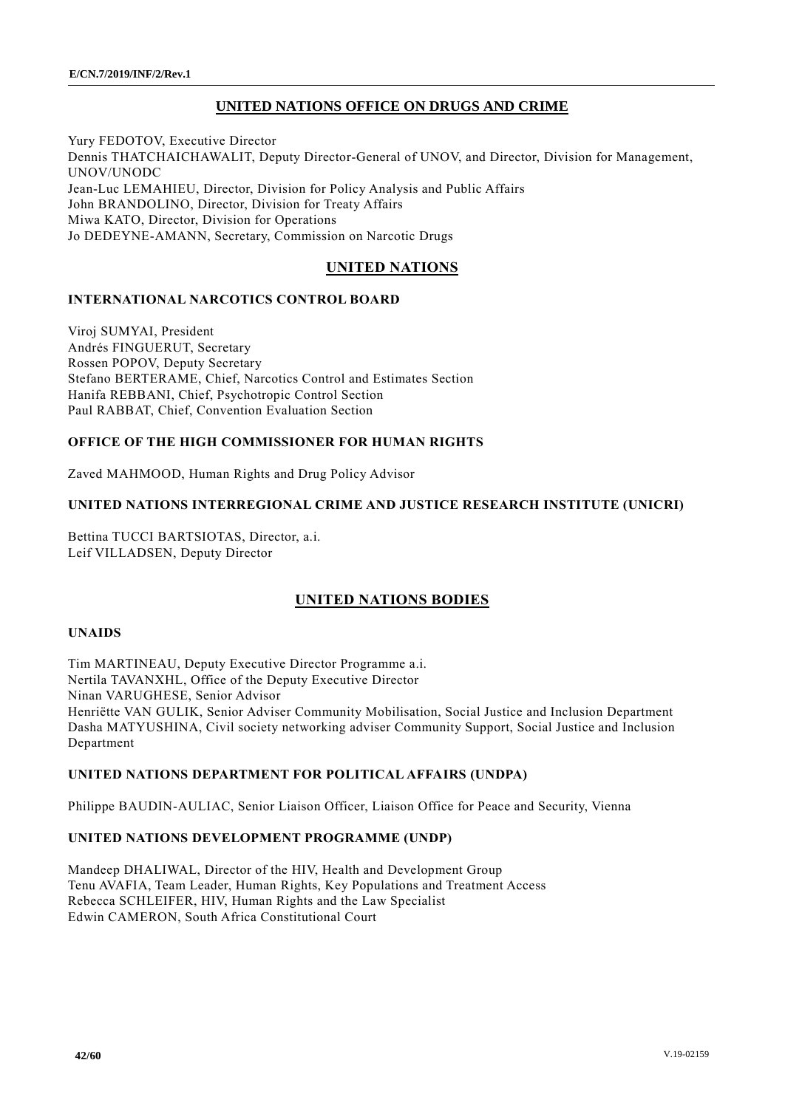## **UNITED NATIONS OFFICE ON DRUGS AND CRIME**

Yury FEDOTOV, Executive Director Dennis THATCHAICHAWALIT, Deputy Director-General of UNOV, and Director, Division for Management, UNOV/UNODC Jean-Luc LEMAHIEU, Director, Division for Policy Analysis and Public Affairs John BRANDOLINO, Director, Division for Treaty Affairs Miwa KATO, Director, Division for Operations Jo DEDEYNE-AMANN, Secretary, Commission on Narcotic Drugs

## **UNITED NATIONS**

## **INTERNATIONAL NARCOTICS CONTROL BOARD**

Viroj SUMYAI, President Andrés FINGUERUT, Secretary Rossen POPOV, Deputy Secretary Stefano BERTERAME, Chief, Narcotics Control and Estimates Section Hanifa REBBANI, Chief, Psychotropic Control Section Paul RABBAT, Chief, Convention Evaluation Section

## **OFFICE OF THE HIGH COMMISSIONER FOR HUMAN RIGHTS**

Zaved MAHMOOD, Human Rights and Drug Policy Advisor

## **UNITED NATIONS INTERREGIONAL CRIME AND JUSTICE RESEARCH INSTITUTE (UNICRI)**

Bettina TUCCI BARTSIOTAS, Director, a.i. Leif VILLADSEN, Deputy Director

## **UNITED NATIONS BODIES**

#### **UNAIDS**

Tim MARTINEAU, Deputy Executive Director Programme a.i. Nertila TAVANXHL, Office of the Deputy Executive Director Ninan VARUGHESE, Senior Advisor Henriëtte VAN GULIK, Senior Adviser Community Mobilisation, Social Justice and Inclusion Department Dasha MATYUSHINA, Civil society networking adviser Community Support, Social Justice and Inclusion Department

#### **UNITED NATIONS DEPARTMENT FOR POLITICAL AFFAIRS (UNDPA)**

Philippe BAUDIN-AULIAC, Senior Liaison Officer, Liaison Office for Peace and Security, Vienna

#### **UNITED NATIONS DEVELOPMENT PROGRAMME (UNDP)**

Mandeep DHALIWAL, Director of the HIV, Health and Development Group Tenu AVAFIA, Team Leader, Human Rights, Key Populations and Treatment Access Rebecca SCHLEIFER, HIV, Human Rights and the Law Specialist Edwin CAMERON, South Africa Constitutional Court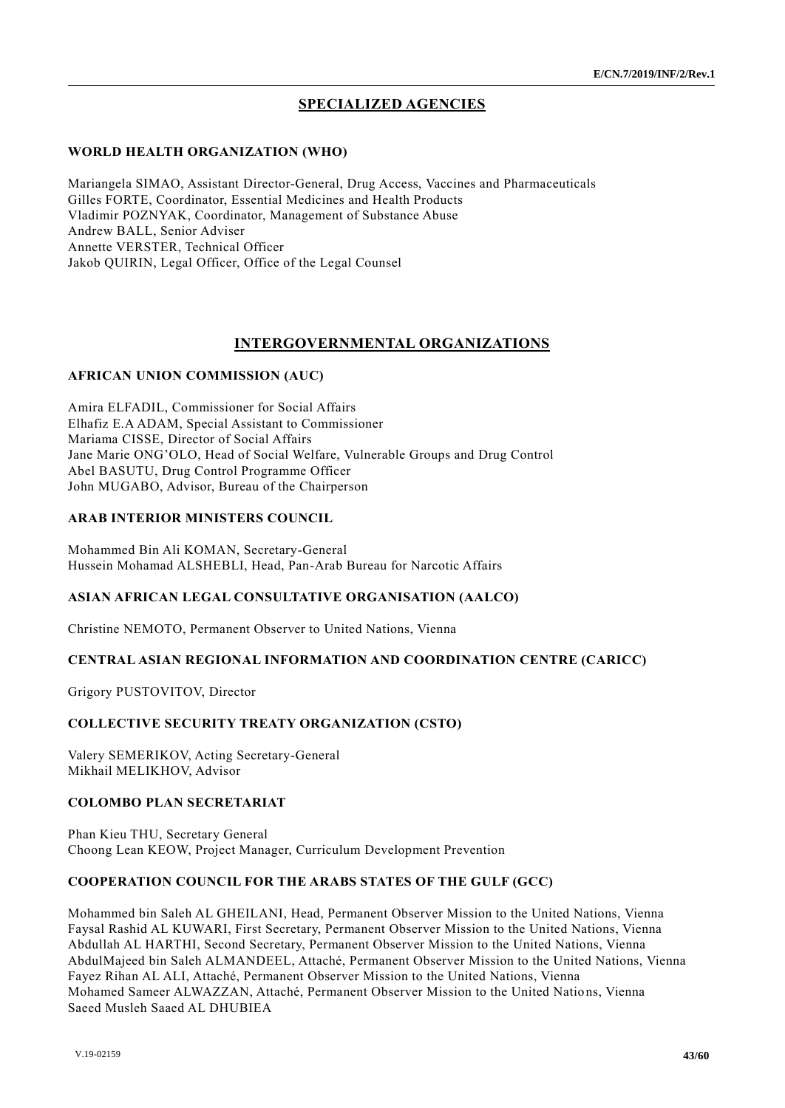## **SPECIALIZED AGENCIES**

#### **WORLD HEALTH ORGANIZATION (WHO)**

Mariangela SIMAO, Assistant Director-General, Drug Access, Vaccines and Pharmaceuticals Gilles FORTE, Coordinator, Essential Medicines and Health Products Vladimir POZNYAK, Coordinator, Management of Substance Abuse Andrew BALL, Senior Adviser Annette VERSTER, Technical Officer Jakob QUIRIN, Legal Officer, Office of the Legal Counsel

## **INTERGOVERNMENTAL ORGANIZATIONS**

#### **AFRICAN UNION COMMISSION (AUC)**

Amira ELFADIL, Commissioner for Social Affairs Elhafiz E.A ADAM, Special Assistant to Commissioner Mariama CISSE, Director of Social Affairs Jane Marie ONG'OLO, Head of Social Welfare, Vulnerable Groups and Drug Control Abel BASUTU, Drug Control Programme Officer John MUGABO, Advisor, Bureau of the Chairperson

#### **ARAB INTERIOR MINISTERS COUNCIL**

Mohammed Bin Ali KOMAN, Secretary-General Hussein Mohamad ALSHEBLI, Head, Pan-Arab Bureau for Narcotic Affairs

#### **ASIAN AFRICAN LEGAL CONSULTATIVE ORGANISATION (AALCO)**

Christine NEMOTO, Permanent Observer to United Nations, Vienna

#### **CENTRAL ASIAN REGIONAL INFORMATION AND COORDINATION CENTRE (CARICC)**

Grigory PUSTOVITOV, Director

#### **COLLECTIVE SECURITY TREATY ORGANIZATION (CSTO)**

Valery SEMERIKOV, Acting Secretary-General Mikhail MELIKHOV, Advisor

#### **COLOMBO PLAN SECRETARIAT**

Phan Kieu THU, Secretary General Choong Lean KEOW, Project Manager, Curriculum Development Prevention

#### **COOPERATION COUNCIL FOR THE ARABS STATES OF THE GULF (GCC)**

Mohammed bin Saleh AL GHEILANI, Head, Permanent Observer Mission to the United Nations, Vienna Faysal Rashid AL KUWARI, First Secretary, Permanent Observer Mission to the United Nations, Vienna Abdullah AL HARTHI, Second Secretary, Permanent Observer Mission to the United Nations, Vienna AbdulMajeed bin Saleh ALMANDEEL, Attaché, Permanent Observer Mission to the United Nations, Vienna Fayez Rihan AL ALI, Attaché, Permanent Observer Mission to the United Nations, Vienna Mohamed Sameer ALWAZZAN, Attaché, Permanent Observer Mission to the United Natio ns, Vienna Saeed Musleh Saaed AL DHUBIEA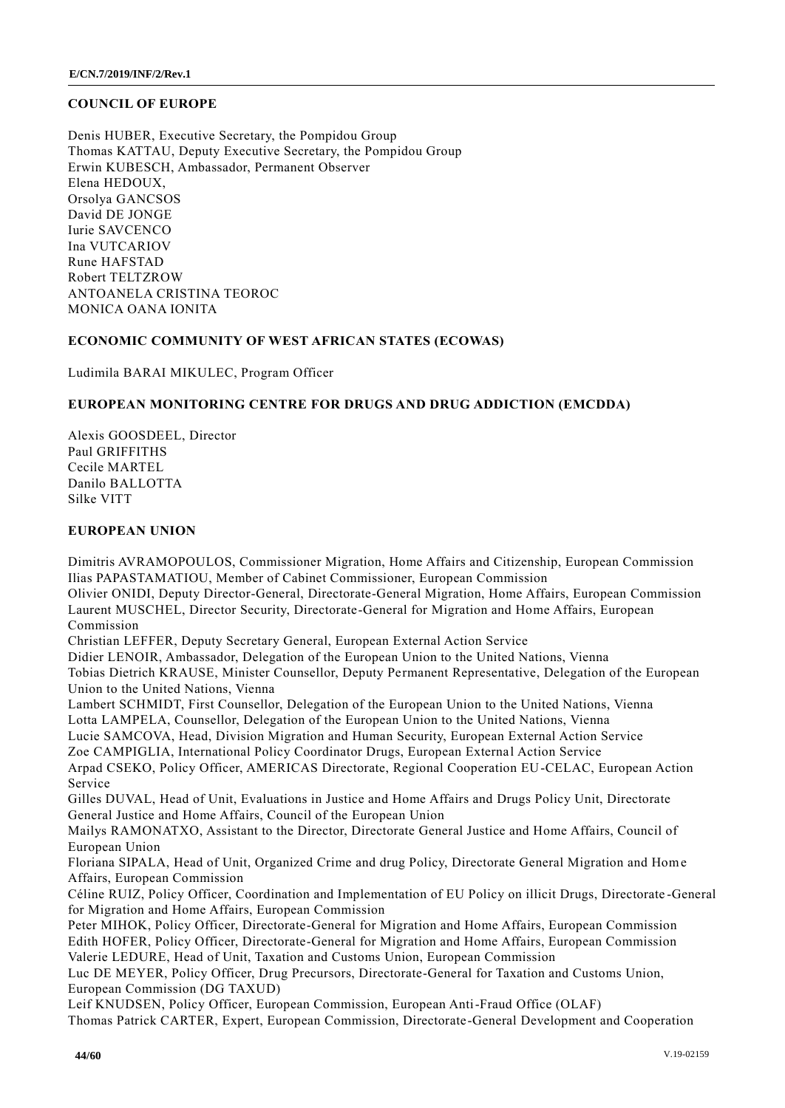#### **COUNCIL OF EUROPE**

Denis HUBER, Executive Secretary, the Pompidou Group Thomas KATTAU, Deputy Executive Secretary, the Pompidou Group Erwin KUBESCH, Ambassador, Permanent Observer Elena HEDOUX, Orsolya GANCSOS David DE JONGE Iurie SAVCENCO Ina VUTCARIOV Rune HAFSTAD Robert TELTZROW ANTOANELA CRISTINA TEOROC MONICA OANA IONITA

#### **ECONOMIC COMMUNITY OF WEST AFRICAN STATES (ECOWAS)**

Ludimila BARAI MIKULEC, Program Officer

## **EUROPEAN MONITORING CENTRE FOR DRUGS AND DRUG ADDICTION (EMCDDA)**

Alexis GOOSDEEL, Director Paul GRIFFITHS Cecile MARTEL Danilo BALLOTTA Silke VITT

## **EUROPEAN UNION**

Dimitris AVRAMOPOULOS, Commissioner Migration, Home Affairs and Citizenship, European Commission Ilias PAPASTAMATIOU, Member of Cabinet Commissioner, European Commission Olivier ONIDI, Deputy Director-General, Directorate-General Migration, Home Affairs, European Commission Laurent MUSCHEL, Director Security, Directorate-General for Migration and Home Affairs, European Commission Christian LEFFER, Deputy Secretary General, European External Action Service Didier LENOIR, Ambassador, Delegation of the European Union to the United Nations, Vienna Tobias Dietrich KRAUSE, Minister Counsellor, Deputy Permanent Representative, Delegation of the European Union to the United Nations, Vienna Lambert SCHMIDT, First Counsellor, Delegation of the European Union to the United Nations, Vienna Lotta LAMPELA, Counsellor, Delegation of the European Union to the United Nations, Vienna Lucie SAMCOVA, Head, Division Migration and Human Security, European External Action Service Zoe CAMPIGLIA, International Policy Coordinator Drugs, European External Action Service Arpad CSEKO, Policy Officer, AMERICAS Directorate, Regional Cooperation EU-CELAC, European Action Service Gilles DUVAL, Head of Unit, Evaluations in Justice and Home Affairs and Drugs Policy Unit, Directorate General Justice and Home Affairs, Council of the European Union Mailys RAMONATXO, Assistant to the Director, Directorate General Justice and Home Affairs, Council of European Union Floriana SIPALA, Head of Unit, Organized Crime and drug Policy, Directorate General Migration and Home Affairs, European Commission Céline RUIZ, Policy Officer, Coordination and Implementation of EU Policy on illicit Drugs, Directorate -General for Migration and Home Affairs, European Commission Peter MIHOK, Policy Officer, Directorate-General for Migration and Home Affairs, European Commission Edith HOFER, Policy Officer, Directorate-General for Migration and Home Affairs, European Commission Valerie LEDURE, Head of Unit, Taxation and Customs Union, European Commission Luc DE MEYER, Policy Officer, Drug Precursors, Directorate-General for Taxation and Customs Union, European Commission (DG TAXUD) Leif KNUDSEN, Policy Officer, European Commission, European Anti-Fraud Office (OLAF) Thomas Patrick CARTER, Expert, European Commission, Directorate-General Development and Cooperation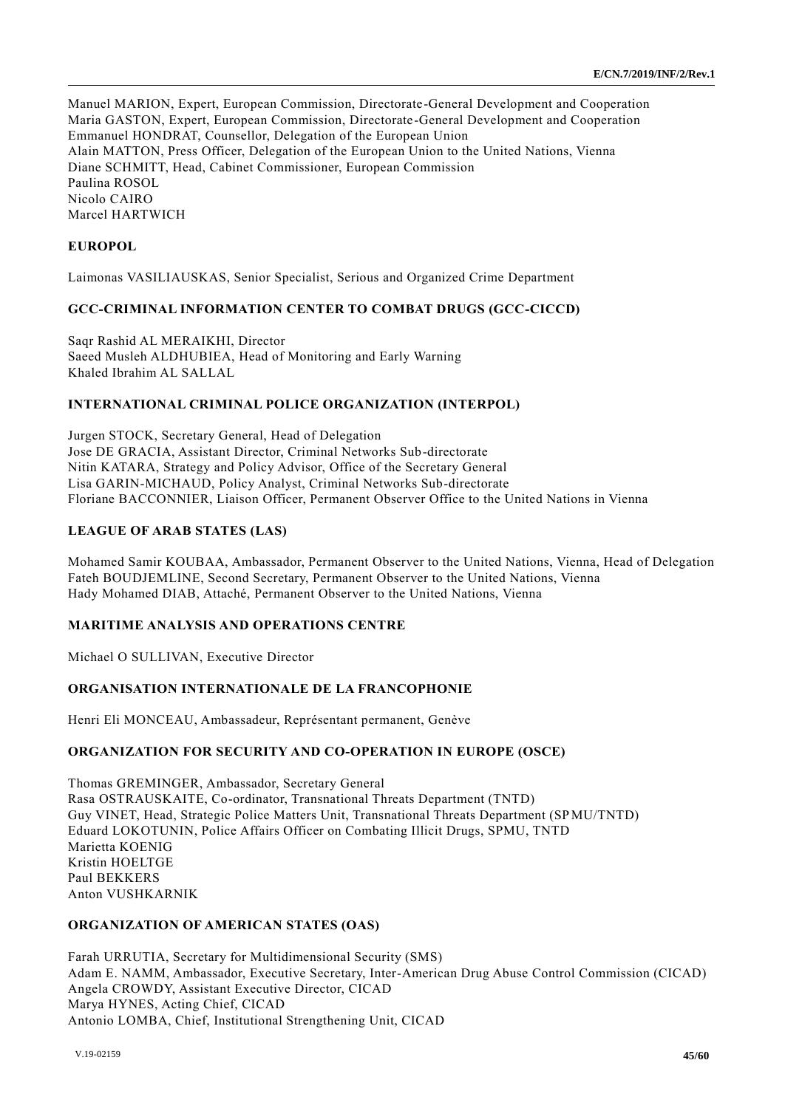Manuel MARION, Expert, European Commission, Directorate-General Development and Cooperation Maria GASTON, Expert, European Commission, Directorate-General Development and Cooperation Emmanuel HONDRAT, Counsellor, Delegation of the European Union Alain MATTON, Press Officer, Delegation of the European Union to the United Nations, Vienna Diane SCHMITT, Head, Cabinet Commissioner, European Commission Paulina ROSOL Nicolo CAIRO Marcel HARTWICH

## **EUROPOL**

Laimonas VASILIAUSKAS, Senior Specialist, Serious and Organized Crime Department

## **GCC-CRIMINAL INFORMATION CENTER TO COMBAT DRUGS (GCC-CICCD)**

Saqr Rashid AL MERAIKHI, Director Saeed Musleh ALDHUBIEA, Head of Monitoring and Early Warning Khaled Ibrahim AL SALLAL

#### **INTERNATIONAL CRIMINAL POLICE ORGANIZATION (INTERPOL)**

Jurgen STOCK, Secretary General, Head of Delegation Jose DE GRACIA, Assistant Director, Criminal Networks Sub-directorate Nitin KATARA, Strategy and Policy Advisor, Office of the Secretary General Lisa GARIN-MICHAUD, Policy Analyst, Criminal Networks Sub-directorate Floriane BACCONNIER, Liaison Officer, Permanent Observer Office to the United Nations in Vienna

## **LEAGUE OF ARAB STATES (LAS)**

Mohamed Samir KOUBAA, Ambassador, Permanent Observer to the United Nations, Vienna, Head of Delegation Fateh BOUDJEMLINE, Second Secretary, Permanent Observer to the United Nations, Vienna Hady Mohamed DIAB, Attaché, Permanent Observer to the United Nations, Vienna

#### **MARITIME ANALYSIS AND OPERATIONS CENTRE**

Michael O SULLIVAN, Executive Director

## **ORGANISATION INTERNATIONALE DE LA FRANCOPHONIE**

Henri Eli MONCEAU, Ambassadeur, Représentant permanent, Genève

#### **ORGANIZATION FOR SECURITY AND CO-OPERATION IN EUROPE (OSCE)**

Thomas GREMINGER, Ambassador, Secretary General Rasa OSTRAUSKAITE, Co-ordinator, Transnational Threats Department (TNTD) Guy VINET, Head, Strategic Police Matters Unit, Transnational Threats Department (SPMU/TNTD) Eduard LOKOTUNIN, Police Affairs Officer on Combating Illicit Drugs, SPMU, TNTD Marietta KOENIG Kristin HOELTGE Paul BEKKERS Anton VUSHKARNIK

#### **ORGANIZATION OF AMERICAN STATES (OAS)**

Farah URRUTIA, Secretary for Multidimensional Security (SMS) Adam E. NAMM, Ambassador, Executive Secretary, Inter-American Drug Abuse Control Commission (CICAD) Angela CROWDY, Assistant Executive Director, CICAD Marya HYNES, Acting Chief, CICAD Antonio LOMBA, Chief, Institutional Strengthening Unit, CICAD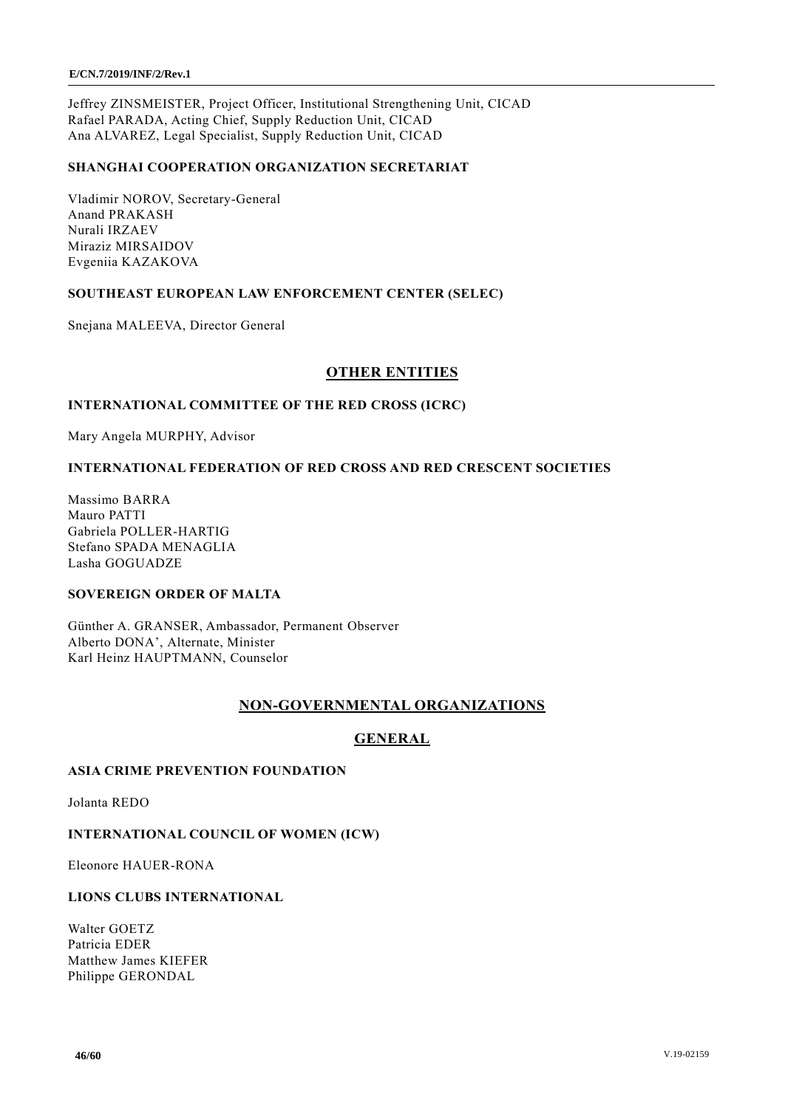Jeffrey ZINSMEISTER, Project Officer, Institutional Strengthening Unit, CICAD Rafael PARADA, Acting Chief, Supply Reduction Unit, CICAD Ana ALVAREZ, Legal Specialist, Supply Reduction Unit, CICAD

## **SHANGHAI COOPERATION ORGANIZATION SECRETARIAT**

Vladimir NOROV, Secretary-General Anand PRAKASH Nurali IRZAEV Miraziz MIRSAIDOV Evgeniia KAZAKOVA

## **SOUTHEAST EUROPEAN LAW ENFORCEMENT CENTER (SELEC)**

Snejana MALEEVA, Director General

## **OTHER ENTITIES**

#### **INTERNATIONAL COMMITTEE OF THE RED CROSS (ICRC)**

Mary Angela MURPHY, Advisor

## **INTERNATIONAL FEDERATION OF RED CROSS AND RED CRESCENT SOCIETIES**

Massimo BARRA Mauro PATTI Gabriela POLLER-HARTIG Stefano SPADA MENAGLIA Lasha GOGUADZE

#### **SOVEREIGN ORDER OF MALTA**

Günther A. GRANSER, Ambassador, Permanent Observer Alberto DONA', Alternate, Minister Karl Heinz HAUPTMANN, Counselor

## **NON-GOVERNMENTAL ORGANIZATIONS**

## **GENERAL**

## **ASIA CRIME PREVENTION FOUNDATION**

Jolanta REDO

#### **INTERNATIONAL COUNCIL OF WOMEN (ICW)**

Eleonore HAUER-RONA

#### **LIONS CLUBS INTERNATIONAL**

Walter GOETZ Patricia EDER Matthew James KIEFER Philippe GERONDAL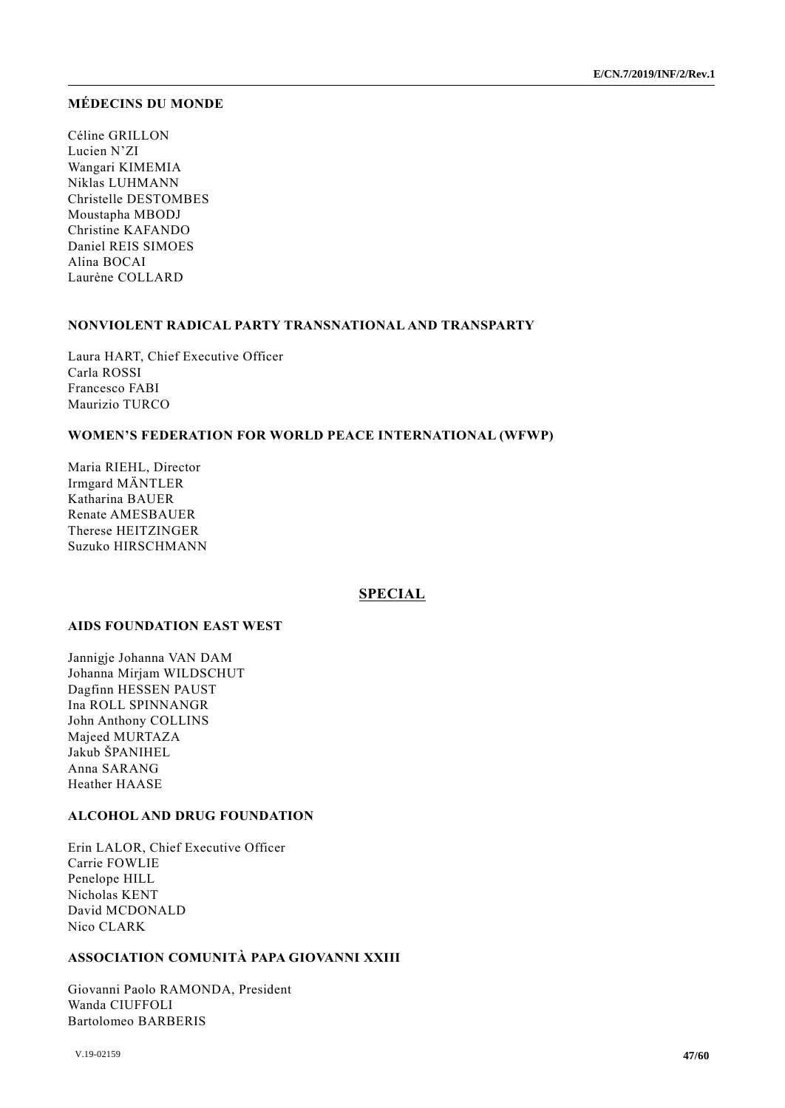#### **MÉDECINS DU MONDE**

Céline GRILLON Lucien N'ZI Wangari KIMEMIA Niklas LUHMANN Christelle DESTOMBES Moustapha MBODJ Christine KAFANDO Daniel REIS SIMOES Alina BOCAI Laurène COLLARD

#### **NONVIOLENT RADICAL PARTY TRANSNATIONAL AND TRANSPARTY**

Laura HART, Chief Executive Officer Carla ROSSI Francesco FABI Maurizio TURCO

#### **WOMEN'S FEDERATION FOR WORLD PEACE INTERNATIONAL (WFWP)**

Maria RIEHL, Director Irmgard MÄNTLER Katharina BAUER Renate AMESBAUER Therese HEITZINGER Suzuko HIRSCHMANN

#### **SPECIAL**

## **AIDS FOUNDATION EAST WEST**

Jannigje Johanna VAN DAM Johanna Mirjam WILDSCHUT Dagfinn HESSEN PAUST Ina ROLL SPINNANGR John Anthony COLLINS Majeed MURTAZA Jakub ŠPANIHEL Anna SARANG Heather HAASE

#### **ALCOHOL AND DRUG FOUNDATION**

Erin LALOR, Chief Executive Officer Carrie FOWLIE Penelope HILL Nicholas KENT David MCDONALD Nico CLARK

## **ASSOCIATION COMUNITÀ PAPA GIOVANNI XXIII**

Giovanni Paolo RAMONDA, President Wanda CIUFFOLI Bartolomeo BARBERIS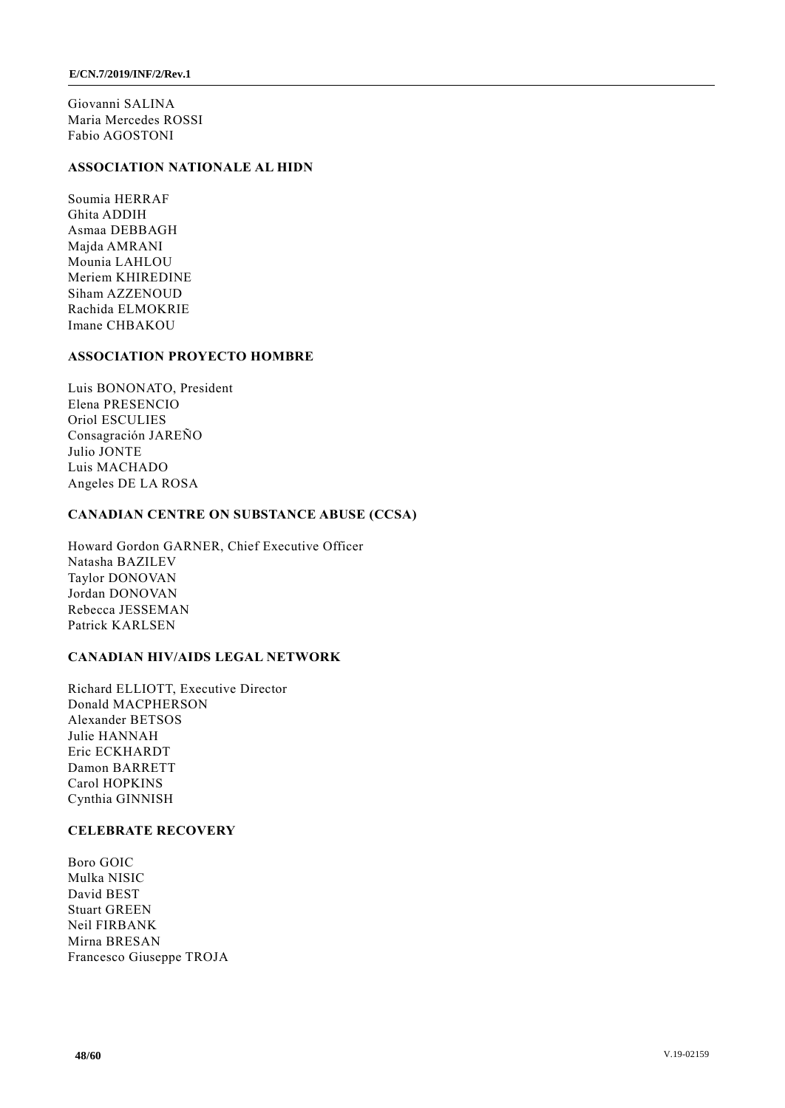Giovanni SALINA Maria Mercedes ROSSI Fabio AGOSTONI

## **ASSOCIATION NATIONALE AL HIDN**

Soumia HERRAF Ghita ADDIH Asmaa DEBBAGH Majda AMRANI Mounia LAHLOU Meriem KHIREDINE Siham AZZENOUD Rachida ELMOKRIE Imane CHBAKOU

## **ASSOCIATION PROYECTO HOMBRE**

Luis BONONATO, President Elena PRESENCIO Oriol ESCULIES Consagración JAREÑO Julio JONTE Luis MACHADO Angeles DE LA ROSA

#### **CANADIAN CENTRE ON SUBSTANCE ABUSE (CCSA)**

Howard Gordon GARNER, Chief Executive Officer Natasha BAZILEV Taylor DONOVAN Jordan DONOVAN Rebecca JESSEMAN Patrick KARLSEN

#### **CANADIAN HIV/AIDS LEGAL NETWORK**

Richard ELLIOTT, Executive Director Donald MACPHERSON Alexander BETSOS Julie HANNAH Eric ECKHARDT Damon BARRETT Carol HOPKINS Cynthia GINNISH

#### **CELEBRATE RECOVERY**

Boro GOIC Mulka NISIC David BEST Stuart GREEN Neil FIRBANK Mirna BRESAN Francesco Giuseppe TROJA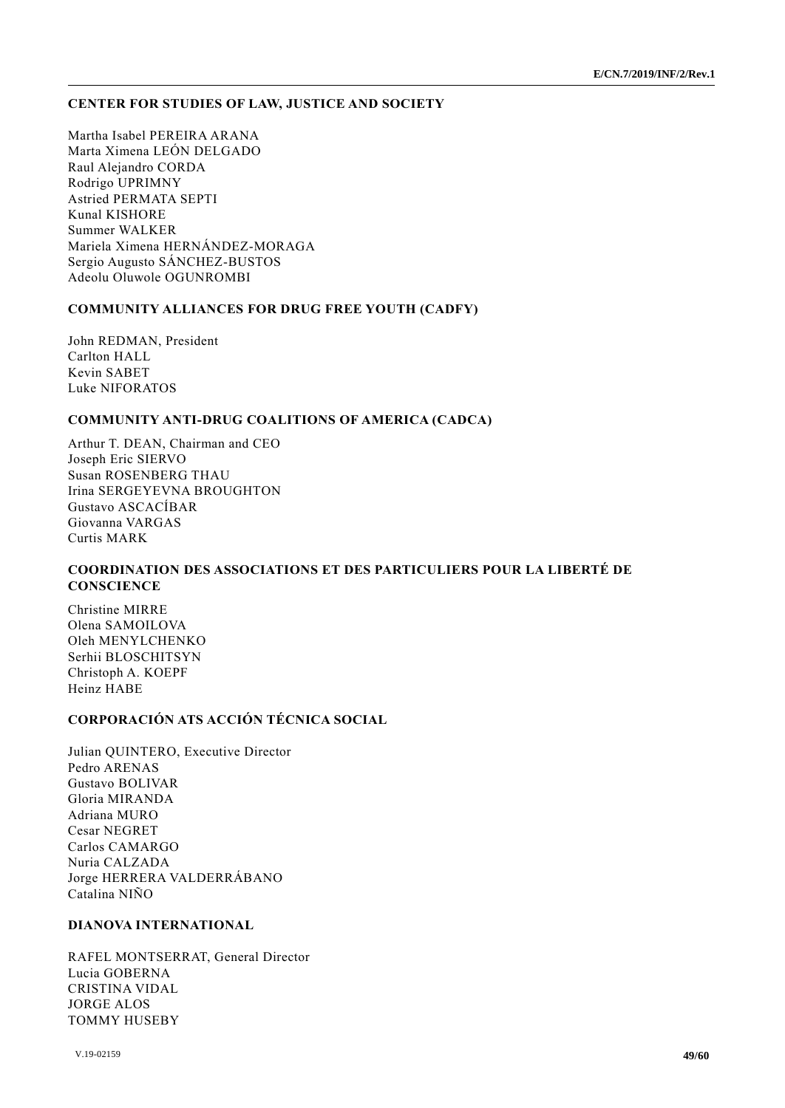#### **CENTER FOR STUDIES OF LAW, JUSTICE AND SOCIETY**

Martha Isabel PEREIRA ARANA Marta Ximena LEÓN DELGADO Raul Alejandro CORDA Rodrigo UPRIMNY Astried PERMATA SEPTI Kunal KISHORE Summer WALKER Mariela Ximena HERNÁNDEZ-MORAGA Sergio Augusto SÁNCHEZ-BUSTOS Adeolu Oluwole OGUNROMBI

#### **COMMUNITY ALLIANCES FOR DRUG FREE YOUTH (CADFY)**

John REDMAN, President Carlton HALL Kevin SABET Luke NIFORATOS

## **COMMUNITY ANTI-DRUG COALITIONS OF AMERICA (CADCA)**

Arthur T. DEAN, Chairman and CEO Joseph Eric SIERVO Susan ROSENBERG THAU Irina SERGEYEVNA BROUGHTON Gustavo ASCACÍBAR Giovanna VARGAS Curtis MARK

## **COORDINATION DES ASSOCIATIONS ET DES PARTICULIERS POUR LA LIBERTÉ DE CONSCIENCE**

Christine MIRRE Olena SAMOILOVA Oleh MENYLCHENKO Serhii BLOSCHITSYN Christoph A. KOEPF Heinz HABE

## **CORPORACIÓN ATS ACCIÓN TÉCNICA SOCIAL**

Julian QUINTERO, Executive Director Pedro ARENAS Gustavo BOLIVAR Gloria MIRANDA Adriana MURO Cesar NEGRET Carlos CAMARGO Nuria CALZADA Jorge HERRERA VALDERRÁBANO Catalina NIÑO

#### **DIANOVA INTERNATIONAL**

RAFEL MONTSERRAT, General Director Lucia GOBERNA CRISTINA VIDAL JORGE ALOS TOMMY HUSEBY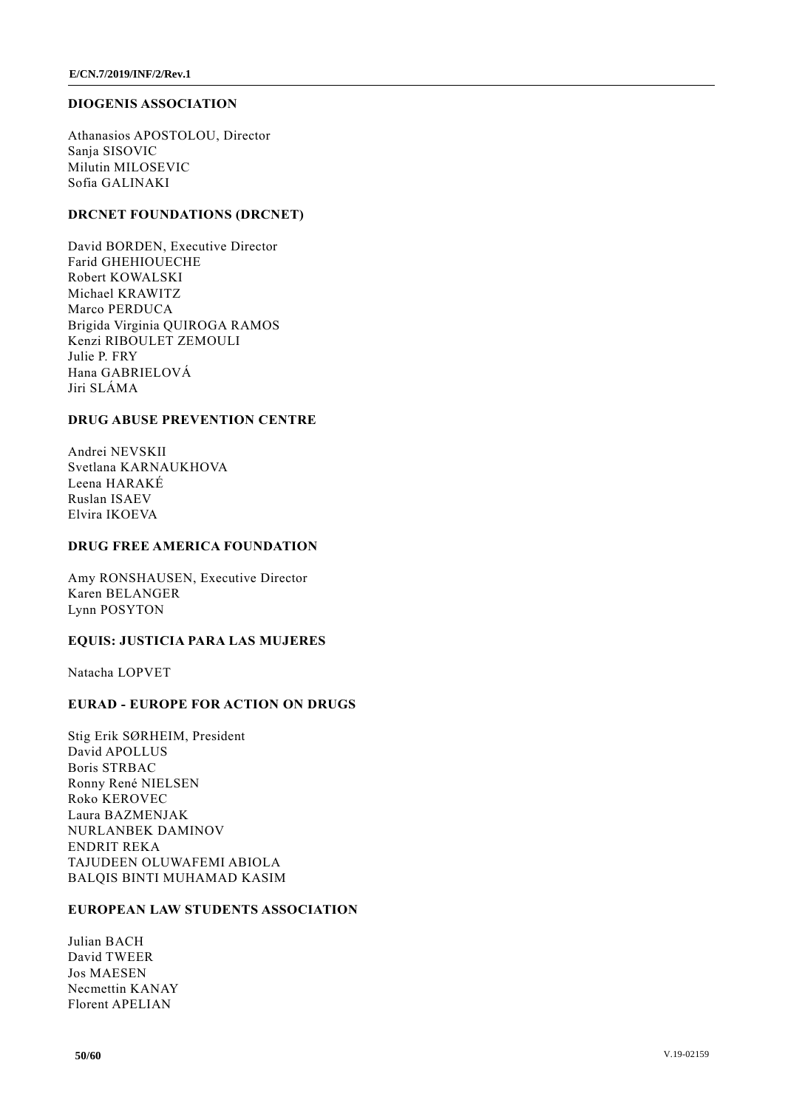#### **DIOGENIS ASSOCIATION**

Athanasios APOSTOLOU, Director Sanja SISOVIC Milutin MILOSEVIC Sofia GALINAKI

## **DRCNET FOUNDATIONS (DRCNET)**

David BORDEN, Executive Director Farid GHEHIOUECHE Robert KOWALSKI Michael KRAWITZ Marco PERDUCA Brigida Virginia QUIROGA RAMOS Kenzi RIBOULET ZEMOULI Julie P. FRY Hana GABRIELOVÁ Jiri SLÁMA

#### **DRUG ABUSE PREVENTION CENTRE**

Andrei NEVSKII Svetlana KARNAUKHOVA Leena HARAKÉ Ruslan ISAEV Elvira IKOEVA

#### **DRUG FREE AMERICA FOUNDATION**

Amy RONSHAUSEN, Executive Director Karen BELANGER Lynn POSYTON

## **EQUIS: JUSTICIA PARA LAS MUJERES**

Natacha LOPVET

## **EURAD - EUROPE FOR ACTION ON DRUGS**

Stig Erik SØRHEIM, President David APOLLUS Boris STRBAC Ronny René NIELSEN Roko KEROVEC Laura BAZMENJAK NURLANBEK DAMINOV ENDRIT REKA TAJUDEEN OLUWAFEMI ABIOLA BALQIS BINTI MUHAMAD KASIM

#### **EUROPEAN LAW STUDENTS ASSOCIATION**

Julian BACH David TWEER Jos MAESEN Necmettin KANAY Florent APELIAN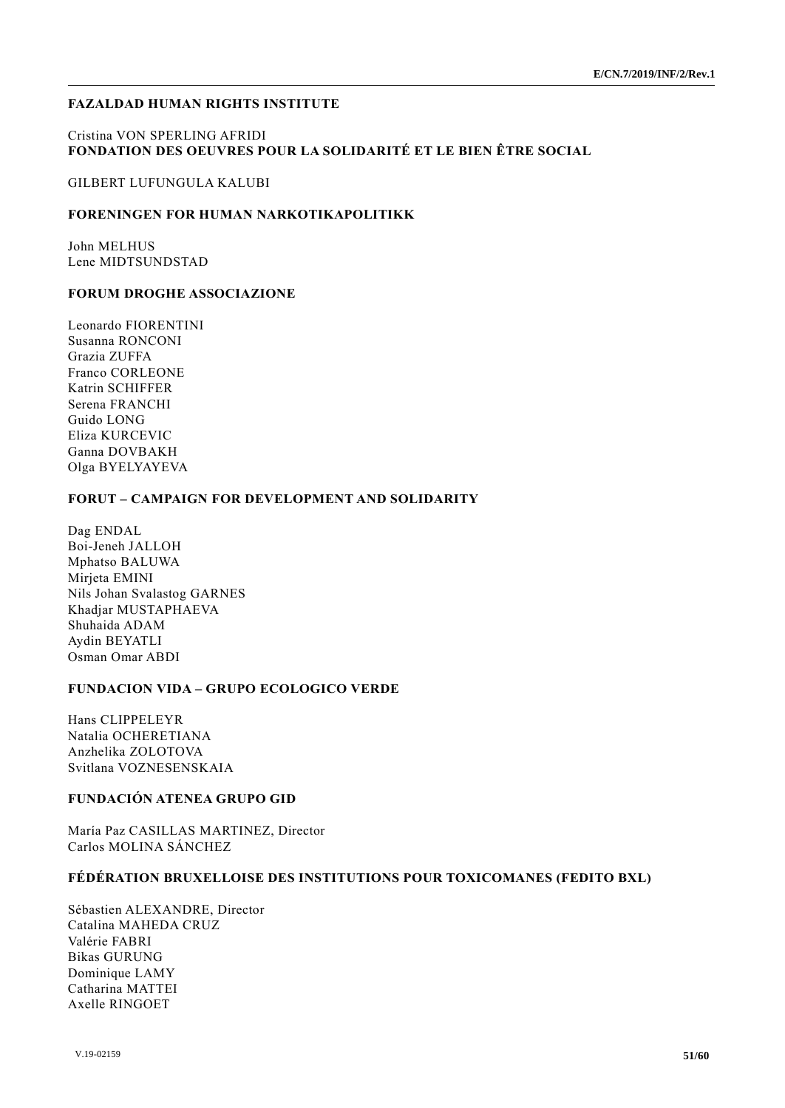## **FAZALDAD HUMAN RIGHTS INSTITUTE**

### Cristina VON SPERLING AFRIDI **FONDATION DES OEUVRES POUR LA SOLIDARITÉ ET LE BIEN ÊTRE SOCIAL**

GILBERT LUFUNGULA KALUBI

#### **FORENINGEN FOR HUMAN NARKOTIKAPOLITIKK**

John MELHUS Lene MIDTSUNDSTAD

#### **FORUM DROGHE ASSOCIAZIONE**

Leonardo FIORENTINI Susanna RONCONI Grazia ZUFFA Franco CORLEONE Katrin SCHIFFER Serena FRANCHI Guido LONG Eliza KURCEVIC Ganna DOVBAKH Olga BYELYAYEVA

#### **FORUT – CAMPAIGN FOR DEVELOPMENT AND SOLIDARITY**

Dag ENDAL Boi-Jeneh JALLOH Mphatso BALUWA Mirjeta EMINI Nils Johan Svalastog GARNES Khadjar MUSTAPHAEVA Shuhaida ADAM Aydin BEYATLI Osman Omar ABDI

## **FUNDACION VIDA – GRUPO ECOLOGICO VERDE**

Hans CLIPPELEYR Natalia OCHERETIANA Anzhelika ZOLOTOVA Svitlana VOZNESENSKAIA

## **FUNDACIÓN ATENEA GRUPO GID**

María Paz CASILLAS MARTINEZ, Director Carlos MOLINA SÁNCHEZ

#### **FÉDÉRATION BRUXELLOISE DES INSTITUTIONS POUR TOXICOMANES (FEDITO BXL)**

Sébastien ALEXANDRE, Director Catalina MAHEDA CRUZ Valérie FABRI Bikas GURUNG Dominique LAMY Catharina MATTEI Axelle RINGOET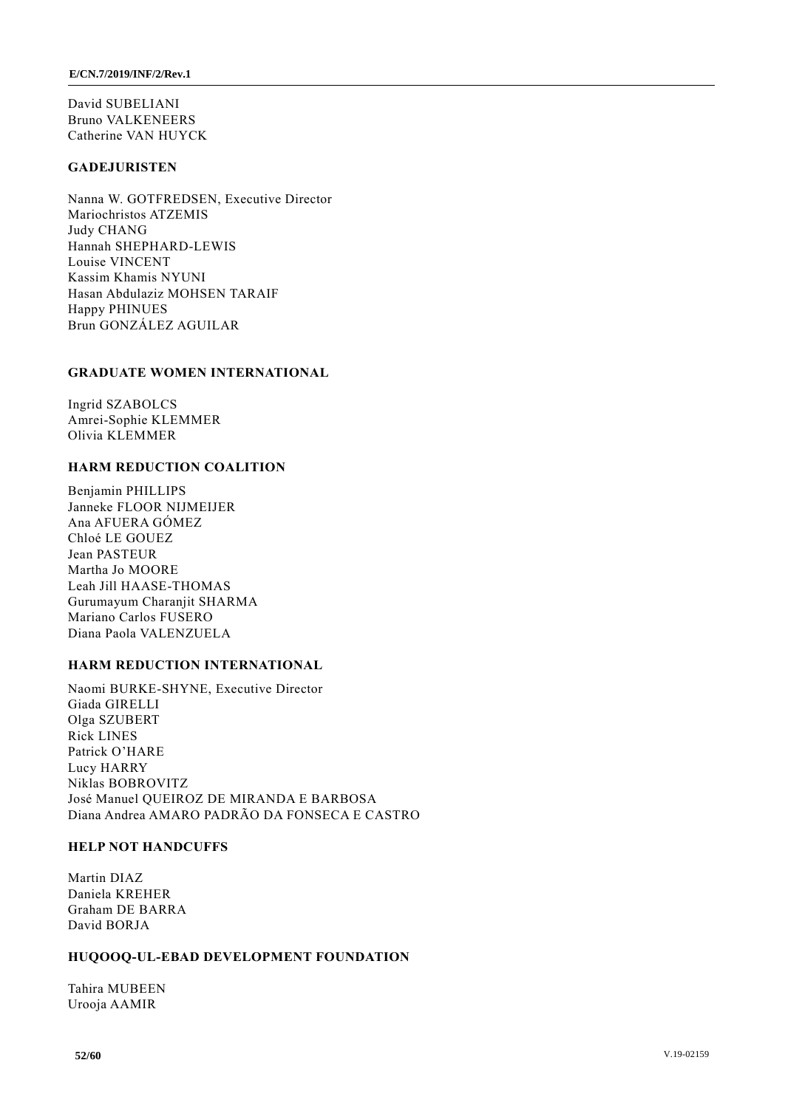David SUBELIANI Bruno VALKENEERS Catherine VAN HUYCK

## **GADEJURISTEN**

Nanna W. GOTFREDSEN, Executive Director Mariochristos ATZEMIS Judy CHANG Hannah SHEPHARD-LEWIS Louise VINCENT Kassim Khamis NYUNI Hasan Abdulaziz MOHSEN TARAIF Happy PHINUES Brun GONZÁLEZ AGUILAR

#### **GRADUATE WOMEN INTERNATIONAL**

Ingrid SZABOLCS Amrei-Sophie KLEMMER Olivia KLEMMER

## **HARM REDUCTION COALITION**

Benjamin PHILLIPS Janneke FLOOR NIJMEIJER Ana AFUERA GÓMEZ Chloé LE GOUEZ Jean PASTEUR Martha Jo MOORE Leah Jill HAASE-THOMAS Gurumayum Charanjit SHARMA Mariano Carlos FUSERO Diana Paola VALENZUELA

#### **HARM REDUCTION INTERNATIONAL**

Naomi BURKE-SHYNE, Executive Director Giada GIRELLI Olga SZUBERT Rick LINES Patrick O'HARE Lucy HARRY Niklas BOBROVITZ José Manuel QUEIROZ DE MIRANDA E BARBOSA Diana Andrea AMARO PADRÃO DA FONSECA E CASTRO

#### **HELP NOT HANDCUFFS**

Martin DIAZ Daniela KREHER Graham DE BARRA David BORJA

#### **HUQOOQ-UL-EBAD DEVELOPMENT FOUNDATION**

Tahira MUBEEN Urooja AAMIR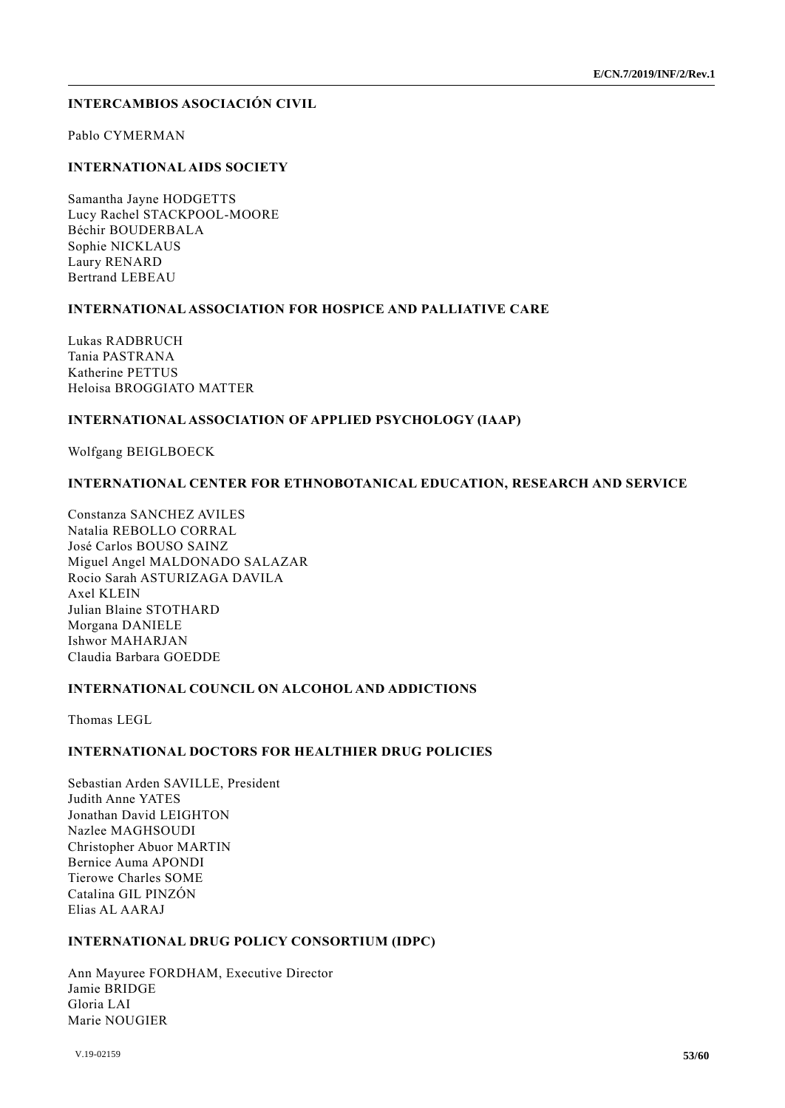## **INTERCAMBIOS ASOCIACIÓN CIVIL**

Pablo CYMERMAN

## **INTERNATIONAL AIDS SOCIETY**

Samantha Jayne HODGETTS Lucy Rachel STACKPOOL-MOORE Béchir BOUDERBALA Sophie NICKLAUS Laury RENARD Bertrand LEBEAU

#### **INTERNATIONAL ASSOCIATION FOR HOSPICE AND PALLIATIVE CARE**

Lukas RADBRUCH Tania PASTRANA Katherine PETTUS Heloisa BROGGIATO MATTER

#### **INTERNATIONAL ASSOCIATION OF APPLIED PSYCHOLOGY (IAAP)**

Wolfgang BEIGLBOECK

#### **INTERNATIONAL CENTER FOR ETHNOBOTANICAL EDUCATION, RESEARCH AND SERVICE**

Constanza SANCHEZ AVILES Natalia REBOLLO CORRAL José Carlos BOUSO SAINZ Miguel Angel MALDONADO SALAZAR Rocio Sarah ASTURIZAGA DAVILA Axel KLEIN Julian Blaine STOTHARD Morgana DANIELE Ishwor MAHARJAN Claudia Barbara GOEDDE

#### **INTERNATIONAL COUNCIL ON ALCOHOL AND ADDICTIONS**

Thomas LEGL

## **INTERNATIONAL DOCTORS FOR HEALTHIER DRUG POLICIES**

Sebastian Arden SAVILLE, President Judith Anne YATES Jonathan David LEIGHTON Nazlee MAGHSOUDI Christopher Abuor MARTIN Bernice Auma APONDI Tierowe Charles SOME Catalina GIL PINZÓN Elias AL AARAJ

#### **INTERNATIONAL DRUG POLICY CONSORTIUM (IDPC)**

Ann Mayuree FORDHAM, Executive Director Jamie BRIDGE Gloria LAI Marie NOUGIER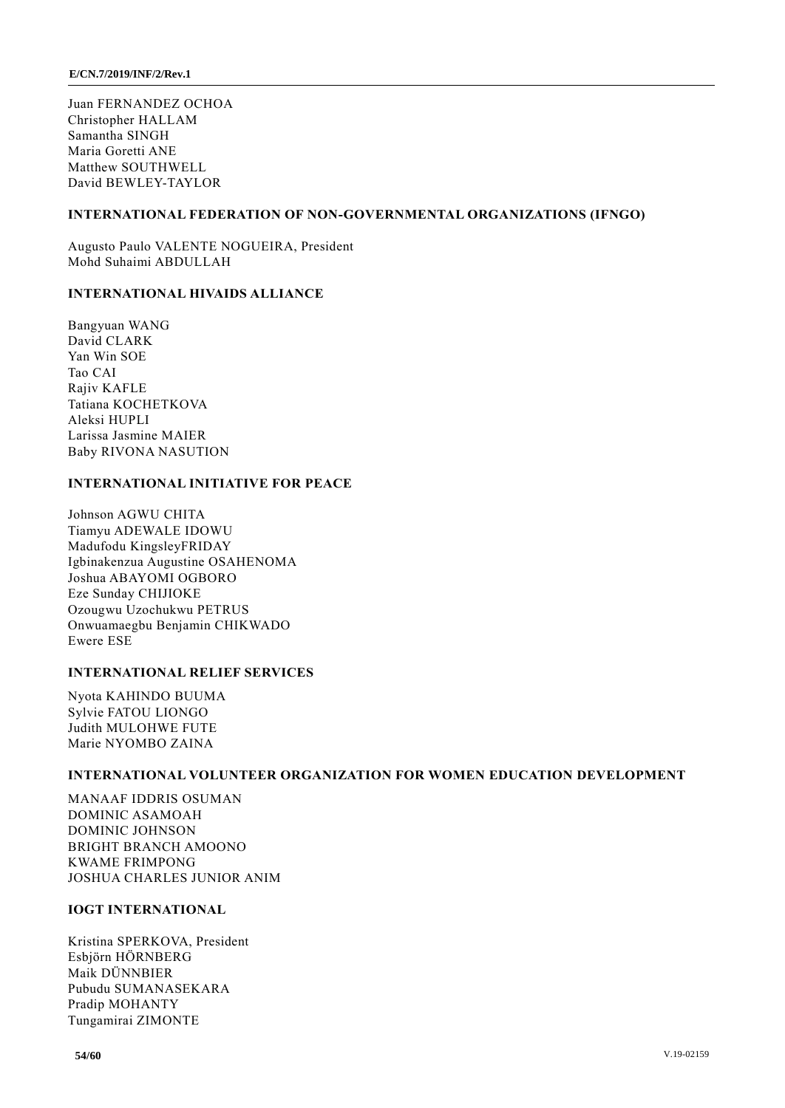Juan FERNANDEZ OCHOA Christopher HALLAM Samantha SINGH Maria Goretti ANE Matthew SOUTHWELL David BEWLEY-TAYLOR

## **INTERNATIONAL FEDERATION OF NON-GOVERNMENTAL ORGANIZATIONS (IFNGO)**

Augusto Paulo VALENTE NOGUEIRA, President Mohd Suhaimi ABDULLAH

## **INTERNATIONAL HIVAIDS ALLIANCE**

Bangyuan WANG David CLARK Yan Win SOE Tao CAI Rajiv KAFLE Tatiana KOCHETKOVA Aleksi HUPLI Larissa Jasmine MAIER Baby RIVONA NASUTION

## **INTERNATIONAL INITIATIVE FOR PEACE**

Johnson AGWU CHITA Tiamyu ADEWALE IDOWU Madufodu KingsleyFRIDAY Igbinakenzua Augustine OSAHENOMA Joshua ABAYOMI OGBORO Eze Sunday CHIJIOKE Ozougwu Uzochukwu PETRUS Onwuamaegbu Benjamin CHIKWADO Ewere ESE

#### **INTERNATIONAL RELIEF SERVICES**

Nyota KAHINDO BUUMA Sylvie FATOU LIONGO Judith MULOHWE FUTE Marie NYOMBO ZAINA

#### **INTERNATIONAL VOLUNTEER ORGANIZATION FOR WOMEN EDUCATION DEVELOPMENT**

MANAAF IDDRIS OSUMAN DOMINIC ASAMOAH DOMINIC JOHNSON BRIGHT BRANCH AMOONO KWAME FRIMPONG JOSHUA CHARLES JUNIOR ANIM

#### **IOGT INTERNATIONAL**

Kristina SPERKOVA, President Esbjörn HÖRNBERG Maik DÜNNBIER Pubudu SUMANASEKARA Pradip MOHANTY Tungamirai ZIMONTE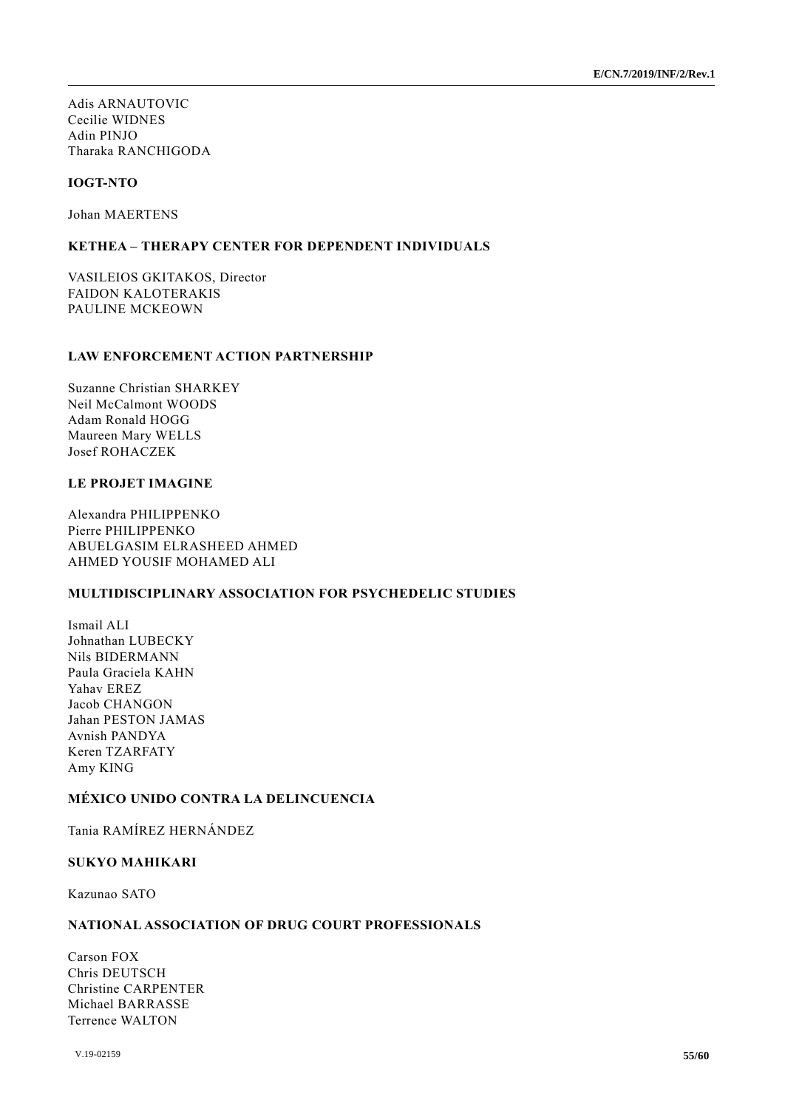Adis ARNAUTOVIC Cecilie WIDNES Adin PINJO Tharaka RANCHIGODA

## **IOGT-NTO**

Johan MAERTENS

## **KETHEA – THERAPY CENTER FOR DEPENDENT INDIVIDUALS**

VASILEIOS GKITAKOS, Director FAIDON KALOTERAKIS PAULINE MCKEOWN

## **LAW ENFORCEMENT ACTION PARTNERSHIP**

Suzanne Christian SHARKEY Neil McCalmont WOODS Adam Ronald HOGG Maureen Mary WELLS Josef ROHACZEK

#### **LE PROJET IMAGINE**

Alexandra PHILIPPENKO Pierre PHILIPPENKO ABUELGASIM ELRASHEED AHMED AHMED YOUSIF MOHAMED ALI

## **MULTIDISCIPLINARY ASSOCIATION FOR PSYCHEDELIC STUDIES**

Ismail ALI Johnathan LUBECKY Nils BIDERMANN Paula Graciela KAHN Yahav EREZ Jacob CHANGON Jahan PESTON JAMAS Avnish PANDYA Keren TZARFATY Amy KING

## **MÉXICO UNIDO CONTRA LA DELINCUENCIA**

Tania RAMÍREZ HERNÁNDEZ

### **SUKYO MAHIKARI**

Kazunao SATO

#### **NATIONAL ASSOCIATION OF DRUG COURT PROFESSIONALS**

Carson FOX Chris DEUTSCH Christine CARPENTER Michael BARRASSE Terrence WALTON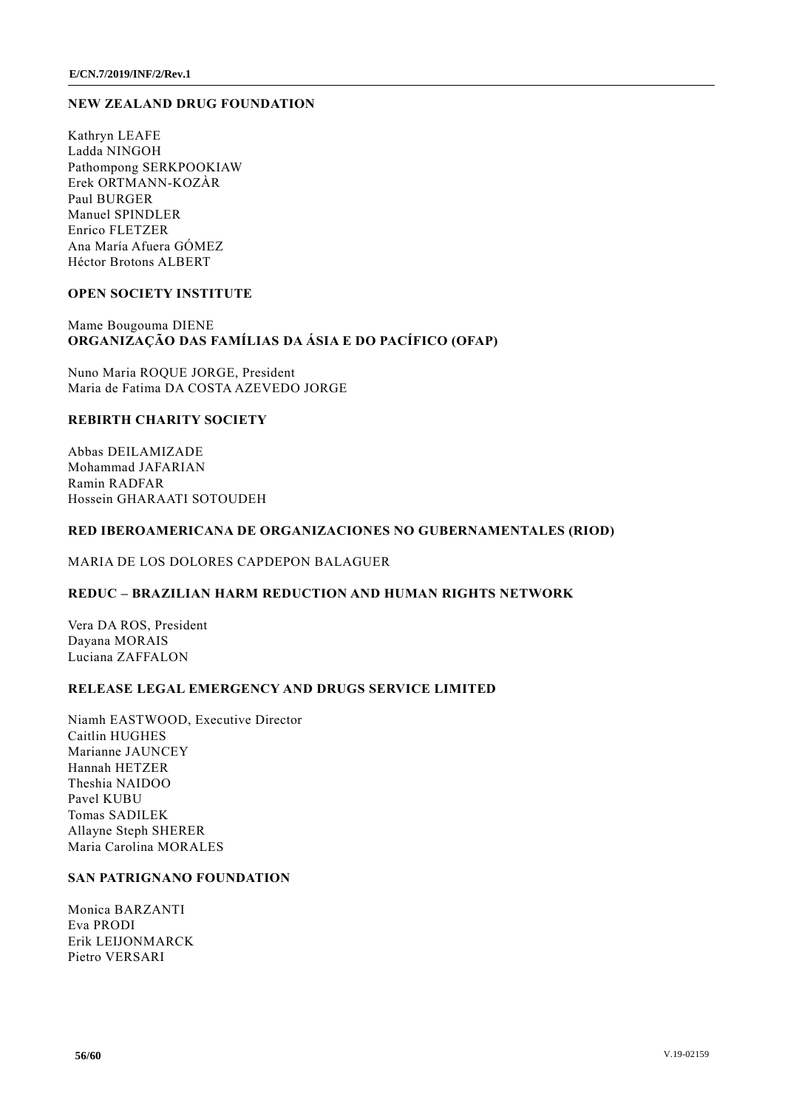#### **NEW ZEALAND DRUG FOUNDATION**

Kathryn LEAFE Ladda NINGOH Pathompong SERKPOOKIAW Erek ORTMANN-KOZÀR Paul BURGER Manuel SPINDLER Enrico FLETZER Ana María Afuera GÓMEZ Héctor Brotons ALBERT

#### **OPEN SOCIETY INSTITUTE**

## Mame Bougouma DIENE **ORGANIZAÇÃO DAS FAMÍLIAS DA ÁSIA E DO PACÍFICO (OFAP)**

Nuno Maria ROQUE JORGE, President Maria de Fatima DA COSTA AZEVEDO JORGE

#### **REBIRTH CHARITY SOCIETY**

Abbas DEILAMIZADE Mohammad JAFARIAN Ramin RADFAR Hossein GHARAATI SOTOUDEH

#### **RED IBEROAMERICANA DE ORGANIZACIONES NO GUBERNAMENTALES (RIOD)**

MARIA DE LOS DOLORES CAPDEPON BALAGUER

#### **REDUC – BRAZILIAN HARM REDUCTION AND HUMAN RIGHTS NETWORK**

Vera DA ROS, President Dayana MORAIS Luciana ZAFFALON

#### **RELEASE LEGAL EMERGENCY AND DRUGS SERVICE LIMITED**

Niamh EASTWOOD, Executive Director Caitlin HUGHES Marianne JAUNCEY Hannah HETZER Theshia NAIDOO Pavel KUBU Tomas SADILEK Allayne Steph SHERER Maria Carolina MORALES

## **SAN PATRIGNANO FOUNDATION**

Monica BARZANTI Eva PRODI Erik LEIJONMARCK Pietro VERSARI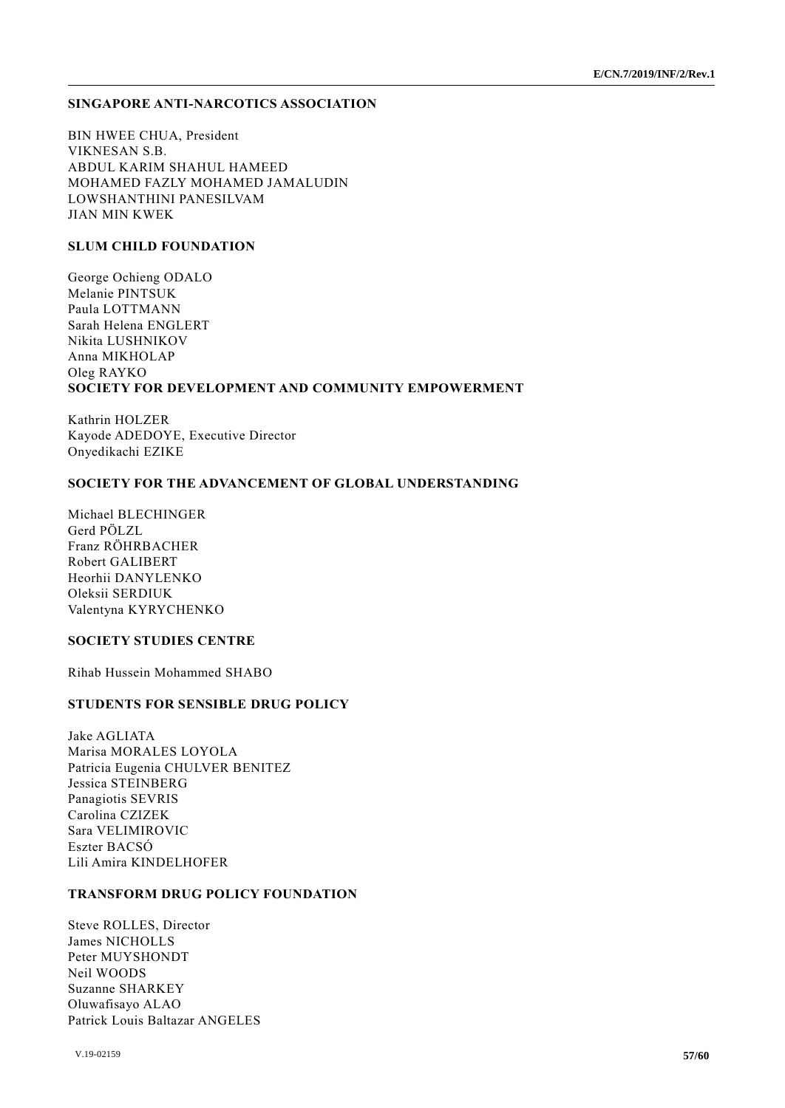#### **SINGAPORE ANTI-NARCOTICS ASSOCIATION**

BIN HWEE CHUA, President VIKNESAN S.B. ABDUL KARIM SHAHUL HAMEED MOHAMED FAZLY MOHAMED JAMALUDIN LOWSHANTHINI PANESILVAM JIAN MIN KWEK

#### **SLUM CHILD FOUNDATION**

George Ochieng ODALO Melanie PINTSUK Paula LOTTMANN Sarah Helena ENGLERT Nikita LUSHNIKOV Anna MIKHOLAP Oleg RAYKO **SOCIETY FOR DEVELOPMENT AND COMMUNITY EMPOWERMENT**

Kathrin HOLZER Kayode ADEDOYE, Executive Director Onyedikachi EZIKE

#### **SOCIETY FOR THE ADVANCEMENT OF GLOBAL UNDERSTANDING**

Michael BLECHINGER Gerd PÖLZL Franz RÖHRBACHER Robert GALIBERT Heorhii DANYLENKO Oleksii SERDIUK Valentyna KYRYCHENKO

## **SOCIETY STUDIES CENTRE**

Rihab Hussein Mohammed SHABO

#### **STUDENTS FOR SENSIBLE DRUG POLICY**

Jake AGLIATA Marisa MORALES LOYOLA Patricia Eugenia CHULVER BENITEZ Jessica STEINBERG Panagiotis SEVRIS Carolina CZIZEK Sara VELIMIROVIC Eszter BACSÓ Lili Amira KINDELHOFER

### **TRANSFORM DRUG POLICY FOUNDATION**

Steve ROLLES, Director James NICHOLLS Peter MUYSHONDT Neil WOODS Suzanne SHARKEY Oluwafisayo ALAO Patrick Louis Baltazar ANGELES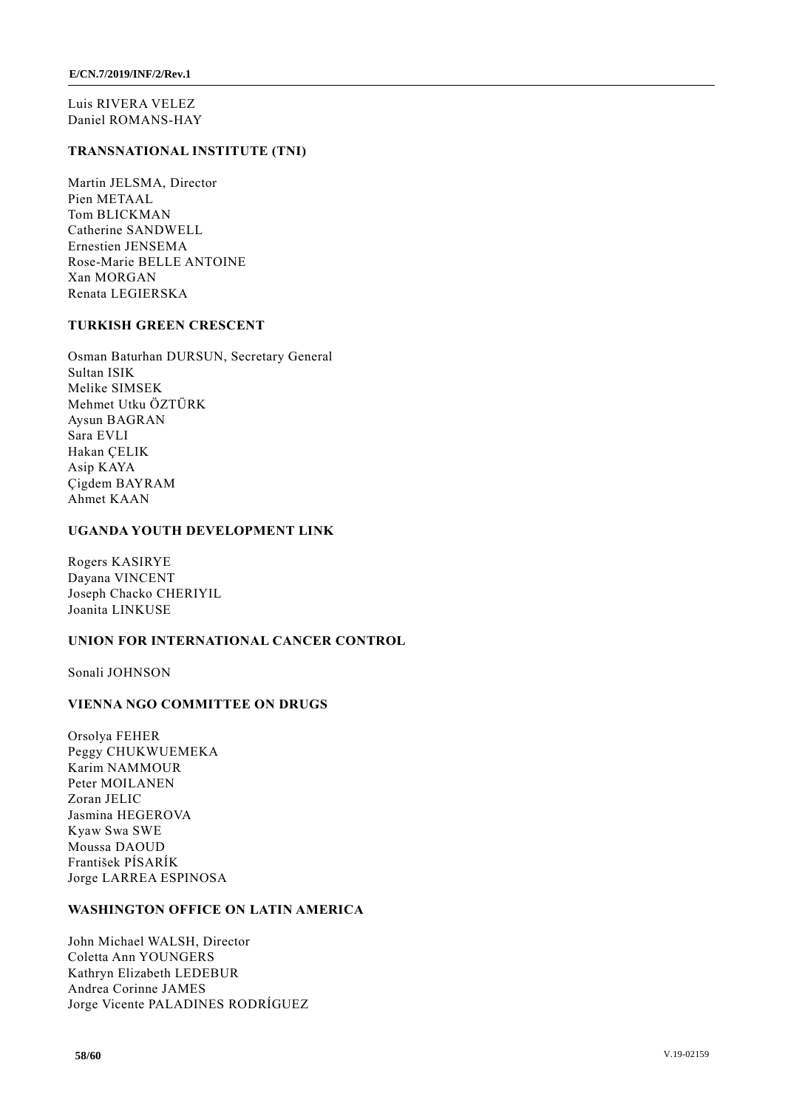Luis RIVERA VELEZ Daniel ROMANS-HAY

#### **TRANSNATIONAL INSTITUTE (TNI)**

Martin JELSMA, Director Pien METAAL Tom BLICKMAN Catherine SANDWELL Ernestien JENSEMA Rose-Marie BELLE ANTOINE Xan MORGAN Renata LEGIERSKA

#### **TURKISH GREEN CRESCENT**

Osman Baturhan DURSUN, Secretary General Sultan ISIK Melike SIMSEK Mehmet Utku ÖZTÜRK Aysun BAGRAN Sara EVLI Hakan ÇELIK Asip KAYA Çigdem BAYRAM Ahmet KAAN

## **UGANDA YOUTH DEVELOPMENT LINK**

Rogers KASIRYE Dayana VINCENT Joseph Chacko CHERIYIL Joanita LINKUSE

## **UNION FOR INTERNATIONAL CANCER CONTROL**

Sonali JOHNSON

## **VIENNA NGO COMMITTEE ON DRUGS**

Orsolya FEHER Peggy CHUKWUEMEKA Karim NAMMOUR Peter MOILANEN Zoran JELIC Jasmina HEGEROVA Kyaw Swa SWE Moussa DAOUD František PÍSARÍK Jorge LARREA ESPINOSA

#### **WASHINGTON OFFICE ON LATIN AMERICA**

John Michael WALSH, Director Coletta Ann YOUNGERS Kathryn Elizabeth LEDEBUR Andrea Corinne JAMES Jorge Vicente PALADINES RODRÍGUEZ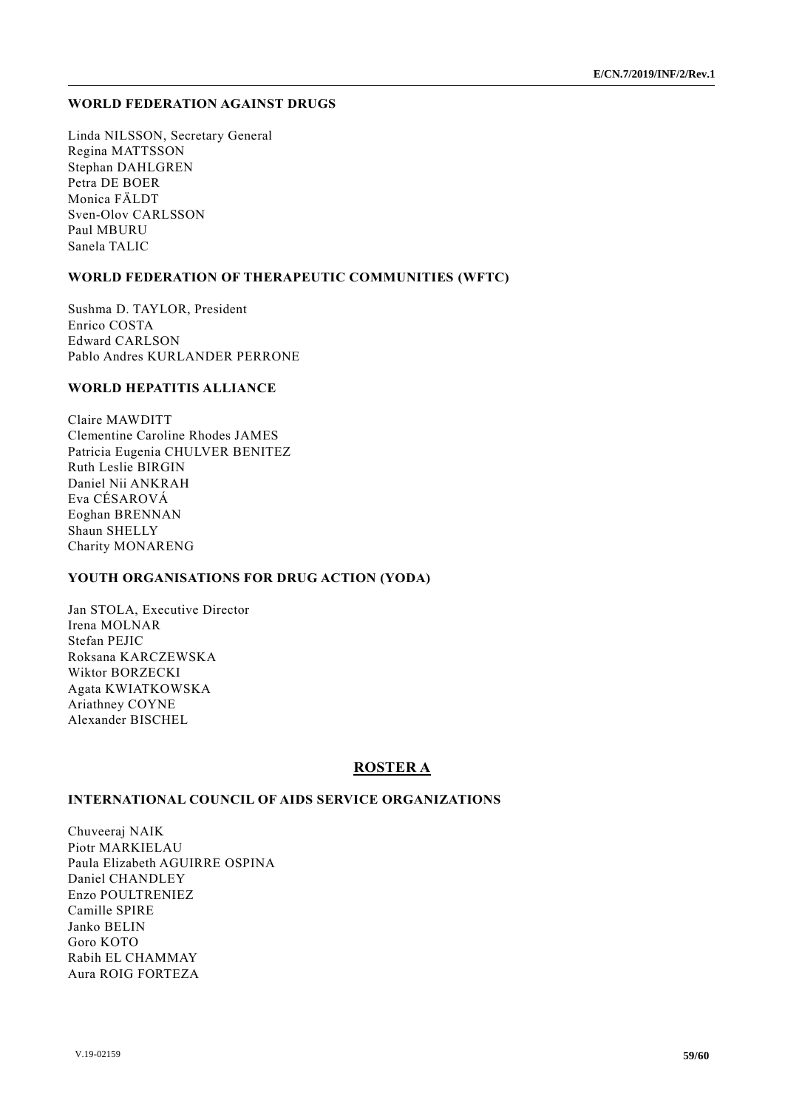#### **WORLD FEDERATION AGAINST DRUGS**

Linda NILSSON, Secretary General Regina MATTSSON Stephan DAHLGREN Petra DE BOER Monica FÄLDT Sven-Olov CARLSSON Paul MBURU Sanela TALIC

## **WORLD FEDERATION OF THERAPEUTIC COMMUNITIES (WFTC)**

Sushma D. TAYLOR, President Enrico COSTA Edward CARLSON Pablo Andres KURLANDER PERRONE

#### **WORLD HEPATITIS ALLIANCE**

Claire MAWDITT Clementine Caroline Rhodes JAMES Patricia Eugenia CHULVER BENITEZ Ruth Leslie BIRGIN Daniel Nii ANKRAH Eva CÉSAROVÁ Eoghan BRENNAN Shaun SHELLY Charity MONARENG

#### **YOUTH ORGANISATIONS FOR DRUG ACTION (YODA)**

Jan STOLA, Executive Director Irena MOLNAR Stefan PEJIC Roksana KARCZEWSKA Wiktor BORZECKI Agata KWIATKOWSKA Ariathney COYNE Alexander BISCHEL

## **ROSTER A**

#### **INTERNATIONAL COUNCIL OF AIDS SERVICE ORGANIZATIONS**

Chuveeraj NAIK Piotr MARKIELAU Paula Elizabeth AGUIRRE OSPINA Daniel CHANDLEY Enzo POULTRENIEZ Camille SPIRE Janko BELIN Goro KOTO Rabih EL CHAMMAY Aura ROIG FORTEZA